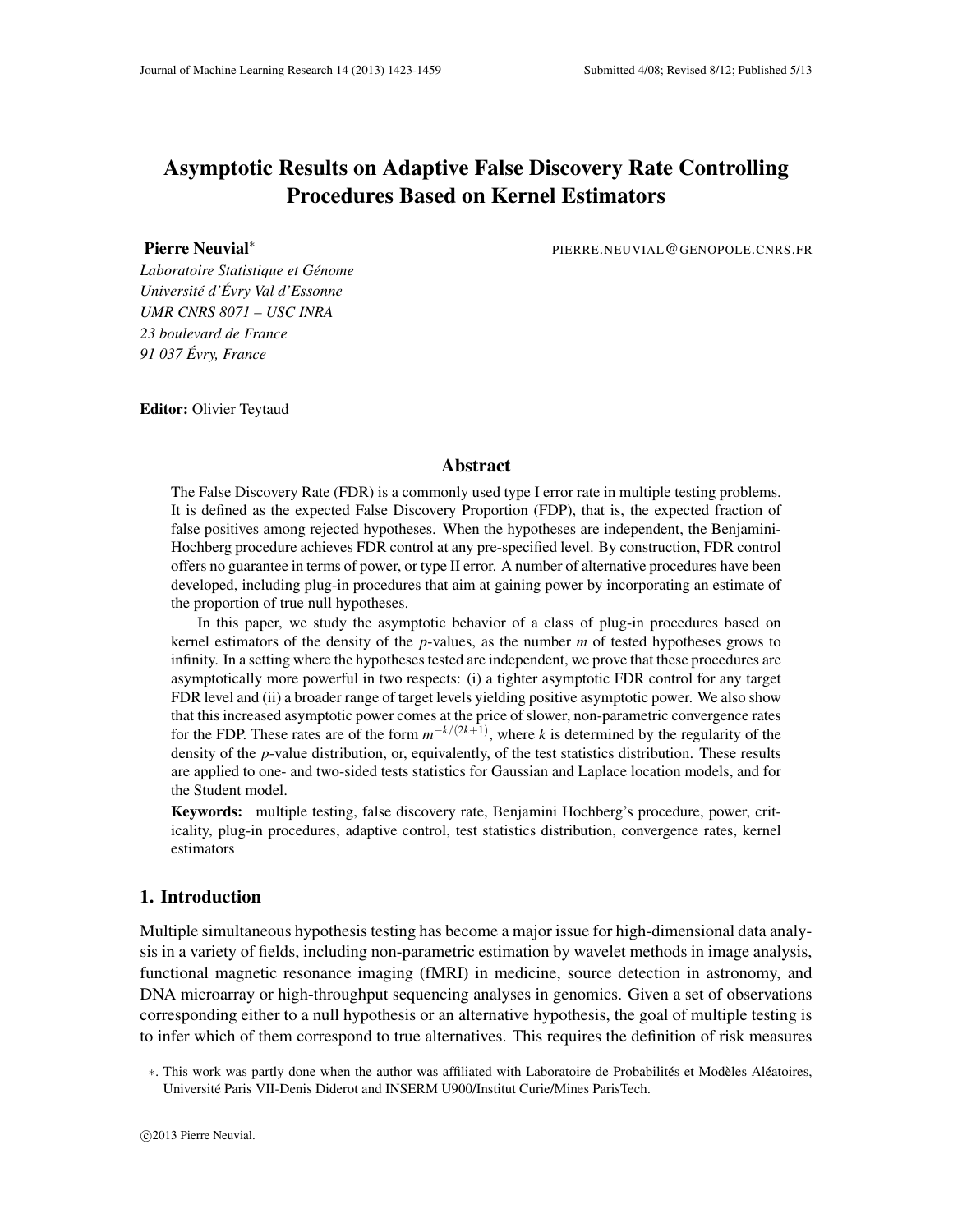# Asymptotic Results on Adaptive False Discovery Rate Controlling Procedures Based on Kernel Estimators

Pierre Neuvial∗

PIERRE.NEUVIAL@GENOPOLE.CNRS.FR

*Laboratoire Statistique et Génome Université d'Évry Val d'Essonne UMR CNRS 8071 – USC INRA 23 boulevard de France 91 037 Évry, France*

Editor: Olivier Teytaud

# Abstract

The False Discovery Rate (FDR) is a commonly used type I error rate in multiple testing problems. It is defined as the expected False Discovery Proportion (FDP), that is, the expected fraction of false positives among rejected hypotheses. When the hypotheses are independent, the Benjamini-Hochberg procedure achieves FDR control at any pre-specified level. By construction, FDR control offers no guarantee in terms of power, or type II error. A number of alternative procedures have been developed, including plug-in procedures that aim at gaining power by incorporating an estimate of the proportion of true null hypotheses.

In this paper, we study the asymptotic behavior of a class of plug-in procedures based on kernel estimators of the density of the *p*-values, as the number *m* of tested hypotheses grows to infinity. In a setting where the hypotheses tested are independent, we prove that these procedures are asymptotically more powerful in two respects: (i) a tighter asymptotic FDR control for any target FDR level and (ii) a broader range of target levels yielding positive asymptotic power. We also show that this increased asymptotic power comes at the price of slower, non-parametric convergence rates for the FDP. These rates are of the form  $m^{-k/(2k+1)}$ , where *k* is determined by the regularity of the density of the *p*-value distribution, or, equivalently, of the test statistics distribution. These results are applied to one- and two-sided tests statistics for Gaussian and Laplace location models, and for the Student model.

Keywords: multiple testing, false discovery rate, Benjamini Hochberg's procedure, power, criticality, plug-in procedures, adaptive control, test statistics distribution, convergence rates, kernel estimators

# 1. Introduction

Multiple simultaneous hypothesis testing has become a major issue for high-dimensional data analysis in a variety of fields, including non-parametric estimation by wavelet methods in image analysis, functional magnetic resonance imaging (fMRI) in medicine, source detection in astronomy, and DNA microarray or high-throughput sequencing analyses in genomics. Given a set of observations corresponding either to a null hypothesis or an alternative hypothesis, the goal of multiple testing is to infer which of them correspond to true alternatives. This requires the definition of risk measures

<sup>∗</sup>. This work was partly done when the author was affiliated with Laboratoire de Probabilités et Modèles Aléatoires, Université Paris VII-Denis Diderot and INSERM U900/Institut Curie/Mines ParisTech.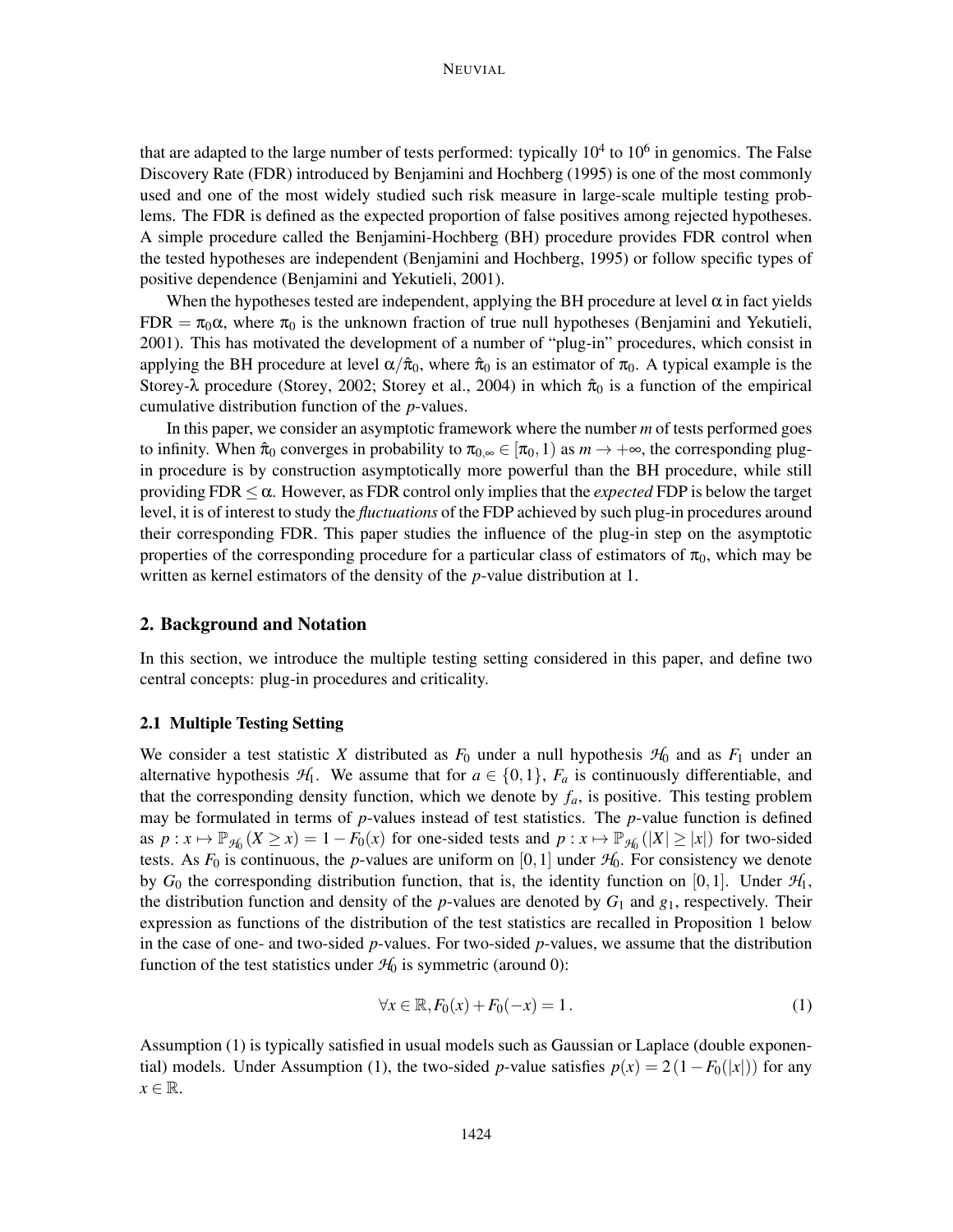that are adapted to the large number of tests performed: typically  $10^4$  to  $10^6$  in genomics. The False Discovery Rate (FDR) introduced by Benjamini and Hochberg (1995) is one of the most commonly used and one of the most widely studied such risk measure in large-scale multiple testing problems. The FDR is defined as the expected proportion of false positives among rejected hypotheses. A simple procedure called the Benjamini-Hochberg (BH) procedure provides FDR control when the tested hypotheses are independent (Benjamini and Hochberg, 1995) or follow specific types of positive dependence (Benjamini and Yekutieli, 2001).

When the hypotheses tested are independent, applying the BH procedure at level  $\alpha$  in fact yields FDR =  $\pi_0 \alpha$ , where  $\pi_0$  is the unknown fraction of true null hypotheses (Benjamini and Yekutieli, 2001). This has motivated the development of a number of "plug-in" procedures, which consist in applying the BH procedure at level  $\alpha/\hat{\pi}_0$ , where  $\hat{\pi}_0$  is an estimator of  $\pi_0$ . A typical example is the Storey- $\lambda$  procedure (Storey, 2002; Storey et al., 2004) in which  $\hat{\pi}_0$  is a function of the empirical cumulative distribution function of the *p*-values.

In this paper, we consider an asymptotic framework where the number *m* of tests performed goes to infinity. When  $\hat{\pi}_0$  converges in probability to  $\pi_{0,\infty} \in [\pi_0,1)$  as  $m \to +\infty$ , the corresponding plugin procedure is by construction asymptotically more powerful than the BH procedure, while still providing  $FDR \leq \alpha$ . However, as FDR control only implies that the *expected* FDP is below the target level, it is of interest to study the *fluctuations* of the FDP achieved by such plug-in procedures around their corresponding FDR. This paper studies the influence of the plug-in step on the asymptotic properties of the corresponding procedure for a particular class of estimators of  $\pi_0$ , which may be written as kernel estimators of the density of the *p*-value distribution at 1.

## 2. Background and Notation

In this section, we introduce the multiple testing setting considered in this paper, and define two central concepts: plug-in procedures and criticality.

#### 2.1 Multiple Testing Setting

We consider a test statistic *X* distributed as  $F_0$  under a null hypothesis  $H_0$  and as  $F_1$  under an alternative hypothesis  $H_1$ . We assume that for  $a \in \{0,1\}$ ,  $F_a$  is continuously differentiable, and that the corresponding density function, which we denote by  $f_a$ , is positive. This testing problem may be formulated in terms of *p*-values instead of test statistics. The *p*-value function is defined as  $p: x \mapsto \mathbb{P}_{\mathcal{H}_0}(X \ge x) = 1 - F_0(x)$  for one-sided tests and  $p: x \mapsto \mathbb{P}_{\mathcal{H}_0}(|X| \ge |x|)$  for two-sided tests. As  $F_0$  is continuous, the *p*-values are uniform on [0, 1] under  $H_0$ . For consistency we denote by  $G_0$  the corresponding distribution function, that is, the identity function on [0,1]. Under  $\mathcal{H}_1$ , the distribution function and density of the *p*-values are denoted by  $G_1$  and  $g_1$ , respectively. Their expression as functions of the distribution of the test statistics are recalled in Proposition 1 below in the case of one- and two-sided *p*-values. For two-sided *p*-values, we assume that the distribution function of the test statistics under  $H_0$  is symmetric (around 0):

$$
\forall x \in \mathbb{R}, F_0(x) + F_0(-x) = 1. \tag{1}
$$

Assumption (1) is typically satisfied in usual models such as Gaussian or Laplace (double exponential) models. Under Assumption (1), the two-sided *p*-value satisfies  $p(x) = 2(1 - F_0(|x|))$  for any  $x \in \mathbb{R}$ .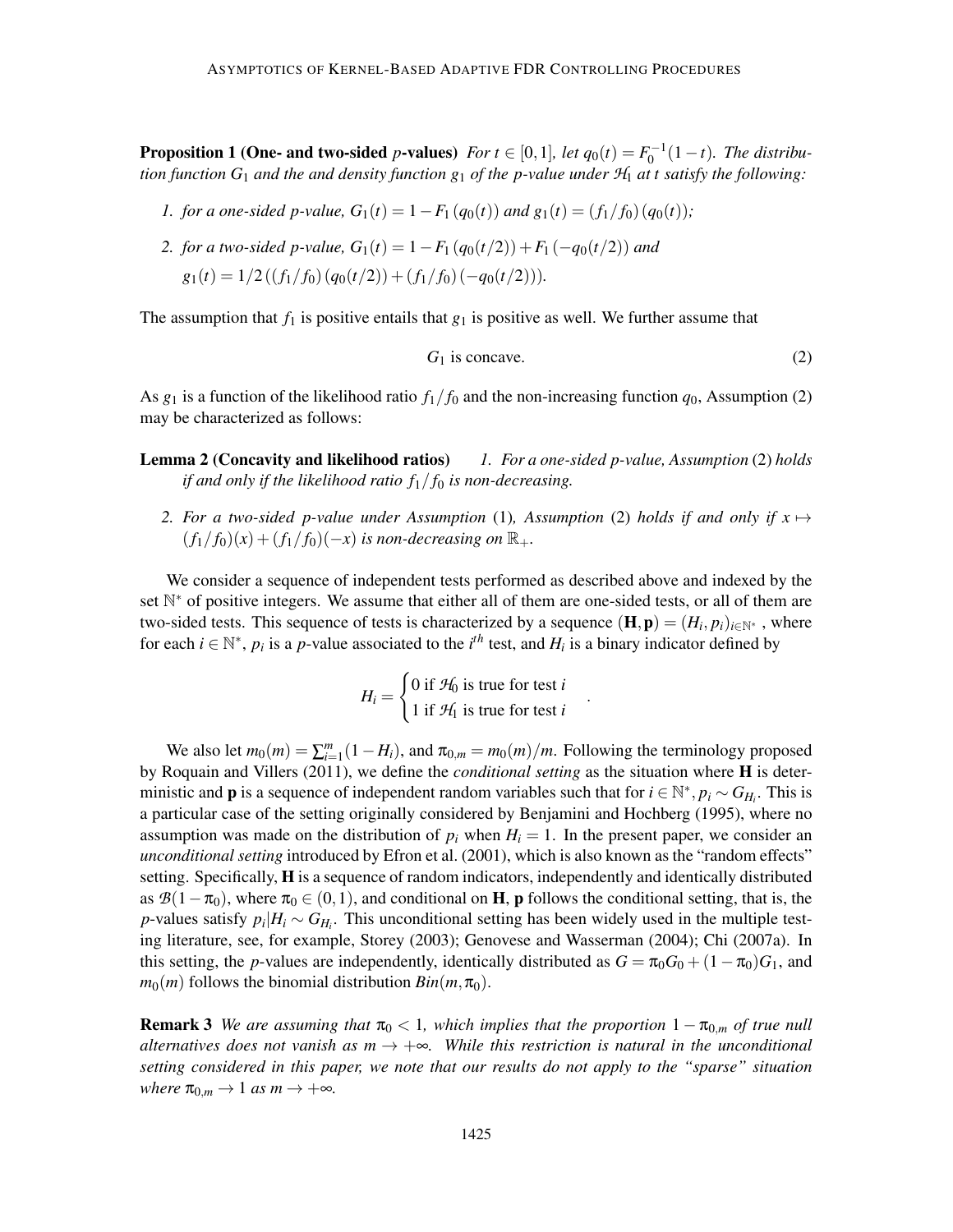**Proposition 1 (One- and two-sided** *p*-values) *For*  $t \in [0,1]$ *, let*  $q_0(t) = F_0^{-1}(1-t)$ *. The distribution function*  $G_1$  *and the and density function*  $g_1$  *of the p-value under*  $H_1$  *at t satisfy the following:* 

- *1. for a one-sided p-value,*  $G_1(t) = 1 F_1(q_0(t))$  *and*  $g_1(t) = (f_1/f_0)(q_0(t))$ ;
- *2. for a two-sided p-value,*  $G_1(t) = 1 F_1(q_0(t/2)) + F_1(-q_0(t/2))$  *and*  $g_1(t) = 1/2((f_1/f_0)(q_0(t/2)) + (f_1/f_0)(-q_0(t/2))).$

The assumption that  $f_1$  is positive entails that  $g_1$  is positive as well. We further assume that

$$
G_1 \text{ is concave.} \tag{2}
$$

.

As  $g_1$  is a function of the likelihood ratio  $f_1/f_0$  and the non-increasing function  $q_0$ , Assumption (2) may be characterized as follows:

- Lemma 2 (Concavity and likelihood ratios) *1. For a one-sided p-value, Assumption* (2) *holds if and only if the likelihood ratio f*1/ *f*<sup>0</sup> *is non-decreasing.*
	- 2. For a two-sided p-value under Assumption (1), Assumption (2) holds if and only if  $x \mapsto$  $(f_1/f_0)(x) + (f_1/f_0)(-x)$  *is non-decreasing on*  $\mathbb{R}_+$ .

We consider a sequence of independent tests performed as described above and indexed by the set N<sup>\*</sup> of positive integers. We assume that either all of them are one-sided tests, or all of them are two-sided tests. This sequence of tests is characterized by a sequence  $(H, \mathbf{p}) = (H_i, p_i)_{i \in \mathbb{N}^*}$ , where for each  $i \in \mathbb{N}^*$ ,  $p_i$  is a *p*-value associated to the  $i^{th}$  test, and  $H_i$  is a binary indicator defined by

$$
H_i = \begin{cases} 0 \text{ if } \mathcal{H}_0 \text{ is true for test } i \\ 1 \text{ if } \mathcal{H}_1 \text{ is true for test } i \end{cases}
$$

We also let  $m_0(m) = \sum_{i=1}^m (1 - H_i)$ , and  $\pi_{0,m} = m_0(m)/m$ . Following the terminology proposed by Roquain and Villers (2011), we define the *conditional setting* as the situation where H is deterministic and **p** is a sequence of independent random variables such that for  $i \in \mathbb{N}^*$ ,  $p_i \sim G_{H_i}$ . This is a particular case of the setting originally considered by Benjamini and Hochberg (1995), where no assumption was made on the distribution of  $p_i$  when  $H_i = 1$ . In the present paper, we consider an *unconditional setting* introduced by Efron et al. (2001), which is also known as the "random effects" setting. Specifically, H is a sequence of random indicators, independently and identically distributed as  $\mathcal{B}(1-\pi_0)$ , where  $\pi_0 \in (0,1)$ , and conditional on **H**, **p** follows the conditional setting, that is, the *p*-values satisfy  $p_i|H_i \sim G_{H_i}$ . This unconditional setting has been widely used in the multiple testing literature, see, for example, Storey (2003); Genovese and Wasserman (2004); Chi (2007a). In this setting, the *p*-values are independently, identically distributed as  $G = \pi_0 G_0 + (1 - \pi_0) G_1$ , and  $m_0(m)$  follows the binomial distribution  $Bin(m, \pi_0)$ .

**Remark 3** *We are assuming that*  $\pi_0 < 1$ *, which implies that the proportion*  $1 - \pi_{0,m}$  *of true null alternatives does not vanish as*  $m \rightarrow +\infty$ *. While this restriction is natural in the unconditional setting considered in this paper, we note that our results do not apply to the "sparse" situation where*  $\pi_{0,m} \to 1$  *as*  $m \to +\infty$ *.*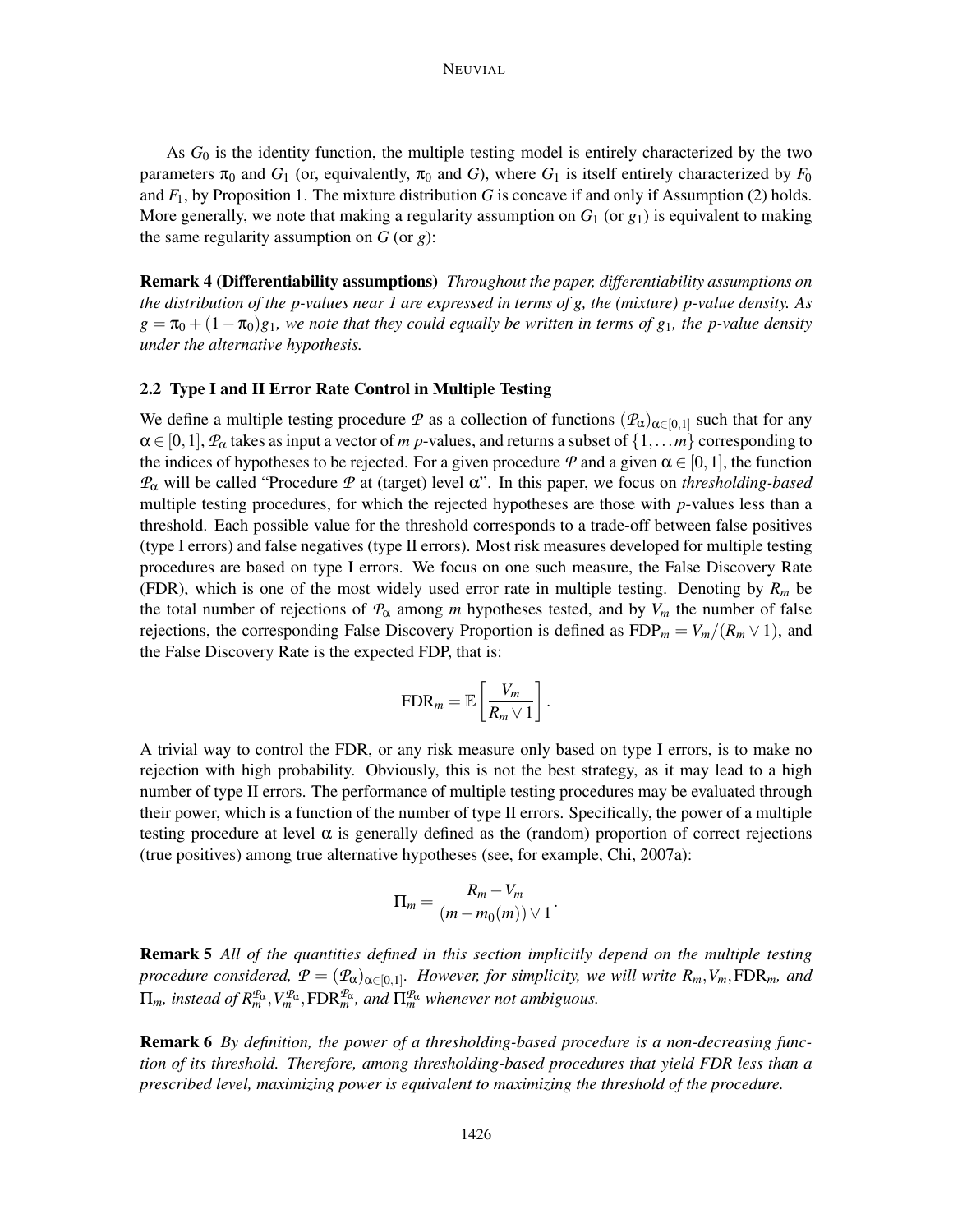As *G*<sup>0</sup> is the identity function, the multiple testing model is entirely characterized by the two parameters  $\pi_0$  and  $G_1$  (or, equivalently,  $\pi_0$  and *G*), where  $G_1$  is itself entirely characterized by  $F_0$ and  $F_1$ , by Proposition 1. The mixture distribution *G* is concave if and only if Assumption (2) holds. More generally, we note that making a regularity assumption on  $G_1$  (or  $g_1$ ) is equivalent to making the same regularity assumption on *G* (or *g*):

Remark 4 (Differentiability assumptions) *Throughout the paper, differentiability assumptions on the distribution of the p-values near 1 are expressed in terms of g, the (mixture) p-value density. As*  $g = \pi_0 + (1 - \pi_0)g_1$ , we note that they could equally be written in terms of  $g_1$ , the p-value density *under the alternative hypothesis.*

## 2.2 Type I and II Error Rate Control in Multiple Testing

We define a multiple testing procedure *P* as a collection of functions  $(P_\alpha)_{\alpha \in [0,1]}$  such that for any  $\alpha \in [0,1],$   $\mathcal{P}_\alpha$  takes as input a vector of *m* p-values, and returns a subset of  $\{1,...,m\}$  corresponding to the indices of hypotheses to be rejected. For a given procedure *P* and a given  $\alpha \in [0,1]$ , the function *P*<sup>α</sup> will be called "Procedure *P* at (target) level α". In this paper, we focus on *thresholding-based* multiple testing procedures, for which the rejected hypotheses are those with *p*-values less than a threshold. Each possible value for the threshold corresponds to a trade-off between false positives (type I errors) and false negatives (type II errors). Most risk measures developed for multiple testing procedures are based on type I errors. We focus on one such measure, the False Discovery Rate (FDR), which is one of the most widely used error rate in multiple testing. Denoting by  $R_m$  be the total number of rejections of  $P_\alpha$  among *m* hypotheses tested, and by  $V_m$  the number of false rejections, the corresponding False Discovery Proportion is defined as  $FDP_m = V_m/(R_m \vee 1)$ , and the False Discovery Rate is the expected FDP, that is:

$$
\text{FDR}_m = \mathbb{E}\left[\frac{V_m}{R_m \vee 1}\right].
$$

A trivial way to control the FDR, or any risk measure only based on type I errors, is to make no rejection with high probability. Obviously, this is not the best strategy, as it may lead to a high number of type II errors. The performance of multiple testing procedures may be evaluated through their power, which is a function of the number of type II errors. Specifically, the power of a multiple testing procedure at level  $\alpha$  is generally defined as the (random) proportion of correct rejections (true positives) among true alternative hypotheses (see, for example, Chi, 2007a):

$$
\Pi_m = \frac{R_m - V_m}{(m - m_0(m)) \vee 1}.
$$

Remark 5 *All of the quantities defined in this section implicitly depend on the multiple testing procedure considered,*  $P = (P_{\alpha})_{\alpha \in [0,1]}$ *. However, for simplicity, we will write*  $R_m$ ,  $V_m$ ,  $FDR_m$ *, and*  $\Pi_m$ , instead of  $R_m^{\mathcal{P}_{\alpha}}, V_m^{\mathcal{P}_{\alpha}}, \text{FDR}_m^{\mathcal{P}_{\alpha}}$ , and  $\Pi_m^{\mathcal{P}_{\alpha}}$  whenever not ambiguous.

Remark 6 *By definition, the power of a thresholding-based procedure is a non-decreasing function of its threshold. Therefore, among thresholding-based procedures that yield FDR less than a prescribed level, maximizing power is equivalent to maximizing the threshold of the procedure.*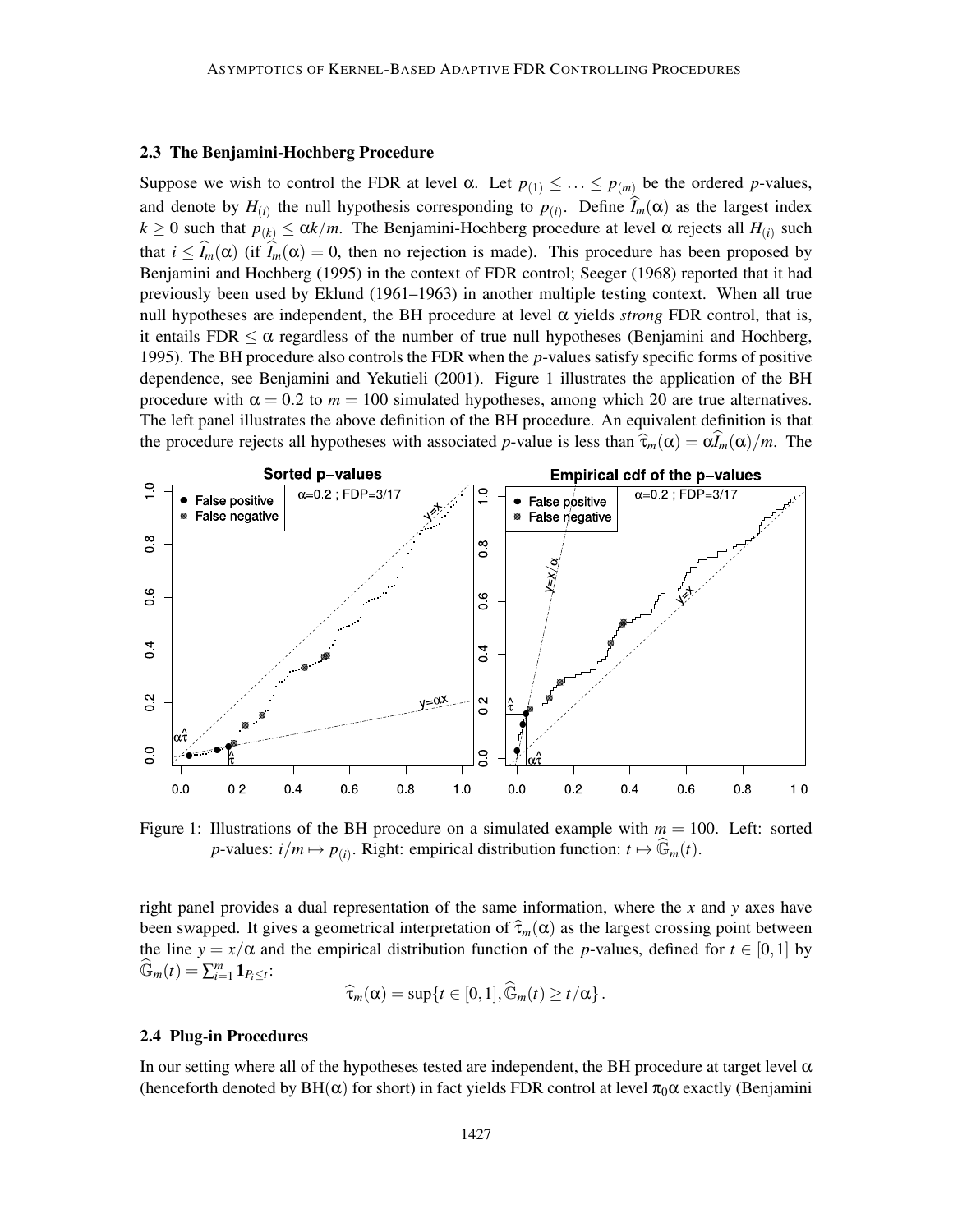## 2.3 The Benjamini-Hochberg Procedure

Suppose we wish to control the FDR at level  $\alpha$ . Let  $p_{(1)} \leq \ldots \leq p_{(m)}$  be the ordered *p*-values, and denote by  $H_{(i)}$  the null hypothesis corresponding to  $p_{(i)}$ . Define  $I_m(\alpha)$  as the largest index  $k \geq 0$  such that  $p_{(k)} \leq \alpha k/m$ . The Benjamini-Hochberg procedure at level  $\alpha$  rejects all  $H_{(i)}$  such that  $i \leq \widehat{I}_m(\alpha)$  (if  $\widehat{I}_m(\alpha) = 0$ , then no rejection is made). This procedure has been proposed by Benjamini and Hochberg (1995) in the context of FDR control; Seeger (1968) reported that it had previously been used by Eklund (1961–1963) in another multiple testing context. When all true null hypotheses are independent, the BH procedure at level  $\alpha$  yields *strong* FDR control, that is, it entails FDR  $\leq \alpha$  regardless of the number of true null hypotheses (Benjamini and Hochberg, 1995). The BH procedure also controls the FDR when the *p*-values satisfy specific forms of positive dependence, see Benjamini and Yekutieli (2001). Figure 1 illustrates the application of the BH procedure with  $\alpha = 0.2$  to  $m = 100$  simulated hypotheses, among which 20 are true alternatives. The left panel illustrates the above definition of the BH procedure. An equivalent definition is that the procedure rejects all hypotheses with associated *p*-value is less than  $\hat{\tau}_m(\alpha) = \alpha \hat{I}_m(\alpha)/m$ . The



Figure 1: Illustrations of the BH procedure on a simulated example with  $m = 100$ . Left: sorted *p*-values:  $i/m \mapsto p_{(i)}$ . Right: empirical distribution function:  $t \mapsto \widehat{\mathbb{G}}_m(t)$ .

right panel provides a dual representation of the same information, where the *x* and *y* axes have been swapped. It gives a geometrical interpretation of  $\hat{\tau}_m(\alpha)$  as the largest crossing point between the line  $y = x/\alpha$  and the empirical distribution function of the *p*-values, defined for  $t \in [0,1]$  by  $\widehat{\mathbb{G}}_m(t) = \sum_{i=1}^m \mathbf{1}_{P_i \leq t}$ 

$$
\widehat{\tau}_m(\alpha) = \sup\{t \in [0,1], \widehat{\mathbb{G}}_m(t) \ge t/\alpha\}.
$$

## 2.4 Plug-in Procedures

In our setting where all of the hypotheses tested are independent, the BH procedure at target level  $\alpha$ (henceforth denoted by  $BH(\alpha)$  for short) in fact yields FDR control at level  $\pi_0 \alpha$  exactly (Benjamini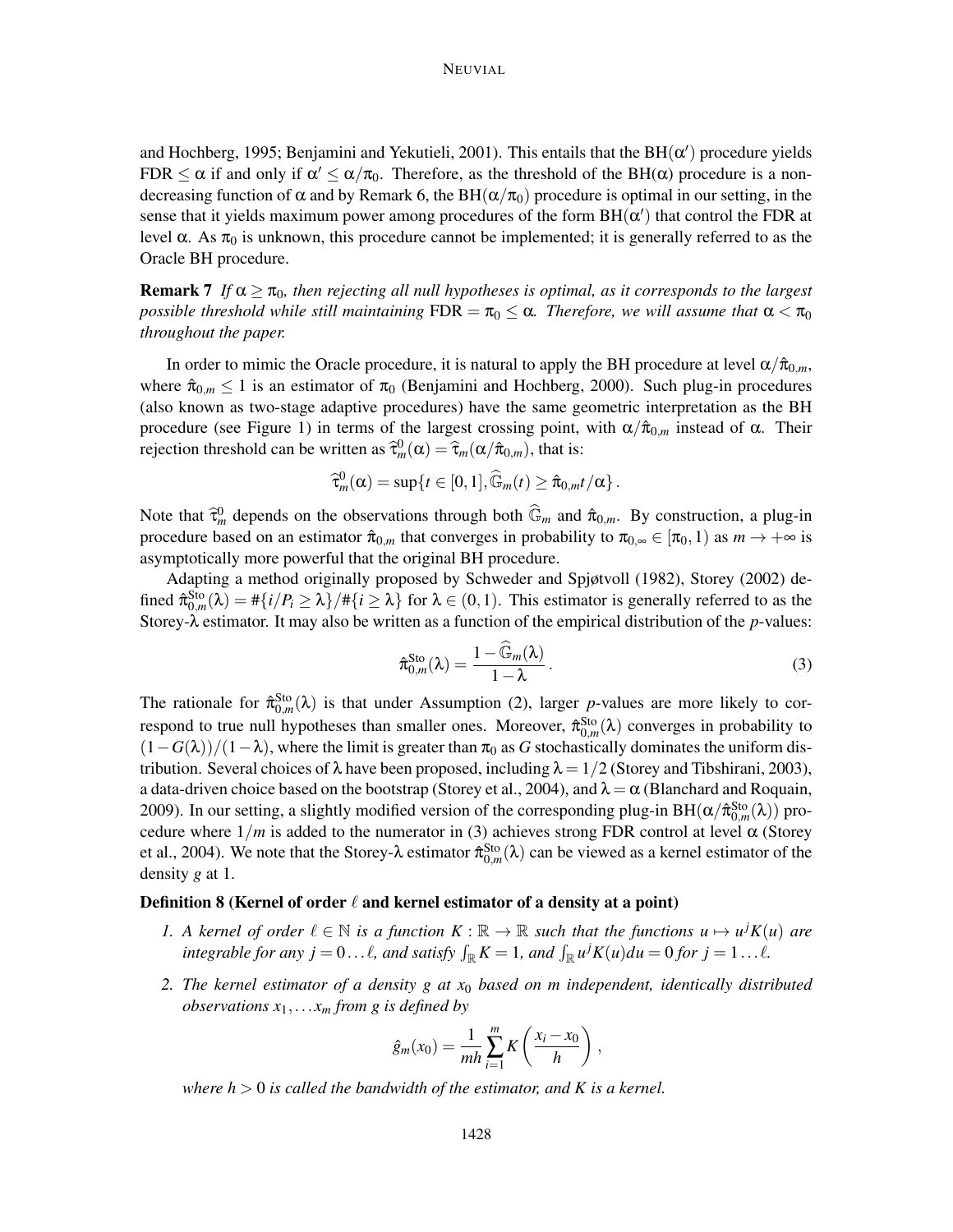## NEUVIAL

and Hochberg, 1995; Benjamini and Yekutieli, 2001). This entails that the  $BH(\alpha')$  procedure yields FDR  $\leq \alpha$  if and only if  $\alpha' \leq \alpha/\pi_0$ . Therefore, as the threshold of the BH( $\alpha$ ) procedure is a nondecreasing function of  $\alpha$  and by Remark 6, the BH( $\alpha/\pi_0$ ) procedure is optimal in our setting, in the sense that it yields maximum power among procedures of the form  $BH(\alpha')$  that control the FDR at level α. As  $\pi_0$  is unknown, this procedure cannot be implemented; it is generally referred to as the Oracle BH procedure.

**Remark 7** *If*  $\alpha \geq \pi_0$ , then rejecting all null hypotheses is optimal, as it corresponds to the largest *possible threshold while still maintaining*  $FDR = \pi_0 \leq \alpha$ . *Therefore, we will assume that*  $\alpha < \pi_0$ *throughout the paper.*

In order to mimic the Oracle procedure, it is natural to apply the BH procedure at level  $\alpha/\hat{\pi}_{0,m}$ , where  $\hat{\pi}_{0,m} \leq 1$  is an estimator of  $\pi_0$  (Benjamini and Hochberg, 2000). Such plug-in procedures (also known as two-stage adaptive procedures) have the same geometric interpretation as the BH procedure (see Figure 1) in terms of the largest crossing point, with  $\alpha/\hat{\pi}_{0,m}$  instead of  $\alpha$ . Their rejection threshold can be written as  $\hat{\tau}_m^0(\alpha) = \hat{\tau}_m(\alpha/\hat{\pi}_{0,m})$ , that is:

$$
\widehat{\tau}_m^0(\alpha) = \sup\{t \in [0,1], \widehat{\mathbb{G}}_m(t) \geq \widehat{\pi}_{0,m}t/\alpha\}.
$$

Note that  $\hat{\tau}_m^0$  depends on the observations through both  $\widehat{\mathbb{G}}_m$  and  $\hat{\pi}_{0,m}$ . By construction, a plug-in procedure based on an estimator  $\hat{\pi}_{0,m}$  that converges in probability to  $\pi_{0,\infty} \in [\pi_0,1)$  as  $m \to +\infty$  is asymptotically more powerful that the original BH procedure.

Adapting a method originally proposed by Schweder and Spjøtvoll (1982), Storey (2002) defined  $\hat{\pi}_{0,m}^{Sto}(\lambda) = \#\{i/P_i \ge \lambda\} / \#\{i \ge \lambda\}$  for  $\lambda \in (0,1)$ . This estimator is generally referred to as the Storey-λ estimator. It may also be written as a function of the empirical distribution of the *p*-values:

$$
\hat{\pi}_{0,m}^{\text{Sto}}(\lambda) = \frac{1 - \widehat{\mathbb{G}}_m(\lambda)}{1 - \lambda}.
$$
\n(3)

The rationale for  $\hat{\pi}_{0,m}^{Sto}(\lambda)$  is that under Assumption (2), larger *p*-values are more likely to correspond to true null hypotheses than smaller ones. Moreover,  $\hat{\pi}_{0,m}^{\text{Sto}}(\lambda)$  converges in probability to  $(1-G(\lambda))/(1-\lambda)$ , where the limit is greater than  $\pi_0$  as *G* stochastically dominates the uniform distribution. Several choices of  $\lambda$  have been proposed, including  $\lambda = 1/2$  (Storey and Tibshirani, 2003), a data-driven choice based on the bootstrap (Storey et al., 2004), and  $\lambda = \alpha$  (Blanchard and Roquain, 2009). In our setting, a slightly modified version of the corresponding plug-in BH( $\alpha/\hat{\pi}_{0,m}^{Sto}(\lambda)$ ) procedure where  $1/m$  is added to the numerator in (3) achieves strong FDR control at level  $\alpha$  (Storey et al., 2004). We note that the Storey- $\lambda$  estimator  $\hat{\pi}_{0,m}^{Sto}(\lambda)$  can be viewed as a kernel estimator of the density *g* at 1.

## Definition 8 (Kernel of order  $\ell$  and kernel estimator of a density at a point)

- *1.* A kernel of order  $\ell \in \mathbb{N}$  is a function  $K : \mathbb{R} \to \mathbb{R}$  such that the functions  $u \mapsto u^j K(u)$  are *integrable for any j* = 0...  $\ell$ *, and satisfy*  $\int_{\mathbb{R}} K = 1$ *, and*  $\int_{\mathbb{R}} u^j K(u) du = 0$  *for j* = 1...  $\ell$ *.*
- *2. The kernel estimator of a density g at x*<sup>0</sup> *based on m independent, identically distributed observations*  $x_1$ ,...*x<sub>m</sub> from g is defined by*

$$
\hat{g}_m(x_0) = \frac{1}{mh} \sum_{i=1}^m K\left(\frac{x_i - x_0}{h}\right),
$$

*where*  $h > 0$  *is called the bandwidth of the estimator, and K is a kernel.*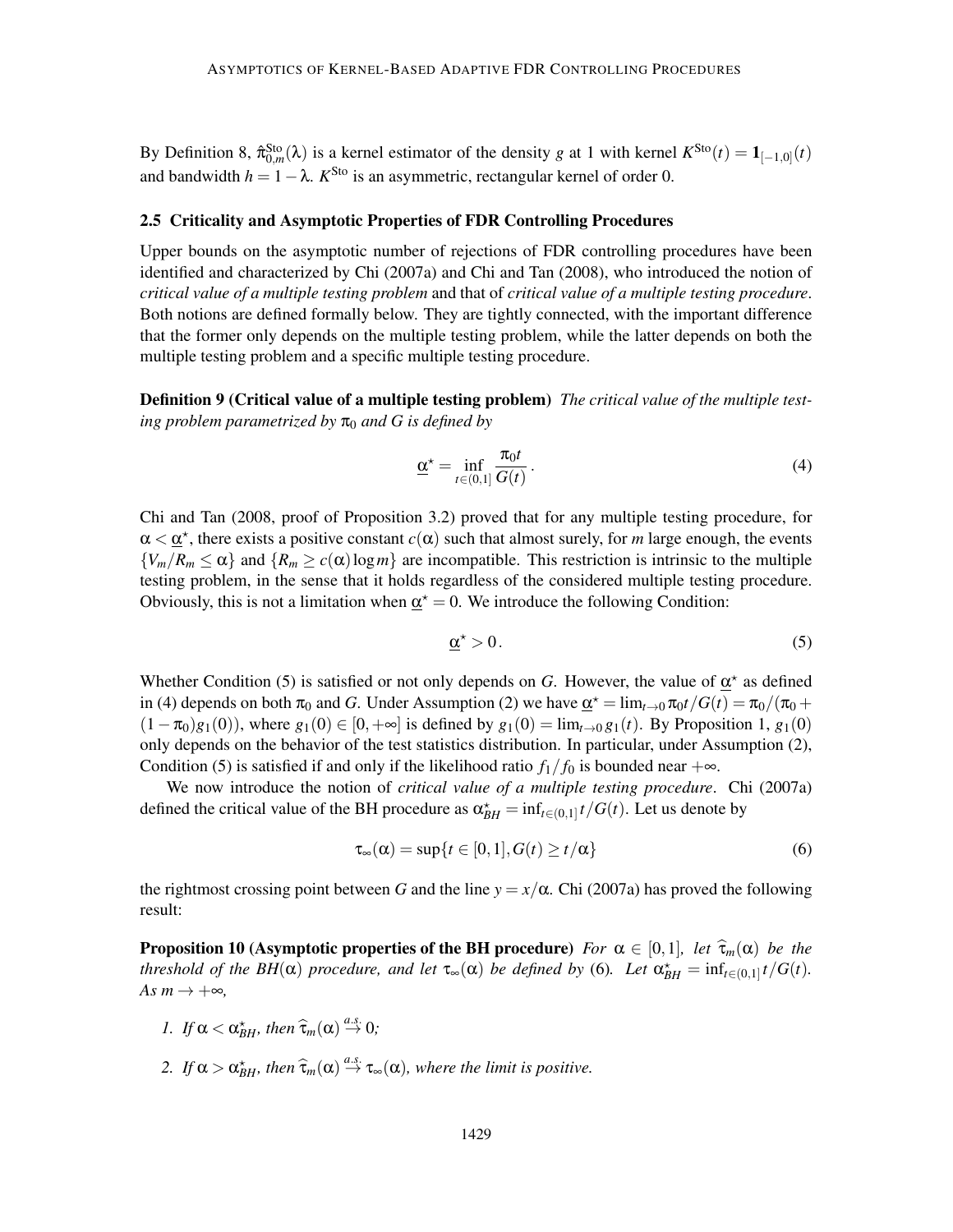By Definition 8,  $\hat{\pi}_{0,m}^{Sto}(\lambda)$  is a kernel estimator of the density *g* at 1 with kernel  $K^{Sto}(t) = \mathbf{1}_{[-1,0]}(t)$ and bandwidth  $h = 1 - \lambda$ .  $K^{\text{Sto}}$  is an asymmetric, rectangular kernel of order 0.

## 2.5 Criticality and Asymptotic Properties of FDR Controlling Procedures

Upper bounds on the asymptotic number of rejections of FDR controlling procedures have been identified and characterized by Chi (2007a) and Chi and Tan (2008), who introduced the notion of *critical value of a multiple testing problem* and that of *critical value of a multiple testing procedure*. Both notions are defined formally below. They are tightly connected, with the important difference that the former only depends on the multiple testing problem, while the latter depends on both the multiple testing problem and a specific multiple testing procedure.

Definition 9 (Critical value of a multiple testing problem) *The critical value of the multiple testing problem parametrized by*  $\pi_0$  *and* G *is defined by* 

$$
\underline{\alpha}^{\star} = \inf_{t \in (0,1]} \frac{\pi_0 t}{G(t)}.
$$
\n(4)

Chi and Tan (2008, proof of Proposition 3.2) proved that for any multiple testing procedure, for  $\alpha < \underline{\alpha}^*$ , there exists a positive constant  $c(\alpha)$  such that almost surely, for *m* large enough, the events  ${V_m/R_m \leq \alpha}$  and  ${R_m \geq c(\alpha) \log m}$  are incompatible. This restriction is intrinsic to the multiple testing problem, in the sense that it holds regardless of the considered multiple testing procedure. Obviously, this is not a limitation when  $\underline{\alpha}^* = 0$ . We introduce the following Condition:

$$
\underline{\alpha}^{\star} > 0. \tag{5}
$$

Whether Condition (5) is satisfied or not only depends on *G*. However, the value of  $\underline{\alpha}^*$  as defined in (4) depends on both  $\pi_0$  and *G*. Under Assumption (2) we have  $\underline{\alpha}^* = \lim_{t \to 0} \pi_0 t / G(t) = \pi_0 / (\pi_0 +$  $(1-\pi_0)g_1(0)$ , where  $g_1(0) \in [0, +\infty]$  is defined by  $g_1(0) = \lim_{t \to 0} g_1(t)$ . By Proposition 1,  $g_1(0)$ only depends on the behavior of the test statistics distribution. In particular, under Assumption (2), Condition (5) is satisfied if and only if the likelihood ratio  $f_1/f_0$  is bounded near  $+\infty$ .

We now introduce the notion of *critical value of a multiple testing procedure*. Chi (2007a) defined the critical value of the BH procedure as  $\alpha_{BH}^* = \inf_{t \in (0,1]} t/G(t)$ . Let us denote by

$$
\tau_{\infty}(\alpha) = \sup\{t \in [0,1], G(t) \ge t/\alpha\}
$$
\n(6)

the rightmost crossing point between *G* and the line  $y = x/\alpha$ . Chi (2007a) has proved the following result:

**Proposition 10 (Asymptotic properties of the BH procedure)** *For*  $\alpha \in [0,1]$ *, let*  $\widehat{\tau}_m(\alpha)$  *be the threshold of the BH*( $\alpha$ ) *procedure, and let*  $\tau_{\infty}(\alpha)$  *be defined by* (6). Let  $\alpha_{BH}^* = \inf_{t \in (0,1]} t/G(t)$ .  $As m \rightarrow +\infty$ ,

- *I.* If  $\alpha < \alpha_{BH}^*$ , then  $\widehat{\tau}_m(\alpha) \stackrel{a.s.}{\rightarrow} 0$ ;
- 2. If  $\alpha > \alpha_{BH}^*$ , then  $\widehat{\tau}_m(\alpha) \stackrel{a.s.}{\rightarrow} \tau_\infty(\alpha)$ , where the limit is positive.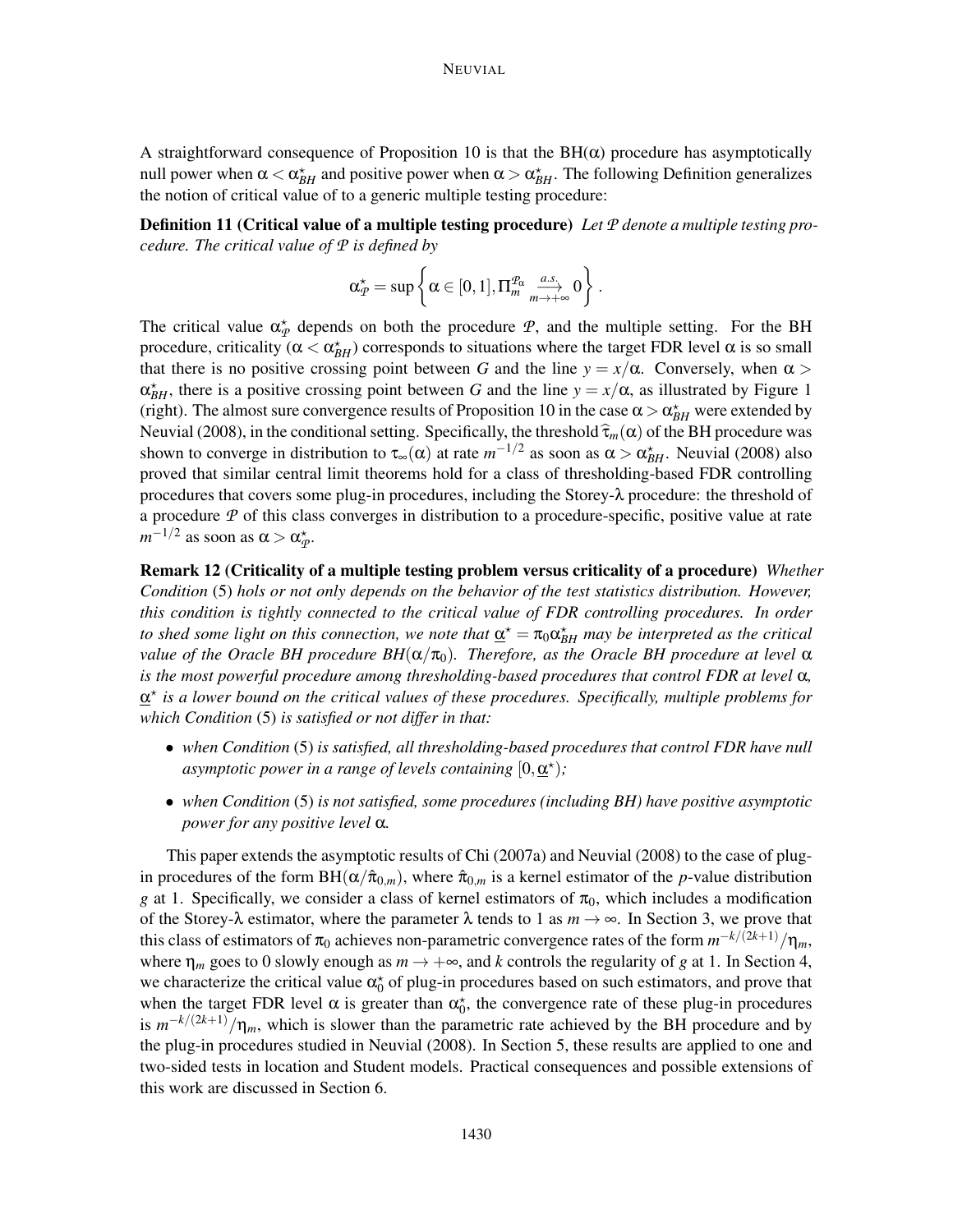A straightforward consequence of Proposition 10 is that the  $BH(\alpha)$  procedure has asymptotically null power when  $\alpha < \alpha_{BH}^*$  and positive power when  $\alpha > \alpha_{BH}^*$ . The following Definition generalizes the notion of critical value of to a generic multiple testing procedure:

Definition 11 (Critical value of a multiple testing procedure) *Let P denote a multiple testing procedure. The critical value of P is defined by*

$$
\alpha_{\text{P}}^{\star}=\sup\left\{\alpha\in[0,1],\Pi_{\text{m}}^{\text{P}_{\alpha}}\underset{\text{m}\rightarrow+\infty}{\overset{a.s.}{\longrightarrow}}0\right\}\,.
$$

The critical value  $\alpha_{\mathcal{P}}^*$  depends on both the procedure  $\mathcal{P}$ , and the multiple setting. For the BH procedure, criticality ( $\alpha < \alpha_{BH}^*$ ) corresponds to situations where the target FDR level  $\alpha$  is so small that there is no positive crossing point between *G* and the line  $y = x/\alpha$ . Conversely, when  $\alpha$  $\alpha_{BH}^*$ , there is a positive crossing point between *G* and the line  $y = x/\alpha$ , as illustrated by Figure 1 (right). The almost sure convergence results of Proposition 10 in the case  $\alpha > \alpha_{BH}^*$  were extended by Neuvial (2008), in the conditional setting. Specifically, the threshold  $\hat{\tau}_m(\alpha)$  of the BH procedure was shown to converge in distribution to  $\tau_\infty(\alpha)$  at rate  $m^{-1/2}$  as soon as  $\alpha > \alpha_{BH}^*$ . Neuvial (2008) also proved that similar central limit theorems hold for a class of thresholding-based FDR controlling procedures that covers some plug-in procedures, including the Storey-λ procedure: the threshold of a procedure *P* of this class converges in distribution to a procedure-specific, positive value at rate  $m^{-1/2}$  as soon as  $\alpha > \alpha_{\mathcal{P}}^*$ .

Remark 12 (Criticality of a multiple testing problem versus criticality of a procedure) *Whether Condition* (5) *hols or not only depends on the behavior of the test statistics distribution. However, this condition is tightly connected to the critical value of FDR controlling procedures. In order to shed some light on this connection, we note that*  $\underline{\alpha}^* = \pi_0 \alpha^*_{BH}$  *may be interpreted as the critical value of the Oracle BH procedure*  $BH(\alpha/\pi_0)$ *. Therefore, as the Oracle BH procedure at level*  $\alpha$ *is the most powerful procedure among thresholding-based procedures that control FDR at level* α*,* α ⋆ *is a lower bound on the critical values of these procedures. Specifically, multiple problems for which Condition* (5) *is satisfied or not differ in that:*

- *when Condition* (5) *is satisfied, all thresholding-based procedures that control FDR have null asymptotic power in a range of levels containing*  $[0, \underline{\alpha}^{\star})$ ;
- *when Condition* (5) *is not satisfied, some procedures (including BH) have positive asymptotic power for any positive level* α*.*

This paper extends the asymptotic results of Chi (2007a) and Neuvial (2008) to the case of plugin procedures of the form  $BH(\alpha/\hat{\pi}_{0,m})$ , where  $\hat{\pi}_{0,m}$  is a kernel estimator of the *p*-value distribution *g* at 1. Specifically, we consider a class of kernel estimators of  $\pi_0$ , which includes a modification of the Storey- $\lambda$  estimator, where the parameter  $\lambda$  tends to 1 as  $m \to \infty$ . In Section 3, we prove that this class of estimators of  $\pi_0$  achieves non-parametric convergence rates of the form  $m^{-k/(2k+1)}/\eta_m$ , where  $\eta_m$  goes to 0 slowly enough as  $m \to +\infty$ , and *k* controls the regularity of *g* at 1. In Section 4, we characterize the critical value  $\alpha_0^*$  of plug-in procedures based on such estimators, and prove that when the target FDR level  $\alpha$  is greater than  $\alpha_0^*$ , the convergence rate of these plug-in procedures is  $m^{-k/(2k+1)}/\eta_m$ , which is slower than the parametric rate achieved by the BH procedure and by the plug-in procedures studied in Neuvial (2008). In Section 5, these results are applied to one and two-sided tests in location and Student models. Practical consequences and possible extensions of this work are discussed in Section 6.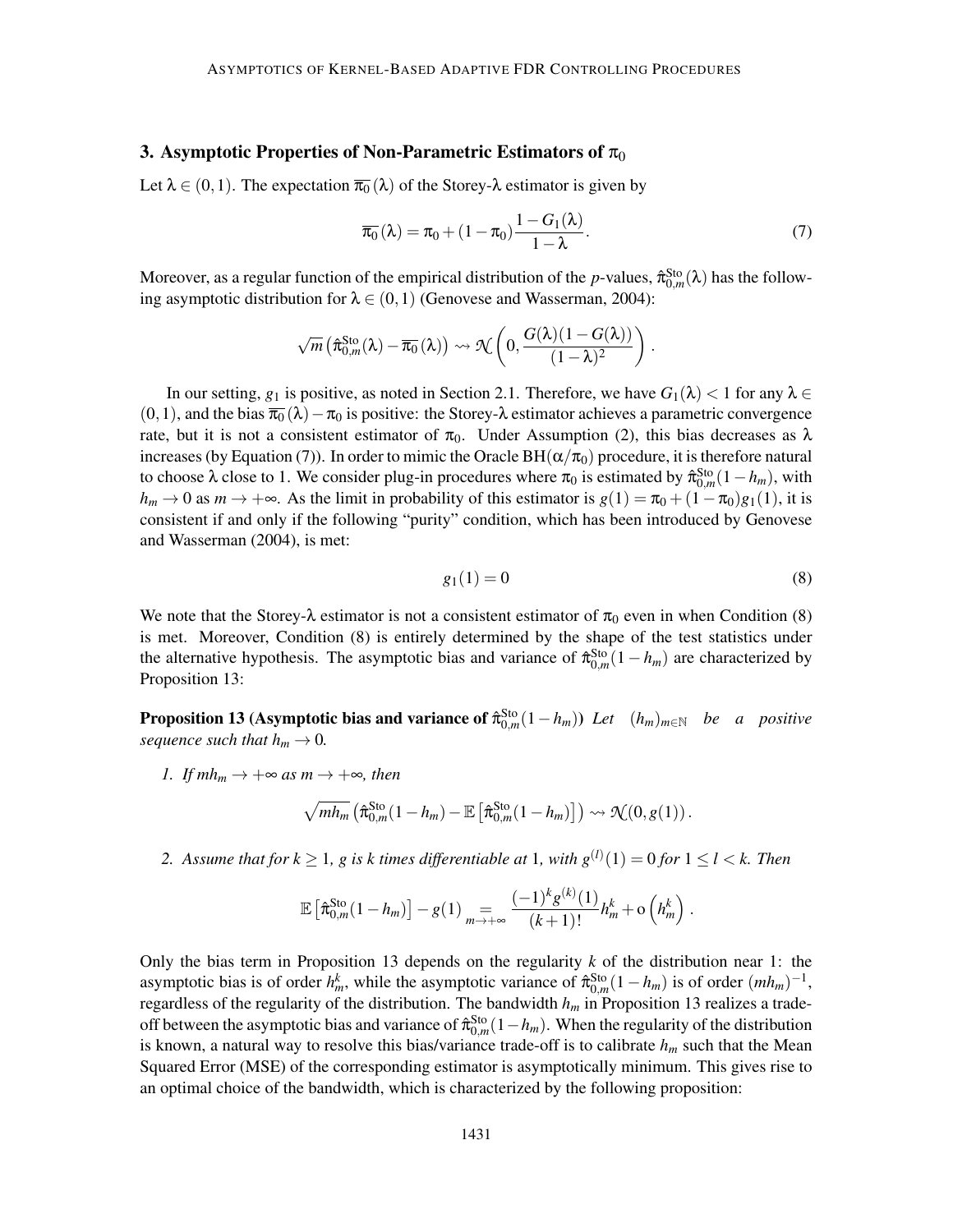## 3. Asymptotic Properties of Non-Parametric Estimators of  $\pi_0$

Let  $\lambda \in (0,1)$ . The expectation  $\overline{\pi_0}(\lambda)$  of the Storey- $\lambda$  estimator is given by

$$
\overline{\pi_0}(\lambda) = \pi_0 + (1 - \pi_0) \frac{1 - G_1(\lambda)}{1 - \lambda}.
$$
\n(7)

Moreover, as a regular function of the empirical distribution of the *p*-values,  $\hat{\pi}_{0,m}^{Sto}(\lambda)$  has the following asymptotic distribution for  $\lambda \in (0,1)$  (Genovese and Wasserman, 2004):

$$
\sqrt{m}\left(\hat{\pi}_{0,m}^{\mathrm{Sto}}(\lambda)-\overline{\pi_0}(\lambda)\right)\rightsquigarrow \mathcal{H}\left(0,\frac{G(\lambda)(1-G(\lambda))}{(1-\lambda)^2}\right)
$$

In our setting,  $g_1$  is positive, as noted in Section 2.1. Therefore, we have  $G_1(\lambda) < 1$  for any  $\lambda \in$  $(0,1)$ , and the bias  $\overline{\pi_0}(\lambda)-\pi_0$  is positive: the Storey- $\lambda$  estimator achieves a parametric convergence rate, but it is not a consistent estimator of  $\pi_0$ . Under Assumption (2), this bias decreases as  $\lambda$ increases (by Equation (7)). In order to mimic the Oracle BH( $\alpha/\pi_0$ ) procedure, it is therefore natural to choose  $\lambda$  close to 1. We consider plug-in procedures where  $\pi_0$  is estimated by  $\hat{\pi}_{0,m}^{Sto}(1-h_m)$ , with  $h_m \to 0$  as  $m \to +\infty$ . As the limit in probability of this estimator is  $g(1) = \pi_0 + (1-\pi_0)g_1(1)$ , it is consistent if and only if the following "purity" condition, which has been introduced by Genovese and Wasserman (2004), is met:

$$
g_1(1) = 0 \tag{8}
$$

.

We note that the Storey- $\lambda$  estimator is not a consistent estimator of  $\pi_0$  even in when Condition (8) is met. Moreover, Condition (8) is entirely determined by the shape of the test statistics under the alternative hypothesis. The asymptotic bias and variance of  $\hat{\pi}_{0,m}^{Sto}(1-h_m)$  are characterized by Proposition 13:

**Proposition 13 (Asymptotic bias and variance of**  $\hat{\pi}_{0,m}^{\text{Sto}}(1-h_m)$ **)** *Let* $(h_m)_{m\in\mathbb{N}}$ *be a positive sequence such that*  $h_m \to 0$ .

*1. If*  $mh_m \to +\infty$  *as*  $m \to +\infty$ *, then* 

$$
\sqrt{mh_m}\left(\widehat{\pi}_{0,m}^{\mathrm{Sto}}(1-h_m)-\mathbb{E}\left[\widehat{\pi}_{0,m}^{\mathrm{Sto}}(1-h_m)\right]\right)\rightsquigarrow \mathcal{N}(0,g(1)).
$$

2. Assume that for  $k \geq 1$ , g is k times differentiable at 1, with  $g^{(l)}(1) = 0$  for  $1 \leq l < k$ . Then

$$
\mathbb{E}\left[\hat{\pi}_{0,m}^{\text{Sto}}(1-h_m)\right]-g(1)\underset{m\to+\infty}{=} \frac{(-1)^k g^{(k)}(1)}{(k+1)!}h_m^k+\mathrm{o}\left(h_m^k\right).
$$

Only the bias term in Proposition 13 depends on the regularity *k* of the distribution near 1: the asymptotic bias is of order  $h_m^k$ , while the asymptotic variance of  $\hat{\pi}_{0,m}^{\text{Sto}}(1-h_m)$  is of order  $(mh_m)^{-1}$ , regardless of the regularity of the distribution. The bandwidth *h<sup>m</sup>* in Proposition 13 realizes a tradeoff between the asymptotic bias and variance of  $\hat{\pi}_{0,m}^{Sto}(1-h_m)$ . When the regularity of the distribution is known, a natural way to resolve this bias/variance trade-off is to calibrate *h<sup>m</sup>* such that the Mean Squared Error (MSE) of the corresponding estimator is asymptotically minimum. This gives rise to an optimal choice of the bandwidth, which is characterized by the following proposition: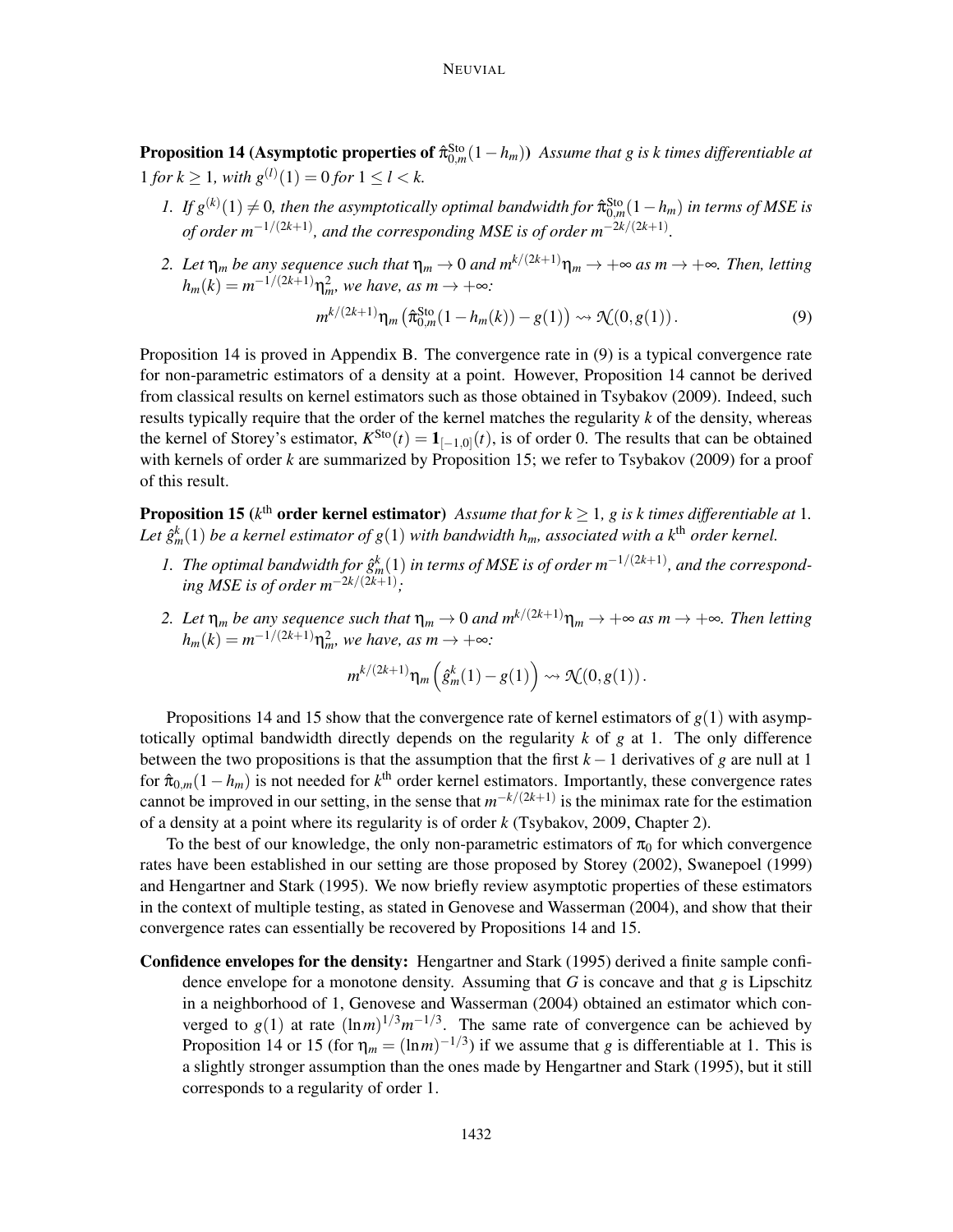**Proposition 14 (Asymptotic properties of**  $\hat{\pi}_{0,m}^{Sto}(1-h_m)$ **)** *Assume that g is k times differentiable at*  $1$  *for*  $k \ge 1$ *, with*  $g^{(l)}(1) = 0$  *for*  $1 \le l < k$ *.* 

- 1. If  $g^{(k)}(1) \neq 0$ , then the asymptotically optimal bandwidth for  $\hat{\pi}_{0,m}^{\text{Sto}}(1-h_m)$  in terms of MSE is *of order m*−1/(2*k*+1) *, and the corresponding MSE is of order m*−2*k*/(2*k*+1) *.*
- *2. Let*  $\eta_m$  *be any sequence such that*  $\eta_m \to 0$  *and*  $m^{k/(2k+1)}\eta_m \to +\infty$  *as*  $m \to +\infty$ *. Then, letting*  $h_m(k) = m^{-1/(2k+1)} \eta_m^2$ , we have, as  $m \to +\infty$ :

$$
m^{k/(2k+1)}\eta_m\left(\hat{\pi}_{0,m}^{\text{Sto}}(1-h_m(k)) - g(1)\right) \rightsquigarrow \mathcal{N}(0,g(1)).
$$
\n(9)

Proposition 14 is proved in Appendix B. The convergence rate in (9) is a typical convergence rate for non-parametric estimators of a density at a point. However, Proposition 14 cannot be derived from classical results on kernel estimators such as those obtained in Tsybakov (2009). Indeed, such results typically require that the order of the kernel matches the regularity *k* of the density, whereas the kernel of Storey's estimator,  $K^{\text{Sto}}(t) = \mathbf{1}_{[-1,0]}(t)$ , is of order 0. The results that can be obtained with kernels of order *k* are summarized by Proposition 15; we refer to Tsybakov (2009) for a proof of this result.

**Proposition 15** ( $k^{\text{th}}$  order kernel estimator) *Assume that for*  $k \geq 1$ , g is k times differentiable at 1. Let  $\hat{g}_{m}^{k}(1)$  be a kernel estimator of  $g(1)$  with bandwidth  $h_{m}$ , associated with a k<sup>th</sup> order kernel.

- 1. The optimal bandwidth for  $\hat{g}_m^k(1)$  in terms of MSE is of order  $m^{-1/(2k+1)}$ , and the correspond*ing MSE is of order*  $m^{-2k/(2k+1)}$ ;
- *2. Let*  $\eta_m$  *be any sequence such that*  $\eta_m \to 0$  *and*  $m^{k/(2k+1)}\eta_m \to +\infty$  *as*  $m \to +\infty$ *. Then letting*  $h_m(k) = m^{-1/(2k+1)} \eta_m^2$ , we have, as  $m \to +\infty$ :

$$
m^{k/(2k+1)}\eta_m\left(\hat{g}_m^k(1)-g(1)\right)\leadsto\mathcal{N}(0,g(1))\,.
$$

Propositions 14 and 15 show that the convergence rate of kernel estimators of  $g(1)$  with asymptotically optimal bandwidth directly depends on the regularity *k* of *g* at 1. The only difference between the two propositions is that the assumption that the first  $k - 1$  derivatives of *g* are null at 1 for  $\hat{\pi}_{0,m}(1-h_m)$  is not needed for  $k^{\text{th}}$  order kernel estimators. Importantly, these convergence rates cannot be improved in our setting, in the sense that  $m^{-k/(2k+1)}$  is the minimax rate for the estimation of a density at a point where its regularity is of order *k* (Tsybakov, 2009, Chapter 2).

To the best of our knowledge, the only non-parametric estimators of  $\pi_0$  for which convergence rates have been established in our setting are those proposed by Storey (2002), Swanepoel (1999) and Hengartner and Stark (1995). We now briefly review asymptotic properties of these estimators in the context of multiple testing, as stated in Genovese and Wasserman (2004), and show that their convergence rates can essentially be recovered by Propositions 14 and 15.

Confidence envelopes for the density: Hengartner and Stark (1995) derived a finite sample confidence envelope for a monotone density. Assuming that *G* is concave and that *g* is Lipschitz in a neighborhood of 1, Genovese and Wasserman (2004) obtained an estimator which converged to  $g(1)$  at rate  $(\ln m)^{1/3}m^{-1/3}$ . The same rate of convergence can be achieved by Proposition 14 or 15 (for  $\eta_m = (\ln m)^{-1/3}$ ) if we assume that *g* is differentiable at 1. This is a slightly stronger assumption than the ones made by Hengartner and Stark (1995), but it still corresponds to a regularity of order 1.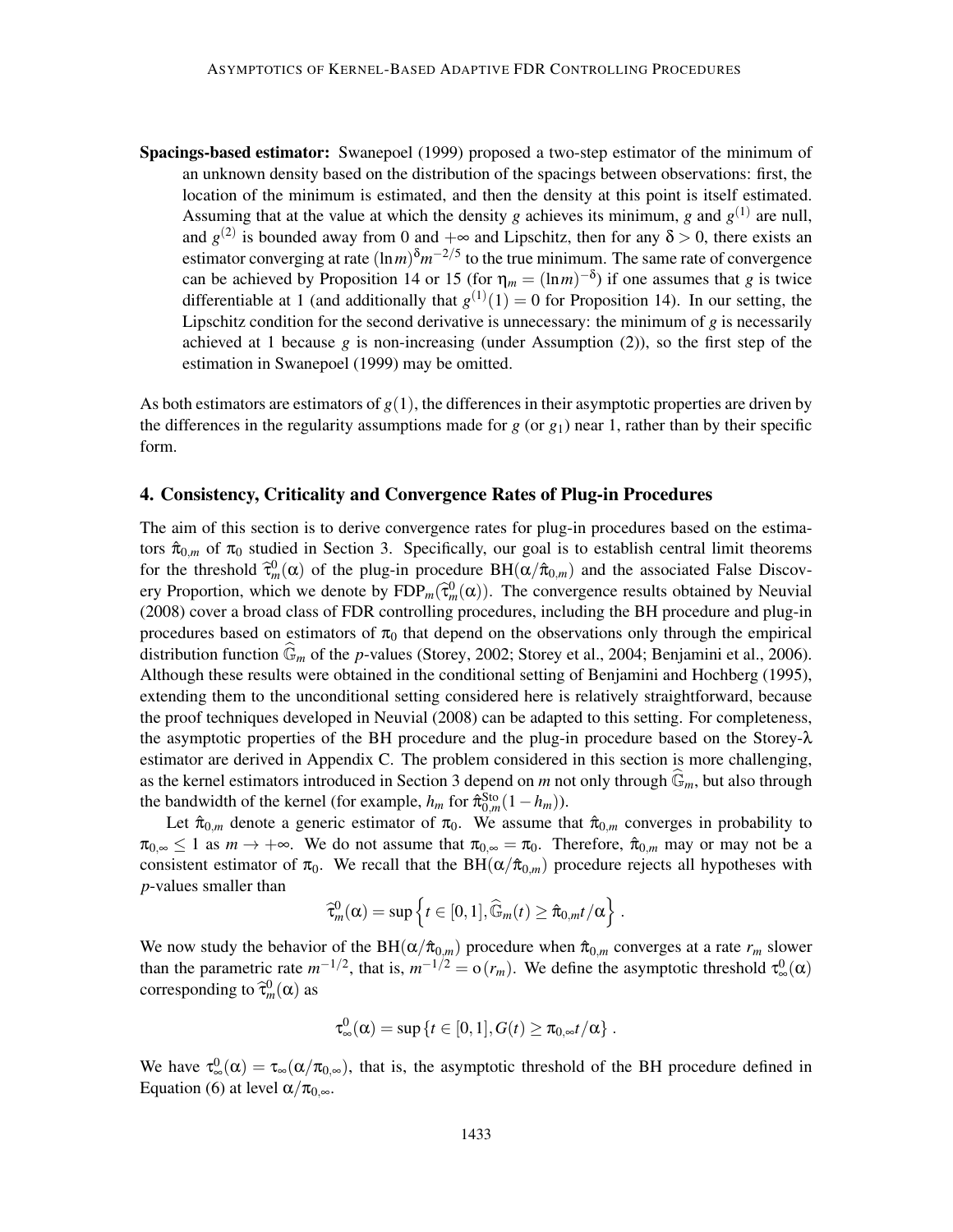Spacings-based estimator: Swanepoel (1999) proposed a two-step estimator of the minimum of an unknown density based on the distribution of the spacings between observations: first, the location of the minimum is estimated, and then the density at this point is itself estimated. Assuming that at the value at which the density *g* achieves its minimum, *g* and  $g^{(1)}$  are null, and  $g^{(2)}$  is bounded away from 0 and  $+\infty$  and Lipschitz, then for any  $\delta > 0$ , there exists an estimator converging at rate  $(\ln m)^{\delta} m^{-2/5}$  to the true minimum. The same rate of convergence can be achieved by Proposition 14 or 15 (for  $\eta_m = (\ln m)^{-\delta}$ ) if one assumes that *g* is twice differentiable at 1 (and additionally that  $g^{(1)}(1) = 0$  for Proposition 14). In our setting, the Lipschitz condition for the second derivative is unnecessary: the minimum of *g* is necessarily achieved at 1 because  $g$  is non-increasing (under Assumption (2)), so the first step of the estimation in Swanepoel (1999) may be omitted.

As both estimators are estimators of  $g(1)$ , the differences in their asymptotic properties are driven by the differences in the regularity assumptions made for  $g$  (or  $g_1$ ) near 1, rather than by their specific form.

## 4. Consistency, Criticality and Convergence Rates of Plug-in Procedures

The aim of this section is to derive convergence rates for plug-in procedures based on the estimators  $\hat{\pi}_{0,m}$  of  $\pi_0$  studied in Section 3. Specifically, our goal is to establish central limit theorems for the threshold  $\hat{\tau}_m^0(\alpha)$  of the plug-in procedure  $BH(\alpha/\hat{\pi}_{0,m})$  and the associated False Discovery Proportion, which we denote by  $FDP_m(\hat{\tau}_m^0(\alpha))$ . The convergence results obtained by Neuvial (2008) cover a broad class of FDR controlling procedures, including the BH procedure and plug-in procedures based on estimators of  $\pi_0$  that depend on the observations only through the empirical distribution function  $\mathbb{G}_m$  of the *p*-values (Storey, 2002; Storey et al., 2004; Benjamini et al., 2006). Although these results were obtained in the conditional setting of Benjamini and Hochberg (1995), extending them to the unconditional setting considered here is relatively straightforward, because the proof techniques developed in Neuvial (2008) can be adapted to this setting. For completeness, the asymptotic properties of the BH procedure and the plug-in procedure based on the Storey-λ estimator are derived in Appendix C. The problem considered in this section is more challenging, as the kernel estimators introduced in Section 3 depend on *m* not only through  $\mathbb{G}_m$ , but also through the bandwidth of the kernel (for example,  $h_m$  for  $\hat{\pi}_{0,m}^{\text{Sto}}(1-h_m)$ ).

Let  $\hat{\pi}_{0,m}$  denote a generic estimator of  $\pi_0$ . We assume that  $\hat{\pi}_{0,m}$  converges in probability to  $\pi_{0,\infty} \leq 1$  as  $m \to +\infty$ . We do not assume that  $\pi_{0,\infty} = \pi_0$ . Therefore,  $\hat{\pi}_{0,m}$  may or may not be a consistent estimator of  $\pi_0$ . We recall that the BH( $\alpha/\hat{\pi}_{0,m}$ ) procedure rejects all hypotheses with *p*-values smaller than

$$
\widehat{\tau}^0_m(\alpha) = \sup \left\{ t \in [0,1], \widehat{\mathbb{G}}_m(t) \geq \widehat{\pi}_{0,m} t/\alpha \right\}.
$$

We now study the behavior of the BH( $\alpha/\hat{\pi}_{0,m}$ ) procedure when  $\hat{\pi}_{0,m}$  converges at a rate  $r_m$  slower than the parametric rate  $m^{-1/2}$ , that is,  $m^{-1/2} = o(r_m)$ . We define the asymptotic threshold  $\tau_\infty^0(\alpha)$ corresponding to  $\hat{\tau}_m^0(\alpha)$  as

$$
\tau_{\infty}^0(\alpha) = \sup\left\{t \in [0,1], G(t) \geq \pi_{0,\infty} t/\alpha\right\}.
$$

We have  $\tau_{\infty}^{0}(\alpha) = \tau_{\infty}(\alpha/\pi_{0,\infty})$ , that is, the asymptotic threshold of the BH procedure defined in Equation (6) at level  $\alpha/\pi_0_{\infty}$ .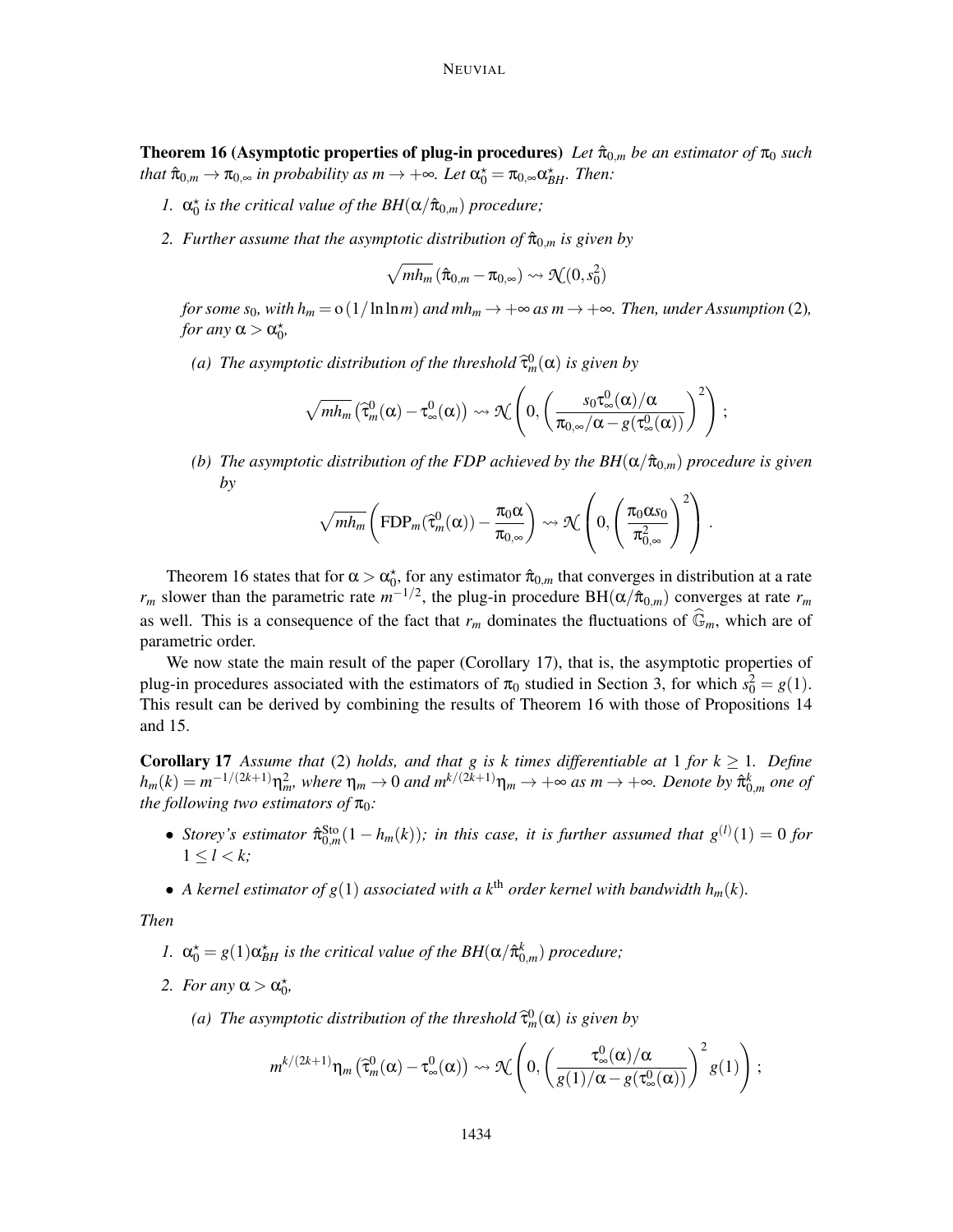**Theorem 16 (Asymptotic properties of plug-in procedures)** Let  $\hat{\pi}_{0,m}$  be an estimator of  $\pi_0$  such  $that\ \hat{\pi}_{0,m}\to\pi_{0,\infty}\ in\ probability\ as\ m\to+\infty.\ Let\ \alpha_0^\star=\pi_{0,\infty}\alpha_{BH}^\star.\ Then:$ 

- *l.*  $\alpha_0^*$  *is the critical value of the BH*( $\alpha/\hat{\pi}_{0,m}$ ) *procedure*;
- *2. Further assume that the asymptotic distribution of*  $\hat{\pi}_{0,m}$  *is given by*

$$
\sqrt{mh_m}\left(\hat{\pi}_{0,m} - \pi_{0,\infty}\right) \leadsto \mathcal{N}(0,s_0^2)
$$

*for some s*<sub>0</sub>*, with h*<sub>*m*</sub> =  $o(1/\ln \ln m)$  *and mh*<sub>*m*</sub>  $\rightarrow +\infty$  *as m*  $\rightarrow +\infty$ *. Then, under Assumption* (2)*, for any*  $\alpha > \alpha_0^*$ ,

(a) The asymptotic distribution of the threshold  $\widehat{\tau}^0_m(\alpha)$  is given by

$$
\sqrt{mh_m}\left(\widehat{\tau}^0_m(\alpha)-\tau^0_\infty(\alpha)\right)\rightsquigarrow\mathcal{H}\left(0,\left(\frac{s_0\tau^0_\infty(\alpha)/\alpha}{\pi_{0,\infty}/\alpha-g(\tau^0_\infty(\alpha))}\right)^2\right);
$$

*(b)* The asymptotic distribution of the FDP achieved by the  $BH(\alpha/\hat{\pi}_{0,m})$  procedure is given *by*

$$
\sqrt{mh_m}\left(\text{FDP}_m(\widehat{\tau}^0_m(\alpha))-\frac{\pi_0\alpha}{\pi_{0,\infty}}\right)\rightsquigarrow \mathcal{H}\left(0,\left(\frac{\pi_0\alpha_{s_0}}{\pi^2_{0,\infty}}\right)^2\right)\,.
$$

Theorem 16 states that for  $\alpha > \alpha_0^*$ , for any estimator  $\hat{\pi}_{0,m}$  that converges in distribution at a rate  $r_m$  slower than the parametric rate  $m^{-1/2}$ , the plug-in procedure BH( $\alpha/\hat{\pi}_{0,m}$ ) converges at rate  $r_m$ as well. This is a consequence of the fact that  $r_m$  dominates the fluctuations of  $\widehat{\mathbb{G}}_m$ , which are of parametric order.

We now state the main result of the paper (Corollary 17), that is, the asymptotic properties of plug-in procedures associated with the estimators of  $\pi_0$  studied in Section 3, for which  $s_0^2 = g(1)$ . This result can be derived by combining the results of Theorem 16 with those of Propositions 14 and 15.

**Corollary 17** Assume that (2) holds, and that g is k times differentiable at 1 for  $k \ge 1$ . Define  $h_m(k) = m^{-1/(2k+1)}\eta_m^2$ , where  $\eta_m \to 0$  and  $m^{k/(2k+1)}\eta_m \to +\infty$  as  $m \to +\infty$ . Denote by  $\hat{\pi}_{0,m}^k$  one of *the following two estimators of*  $\pi_0$ *:* 

- *Storey's estimator*  $\hat{\pi}_{0,m}^{Sto}(1-h_m(k))$ ; *in this case, it is further assumed that*  $g^{(l)}(1) = 0$  *for*  $1 \leq l \leq k$
- A kernel estimator of  $g(1)$  associated with a k<sup>th</sup> order kernel with bandwidth  $h_m(k)$ .

*Then*

- *I.*  $\alpha_0^* = g(1)\alpha_{BH}^*$  *is the critical value of the BH*( $\alpha/\hat{\pi}_{0,m}^k$ ) *procedure*;
- 2. *For any*  $\alpha > \alpha_0^*$ ,
	- (a) The asymptotic distribution of the threshold  $\widehat{\tau}^0_m(\alpha)$  is given by

$$
m^{k/(2k+1)}\eta_m\left(\widehat{\tau}^0_m(\alpha)-\tau^0_\infty(\alpha)\right)\rightsquigarrow \mathcal{H}\left(0,\left(\frac{\tau^0_\infty(\alpha)/\alpha}{g(1)/\alpha-g(\tau^0_\infty(\alpha))}\right)^2g(1)\right);
$$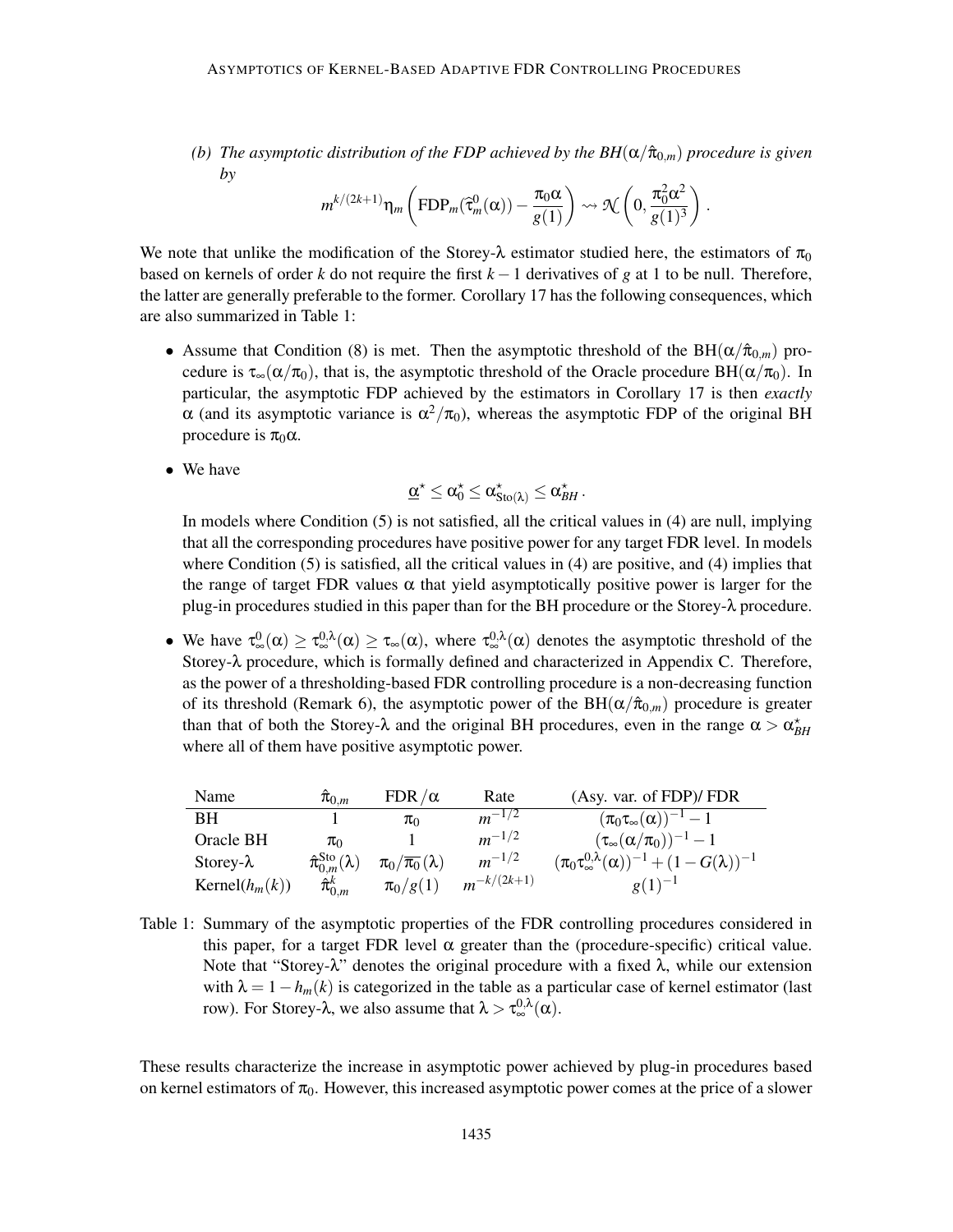*(b)* The asymptotic distribution of the FDP achieved by the  $BH(\alpha/\hat{\pi}_{0,m})$  procedure is given *by*

$$
m^{k/(2k+1)}\eta_m\left(\text{FDP}_m(\widehat{\tau}_m^0(\alpha))-\frac{\pi_0\alpha}{g(1)}\right)\rightsquigarrow \mathcal{N}\left(0,\frac{\pi_0^2\alpha^2}{g(1)^3}\right).
$$

We note that unlike the modification of the Storey- $\lambda$  estimator studied here, the estimators of  $\pi_0$ based on kernels of order *k* do not require the first *k* −1 derivatives of *g* at 1 to be null. Therefore, the latter are generally preferable to the former. Corollary 17 has the following consequences, which are also summarized in Table 1:

- Assume that Condition (8) is met. Then the asymptotic threshold of the BH( $\alpha/\hat{\pi}_{0,m}$ ) procedure is  $\tau_{\infty}(\alpha/\pi_0)$ , that is, the asymptotic threshold of the Oracle procedure BH( $\alpha/\pi_0$ ). In particular, the asymptotic FDP achieved by the estimators in Corollary 17 is then *exactly* α (and its asymptotic variance is  $\alpha^2/\pi_0$ ), whereas the asymptotic FDP of the original BH procedure is  $\pi_0 \alpha$ .
- We have

$$
\underline{\alpha}^\star \leq \alpha^\star_0 \leq \alpha^\star_{\mathrm{Sto}(\lambda)} \leq \alpha^\star_{\mathit{BH}}\,.
$$

In models where Condition (5) is not satisfied, all the critical values in (4) are null, implying that all the corresponding procedures have positive power for any target FDR level. In models where Condition (5) is satisfied, all the critical values in (4) are positive, and (4) implies that the range of target FDR values  $\alpha$  that yield asymptotically positive power is larger for the plug-in procedures studied in this paper than for the BH procedure or the Storey- $\lambda$  procedure.

• We have  $\tau_{\infty}^{0}(\alpha) \geq \tau_{\infty}^{0,\lambda}(\alpha) \geq \tau_{\infty}(\alpha)$ , where  $\tau_{\infty}^{0,\lambda}(\alpha)$  denotes the asymptotic threshold of the Storey-λ procedure, which is formally defined and characterized in Appendix C. Therefore, as the power of a thresholding-based FDR controlling procedure is a non-decreasing function of its threshold (Remark 6), the asymptotic power of the  $BH(\alpha/\hat{\pi}_{0,m})$  procedure is greater than that of both the Storey- $\lambda$  and the original BH procedures, even in the range  $\alpha > \alpha_{BH}^*$ where all of them have positive asymptotic power.

| Name              | $\pi_{0,m}$                               | FDR/ $\alpha$                     | Rate            | (Asy. var. of FDP)/ FDR                                                  |
|-------------------|-------------------------------------------|-----------------------------------|-----------------|--------------------------------------------------------------------------|
| BН                |                                           | $\pi_0$                           | $m^{-1/2}$      | $(\pi_0\tau_\infty(\alpha))^{-1}-1$                                      |
| Oracle BH         | $\pi_0$                                   |                                   | $m^{-1/2}$      | $(\tau_{\infty}(\alpha/\pi_0))^{-1}-1$                                   |
| Storey- $\lambda$ | $\hat{\pi}_{0,m}^{\mathrm{Sto}}(\lambda)$ | $\pi_0/\overline{\pi_0}(\lambda)$ | $m^{-1/2}$      | $(\pi_0 \tau_{\infty}^{0,\lambda}(\alpha))^{-1} + (1 - G(\lambda))^{-1}$ |
| Kernel $(h_m(k))$ | $\hat{\pi}^k_{0,m}$                       | $\pi_0/g(1)$                      | $m^{-k/(2k+1)}$ | $g(1)^{-1}$                                                              |

Table 1: Summary of the asymptotic properties of the FDR controlling procedures considered in this paper, for a target FDR level  $\alpha$  greater than the (procedure-specific) critical value. Note that "Storey-λ" denotes the original procedure with a fixed λ, while our extension with  $\lambda = 1 - h_m(k)$  is categorized in the table as a particular case of kernel estimator (last row). For Storey-λ, we also assume that  $\lambda > \tau_{\infty}^{0,\lambda}(\alpha)$ .

These results characterize the increase in asymptotic power achieved by plug-in procedures based on kernel estimators of  $\pi_0$ . However, this increased asymptotic power comes at the price of a slower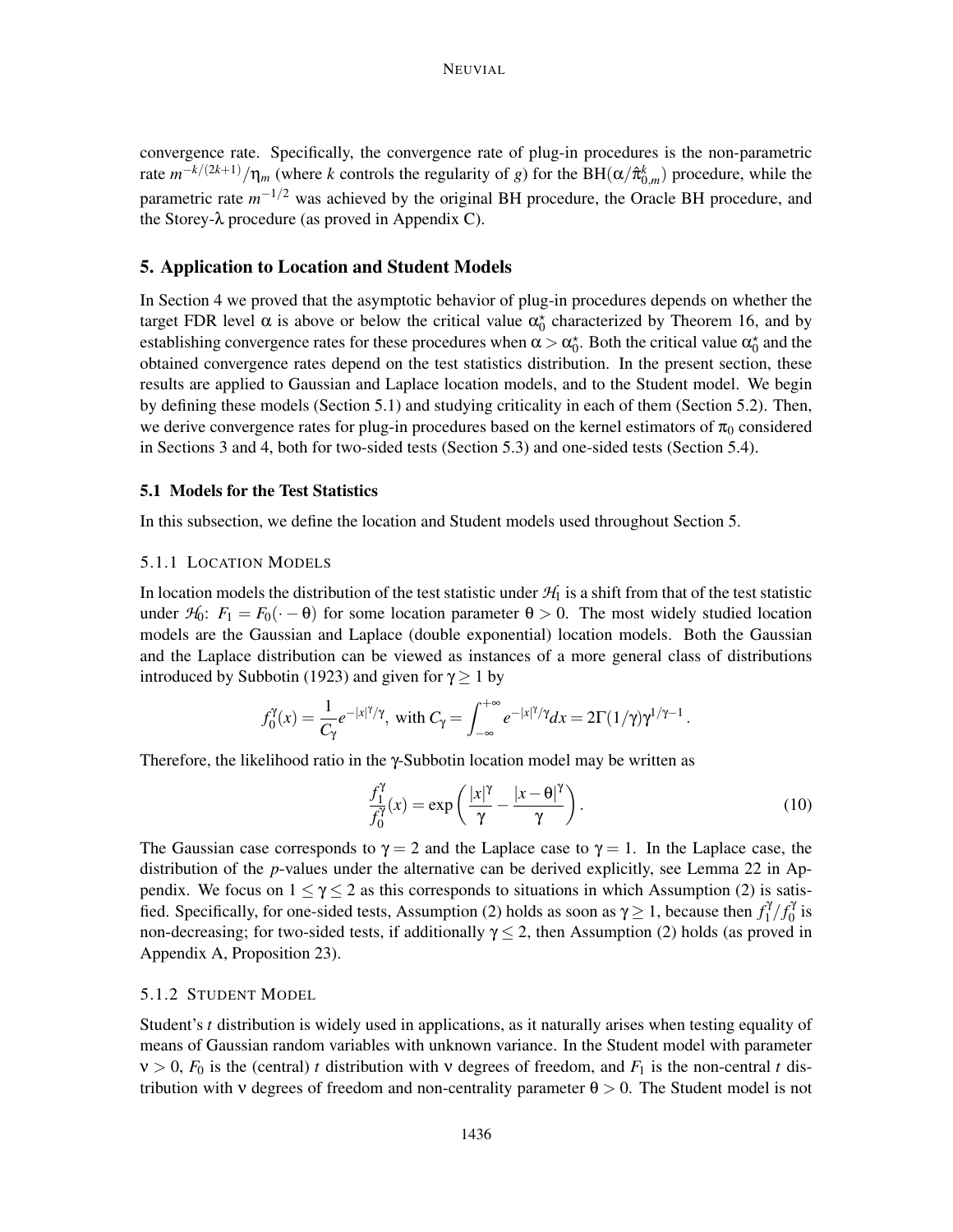convergence rate. Specifically, the convergence rate of plug-in procedures is the non-parametric rate  $m^{-k/(2k+1)}/\eta_m$  (where *k* controls the regularity of *g*) for the BH( $\alpha/\hat{\pi}_{0,m}^k$ ) procedure, while the parametric rate  $m^{-1/2}$  was achieved by the original BH procedure, the Oracle BH procedure, and the Storey-λ procedure (as proved in Appendix C).

## 5. Application to Location and Student Models

In Section 4 we proved that the asymptotic behavior of plug-in procedures depends on whether the target FDR level  $\alpha$  is above or below the critical value  $\alpha_0^*$  characterized by Theorem 16, and by establishing convergence rates for these procedures when  $\alpha > \alpha_0^*$ . Both the critical value  $\alpha_0^*$  and the obtained convergence rates depend on the test statistics distribution. In the present section, these results are applied to Gaussian and Laplace location models, and to the Student model. We begin by defining these models (Section 5.1) and studying criticality in each of them (Section 5.2). Then, we derive convergence rates for plug-in procedures based on the kernel estimators of  $\pi_0$  considered in Sections 3 and 4, both for two-sided tests (Section 5.3) and one-sided tests (Section 5.4).

#### 5.1 Models for the Test Statistics

In this subsection, we define the location and Student models used throughout Section 5.

## 5.1.1 LOCATION MODELS

In location models the distribution of the test statistic under  $H_1$  is a shift from that of the test statistic under  $H_0$ :  $F_1 = F_0(\cdot - \theta)$  for some location parameter  $\theta > 0$ . The most widely studied location models are the Gaussian and Laplace (double exponential) location models. Both the Gaussian and the Laplace distribution can be viewed as instances of a more general class of distributions introduced by Subbotin (1923) and given for  $\gamma \ge 1$  by

$$
f_0^{\gamma}(x) = \frac{1}{C_{\gamma}} e^{-|x|^{\gamma}/\gamma}, \text{ with } C_{\gamma} = \int_{-\infty}^{+\infty} e^{-|x|^{\gamma}/\gamma} dx = 2\Gamma(1/\gamma)\gamma^{1/\gamma-1}.
$$

Therefore, the likelihood ratio in the γ-Subbotin location model may be written as

$$
\frac{f_1^{\gamma}}{f_0^{\gamma}}(x) = \exp\left(\frac{|x|^{\gamma}}{\gamma} - \frac{|x - \theta|^{\gamma}}{\gamma}\right).
$$
\n(10)

The Gaussian case corresponds to  $\gamma = 2$  and the Laplace case to  $\gamma = 1$ . In the Laplace case, the distribution of the *p*-values under the alternative can be derived explicitly, see Lemma 22 in Appendix. We focus on  $1 \le \gamma \le 2$  as this corresponds to situations in which Assumption (2) is satisfied. Specifically, for one-sided tests, Assumption (2) holds as soon as  $\gamma \ge 1$ , because then  $f_1^{\gamma}$  $\int_1^{\gamma}/f_0^{\gamma}$  $\int_0^t$  is non-decreasing; for two-sided tests, if additionally  $\gamma \leq 2$ , then Assumption (2) holds (as proved in Appendix A, Proposition 23).

## 5.1.2 STUDENT MODEL

Student's *t* distribution is widely used in applications, as it naturally arises when testing equality of means of Gaussian random variables with unknown variance. In the Student model with parameter  $v > 0$ ,  $F_0$  is the (central) *t* distribution with v degrees of freedom, and  $F_1$  is the non-central *t* distribution with v degrees of freedom and non-centrality parameter  $\theta > 0$ . The Student model is not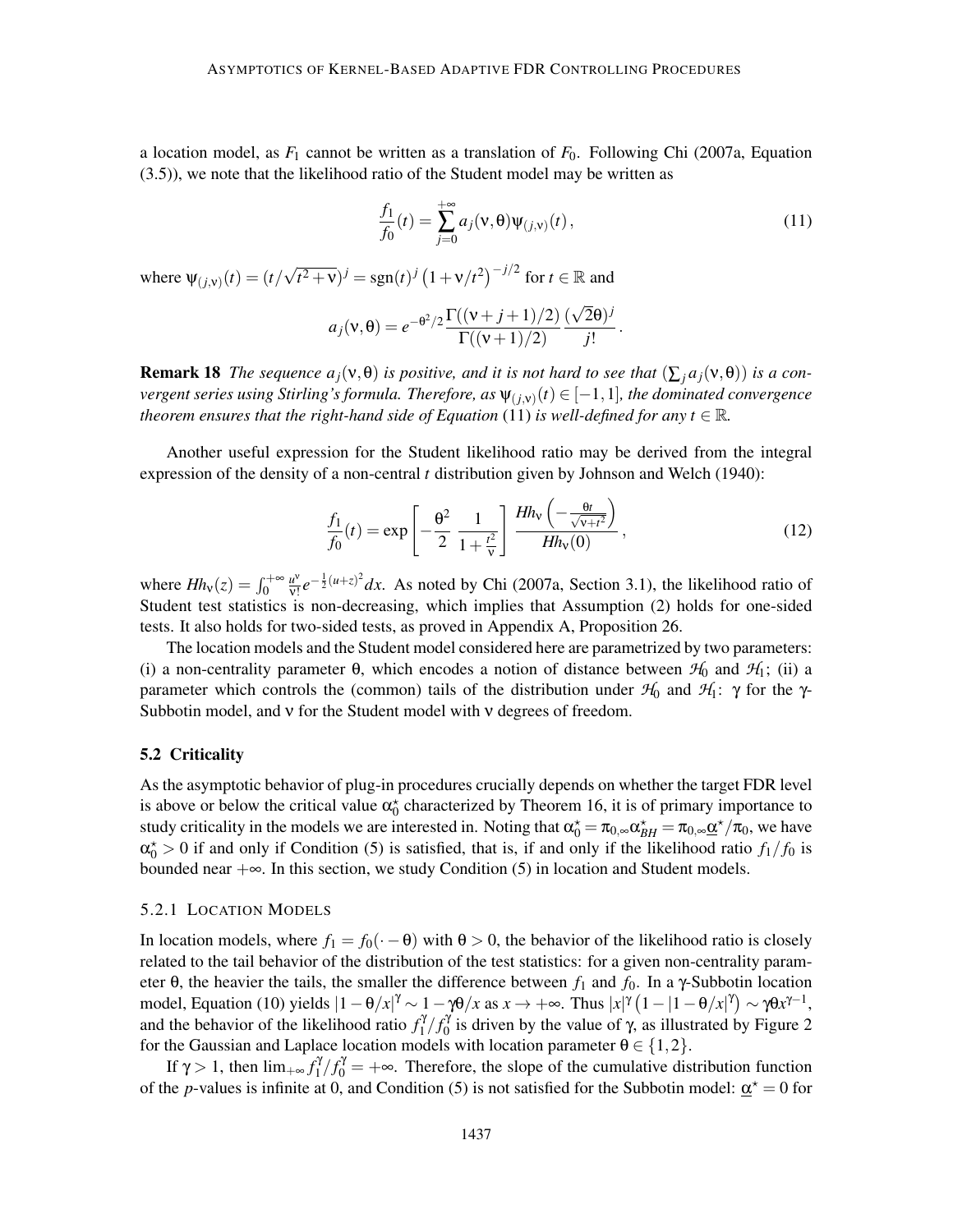a location model, as  $F_1$  cannot be written as a translation of  $F_0$ . Following Chi (2007a, Equation (3.5)), we note that the likelihood ratio of the Student model may be written as

$$
\frac{f_1}{f_0}(t) = \sum_{j=0}^{+\infty} a_j(\nu, \theta) \Psi_{(j,\nu)}(t),
$$
\n(11)

where  $\Psi_{(j,v)}(t) = (t/\sqrt{t^2 + v})^j = \text{sgn}(t)^j (1 + v/t^2)^{-j/2}$  for  $t \in \mathbb{R}$  and

$$
a_j(\mathbf{v},\theta) = e^{-\theta^2/2} \frac{\Gamma((\mathbf{v}+j+1)/2)}{\Gamma((\mathbf{v}+1)/2)} \frac{(\sqrt{2}\theta)^j}{j!}.
$$

**Remark 18** *The sequence*  $a_j(v, \theta)$  *is positive, and it is not hard to see that*  $(\sum_j a_j(v, \theta))$  *is a convergent series using Stirling's formula. Therefore, as* ψ(*j*,ν) (*t*) ∈ [−1,1]*, the dominated convergence theorem ensures that the right-hand side of Equation* (11) *is well-defined for any t* <sup>∈</sup> <sup>R</sup>*.*

Another useful expression for the Student likelihood ratio may be derived from the integral expression of the density of a non-central *t* distribution given by Johnson and Welch (1940):

$$
\frac{f_1}{f_0}(t) = \exp\left[-\frac{\theta^2}{2} \frac{1}{1 + \frac{t^2}{v}}\right] \frac{Hh_v\left(-\frac{\theta t}{\sqrt{v+t^2}}\right)}{Hh_v(0)},
$$
\n(12)

where  $Hh_v(z) = \int_0^{+\infty} \frac{u^v}{v!}$  $\frac{u^{\nu}}{v!}e^{-\frac{1}{2}(u+z)^2}dx$ . As noted by Chi (2007a, Section 3.1), the likelihood ratio of Student test statistics is non-decreasing, which implies that Assumption (2) holds for one-sided tests. It also holds for two-sided tests, as proved in Appendix A, Proposition 26.

The location models and the Student model considered here are parametrized by two parameters: (i) a non-centrality parameter  $\theta$ , which encodes a notion of distance between  $\mathcal{H}_0$  and  $\mathcal{H}_1$ ; (ii) a parameter which controls the (common) tails of the distribution under *H*<sup>0</sup> and *H*1: γ for the γ-Subbotin model, and ν for the Student model with ν degrees of freedom.

#### 5.2 Criticality

As the asymptotic behavior of plug-in procedures crucially depends on whether the target FDR level is above or below the critical value  $\alpha_0^*$  characterized by Theorem 16, it is of primary importance to study criticality in the models we are interested in. Noting that  $\alpha_0^* = \pi_{0,\infty} \alpha_{BH}^* = \pi_{0,\infty} \underline{\alpha}^* / \pi_0$ , we have  $\alpha_0^* > 0$  if and only if Condition (5) is satisfied, that is, if and only if the likelihood ratio  $f_1/f_0$  is bounded near  $+\infty$ . In this section, we study Condition (5) in location and Student models.

#### 5.2.1 LOCATION MODELS

In location models, where  $f_1 = f_0(\cdot - \theta)$  with  $\theta > 0$ , the behavior of the likelihood ratio is closely related to the tail behavior of the distribution of the test statistics: for a given non-centrality parameter θ, the heavier the tails, the smaller the difference between  $f_1$  and  $f_0$ . In a γ-Subbotin location model, Equation (10) yields  $|1 - \theta/x|^{\gamma} \sim 1 - \gamma \theta/x$  as  $x \to +\infty$ . Thus  $|x|^{\gamma} (1 - |1 - \theta/x|^{\gamma}) \sim \gamma \theta x^{\gamma-1}$ , and the behavior of the likelihood ratio  $f_1^{\gamma}$  $\int_1^{\gamma}/f_0^{\gamma}$  $\frac{1}{0}$  is driven by the value of γ, as illustrated by Figure 2 for the Gaussian and Laplace location models with location parameter  $\theta \in \{1,2\}$ .

If  $\gamma > 1$ , then  $\lim_{+\infty} f_1^{\gamma}$  $f_1^{\gamma}f_0^{\gamma} = +\infty$ . Therefore, the slope of the cumulative distribution function of the *p*-values is infinite at 0, and Condition (5) is not satisfied for the Subbotin model:  $\underline{\alpha}^* = 0$  for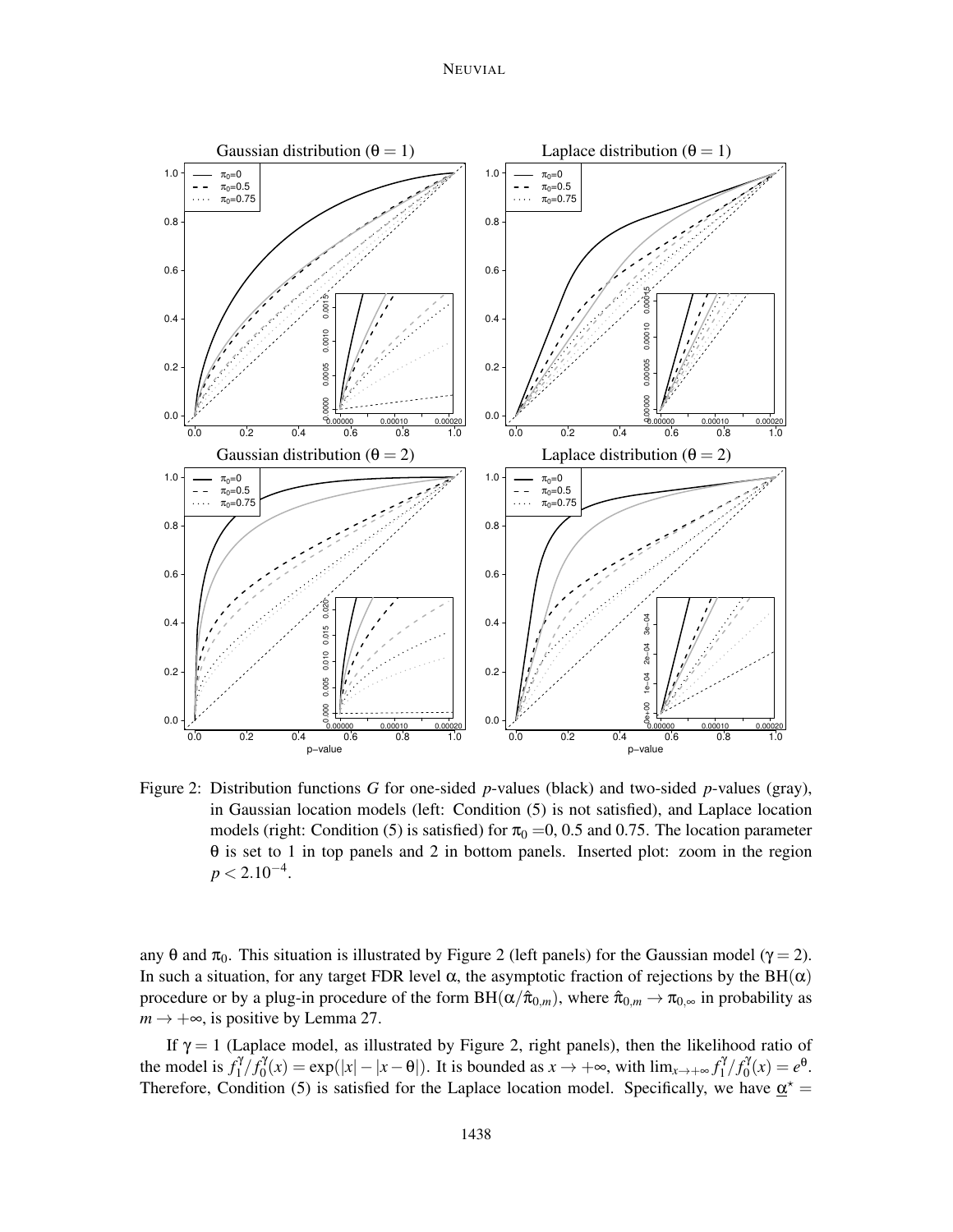NEUVIAL



Figure 2: Distribution functions *G* for one-sided *p*-values (black) and two-sided *p*-values (gray), in Gaussian location models (left: Condition (5) is not satisfied), and Laplace location models (right: Condition (5) is satisfied) for  $\pi_0 = 0$ , 0.5 and 0.75. The location parameter θ is set to 1 in top panels and 2 in bottom panels. Inserted plot: zoom in the region  $p < 2.10^{-4}$ .

any  $\theta$  and  $\pi_0$ . This situation is illustrated by Figure 2 (left panels) for the Gaussian model ( $\gamma = 2$ ). In such a situation, for any target FDR level  $\alpha$ , the asymptotic fraction of rejections by the BH( $\alpha$ ) procedure or by a plug-in procedure of the form  $BH(\alpha/\hat{\pi}_{0,m})$ , where  $\hat{\pi}_{0,m} \to \pi_{0,\infty}$  in probability as  $m \rightarrow +\infty$ , is positive by Lemma 27.

If  $\gamma = 1$  (Laplace model, as illustrated by Figure 2, right panels), then the likelihood ratio of the model is  $f_1^{\gamma}$  $\int_1^{\gamma} f_0^{\gamma}$  $\partial_0^{\gamma}(x) = \exp(|x| - |x - \theta|)$ . It is bounded as  $x \to +\infty$ , with  $\lim_{x \to +\infty} f_1^{\gamma}$  $\int_1^{\gamma}/f_0^{\gamma}$  $\partial_0^{\mathcal{Y}}(x) = e^{\theta}.$ Therefore, Condition (5) is satisfied for the Laplace location model. Specifically, we have  $\underline{\alpha}^* =$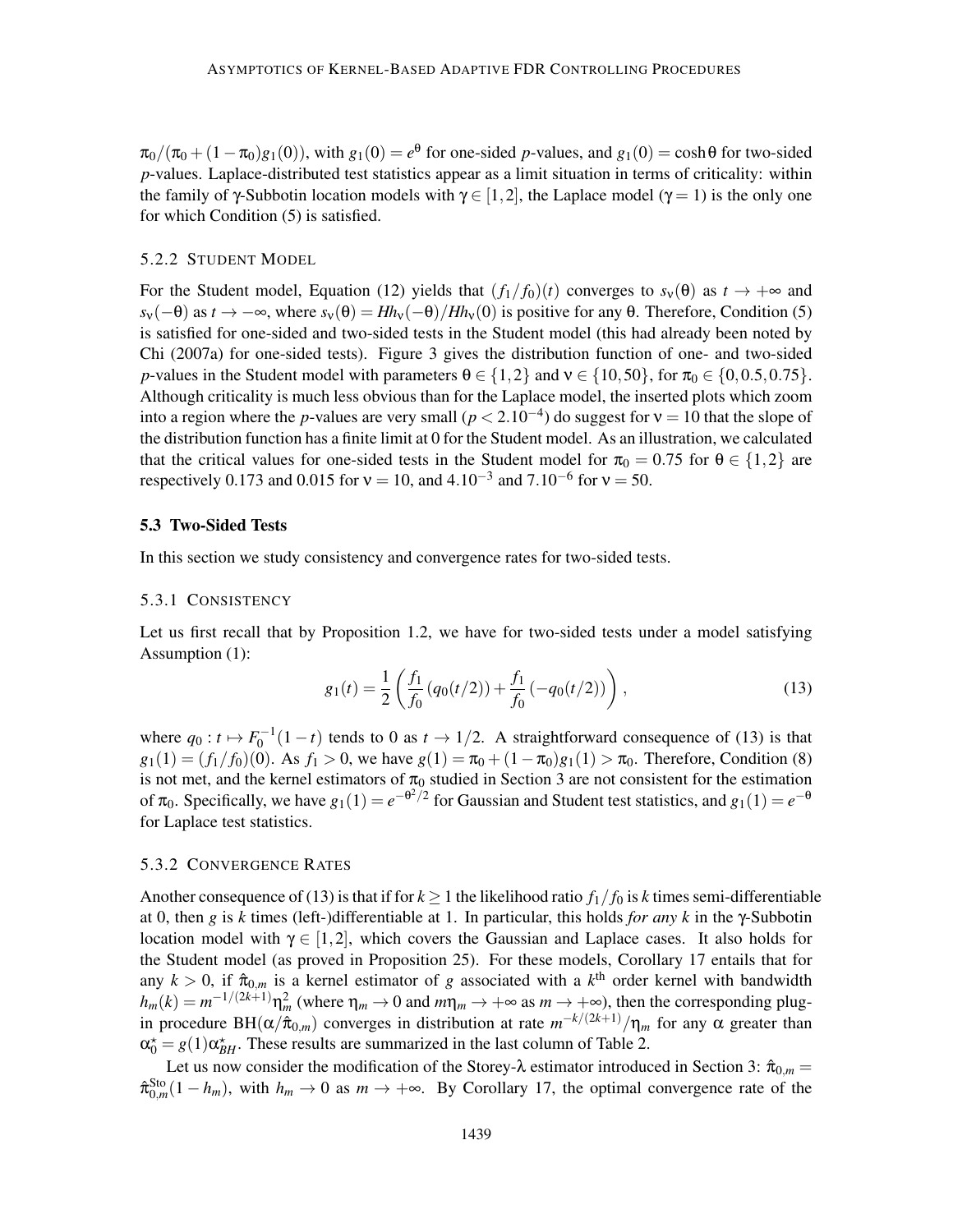$\pi_0/(\pi_0 + (1 - \pi_0)g_1(0))$ , with  $g_1(0) = e^{\theta}$  for one-sided *p*-values, and  $g_1(0) = \cosh\theta$  for two-sided *p*-values. Laplace-distributed test statistics appear as a limit situation in terms of criticality: within the family of γ-Subbotin location models with  $\gamma \in [1,2]$ , the Laplace model ( $\gamma = 1$ ) is the only one for which Condition (5) is satisfied.

## 5.2.2 STUDENT MODEL

For the Student model, Equation (12) yields that  $(f_1/f_0)(t)$  converges to  $s_v(\theta)$  as  $t \to +\infty$  and  $s_v(-\theta)$  as  $t \to -\infty$ , where  $s_v(\theta) = Hh_v(-\theta)/Hh_v(0)$  is positive for any  $\theta$ . Therefore, Condition (5) is satisfied for one-sided and two-sided tests in the Student model (this had already been noted by Chi (2007a) for one-sided tests). Figure 3 gives the distribution function of one- and two-sided *p*-values in the Student model with parameters  $\theta \in \{1,2\}$  and  $v \in \{10,50\}$ , for  $\pi_0 \in \{0,0.5,0.75\}$ . Although criticality is much less obvious than for the Laplace model, the inserted plots which zoom into a region where the *p*-values are very small ( $p < 2.10^{-4}$ ) do suggest for  $v = 10$  that the slope of the distribution function has a finite limit at 0 for the Student model. As an illustration, we calculated that the critical values for one-sided tests in the Student model for  $\pi_0 = 0.75$  for  $\theta \in \{1,2\}$  are respectively 0.173 and 0.015 for  $v = 10$ , and  $4.10^{-3}$  and  $7.10^{-6}$  for  $v = 50$ .

## 5.3 Two-Sided Tests

In this section we study consistency and convergence rates for two-sided tests.

## 5.3.1 CONSISTENCY

Let us first recall that by Proposition 1.2, we have for two-sided tests under a model satisfying Assumption (1):

$$
g_1(t) = \frac{1}{2} \left( \frac{f_1}{f_0} \left( q_0(t/2) \right) + \frac{f_1}{f_0} \left( -q_0(t/2) \right) \right),\tag{13}
$$

where  $q_0: t \mapsto F_0^{-1}(1-t)$  tends to 0 as  $t \to 1/2$ . A straightforward consequence of (13) is that  $g_1(1) = (f_1/f_0)(0)$ . As  $f_1 > 0$ , we have  $g(1) = \pi_0 + (1 - \pi_0)g_1(1) > \pi_0$ . Therefore, Condition (8) is not met, and the kernel estimators of  $\pi_0$  studied in Section 3 are not consistent for the estimation of  $\pi_0$ . Specifically, we have  $g_1(1) = e^{-\theta^2/2}$  for Gaussian and Student test statistics, and  $g_1(1) = e^{-\theta}$ for Laplace test statistics.

## 5.3.2 CONVERGENCE RATES

Another consequence of (13) is that if for  $k \ge 1$  the likelihood ratio  $f_1/f_0$  is *k* times semi-differentiable at 0, then *g* is *k* times (left-)differentiable at 1. In particular, this holds *for any k* in the γ-Subbotin location model with  $\gamma \in [1,2]$ , which covers the Gaussian and Laplace cases. It also holds for the Student model (as proved in Proposition 25). For these models, Corollary 17 entails that for any  $k > 0$ , if  $\hat{\pi}_{0,m}$  is a kernel estimator of *g* associated with a  $k^{\text{th}}$  order kernel with bandwidth  $h_m(k) = m^{-1/(2k+1)} \eta_m^2$  (where  $\eta_m \to 0$  and  $m\eta_m \to +\infty$  as  $m \to +\infty$ ), then the corresponding plugin procedure BH( $\alpha/\hat{\pi}_{0,m}$ ) converges in distribution at rate  $m^{-k/(2k+1)}/\eta_m$  for any  $\alpha$  greater than  $\alpha_0^* = g(1)\alpha_{BH}^*$ . These results are summarized in the last column of Table 2.

Let us now consider the modification of the Storey- $\lambda$  estimator introduced in Section 3:  $\hat{\pi}_{0,m}$  =  $\hat{\pi}_{0,m}^{\text{Sto}}(1-h_m)$ , with  $h_m \to 0$  as  $m \to +\infty$ . By Corollary 17, the optimal convergence rate of the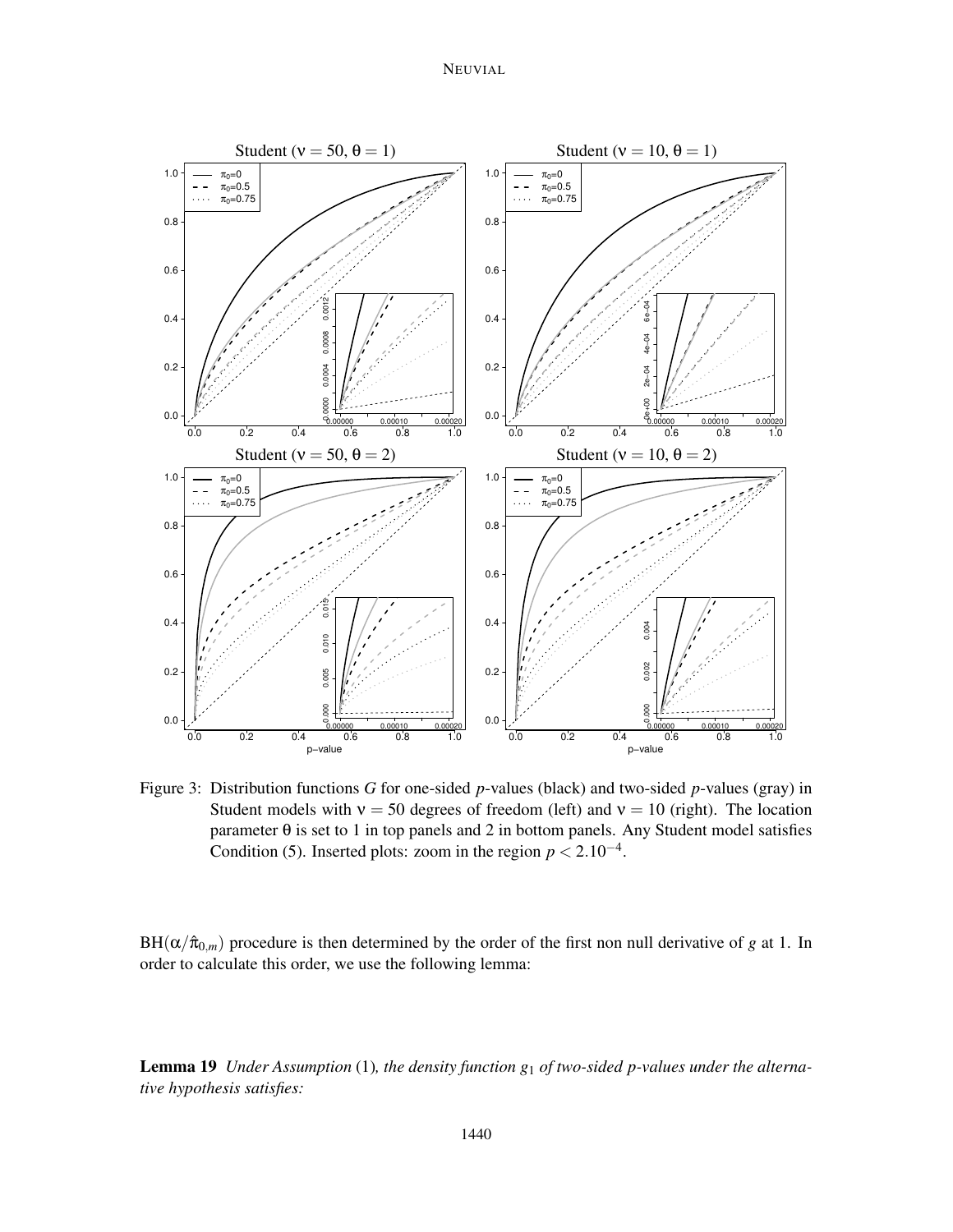# NEUVIAL



Figure 3: Distribution functions *G* for one-sided *p*-values (black) and two-sided *p*-values (gray) in Student models with  $v = 50$  degrees of freedom (left) and  $v = 10$  (right). The location parameter  $\theta$  is set to 1 in top panels and 2 in bottom panels. Any Student model satisfies Condition (5). Inserted plots: zoom in the region  $p < 2.10^{-4}$ .

 $BH(\alpha/\hat{\pi}_{0,m})$  procedure is then determined by the order of the first non null derivative of *g* at 1. In order to calculate this order, we use the following lemma:

Lemma 19 *Under Assumption* (1)*, the density function g*<sup>1</sup> *of two-sided p-values under the alternative hypothesis satisfies:*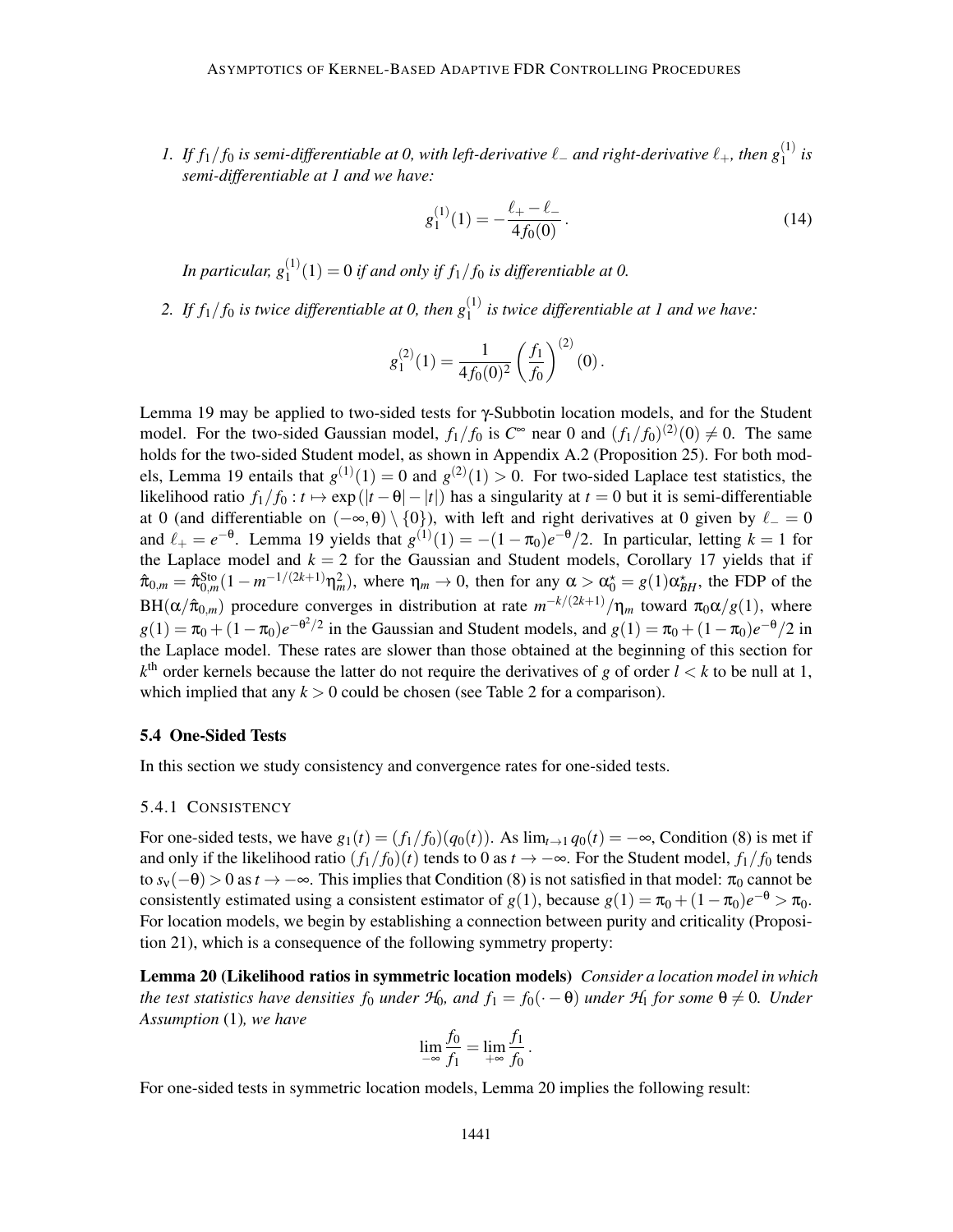*1.* If  $f_1/f_0$  is semi-differentiable at 0, with left-derivative  $\ell$  – and right-derivative  $\ell_+$ , then  $g_1^{(1)}$  is *semi-differentiable at 1 and we have:*

$$
g_1^{(1)}(1) = -\frac{\ell_+ - \ell_-}{4f_0(0)}.
$$
\n(14)

In particular,  $g_1^{(1)}(1) = 0$  if and only if  $f_1/f_0$  is differentiable at 0.

2. If  $f_1/f_0$  is twice differentiable at 0, then  $g_1^{(1)}$  is twice differentiable at 1 and we have:

$$
g_1^{(2)}(1) = \frac{1}{4f_0(0)^2} \left(\frac{f_1}{f_0}\right)^{(2)}(0).
$$

Lemma 19 may be applied to two-sided tests for γ-Subbotin location models, and for the Student model. For the two-sided Gaussian model,  $f_1/f_0$  is  $C^{\infty}$  near 0 and  $(f_1/f_0)^{(2)}(0) \neq 0$ . The same holds for the two-sided Student model, as shown in Appendix A.2 (Proposition 25). For both models, Lemma 19 entails that  $g^{(1)}(1) = 0$  and  $g^{(2)}(1) > 0$ . For two-sided Laplace test statistics, the likelihood ratio  $f_1/f_0$ :  $t \mapsto \exp(|t - \theta| - |t|)$  has a singularity at  $t = 0$  but it is semi-differentiable at 0 (and differentiable on  $(-\infty, \theta) \setminus \{0\}$ ), with left and right derivatives at 0 given by  $\ell = 0$ and  $\ell_+ = e^{-\theta}$ . Lemma 19 yields that  $g^{(1)}(1) = -(1 - \pi_0)e^{-\theta}/2$ . In particular, letting  $k = 1$  for the Laplace model and  $k = 2$  for the Gaussian and Student models, Corollary 17 yields that if  $\hat{\pi}_{0,m} = \hat{\pi}_{0,m}^{\text{Sto}}(1-m^{-1/(2k+1)}\eta_m^2)$ , where  $\eta_m \to 0$ , then for any  $\alpha > \alpha_0^* = g(1)\alpha_{BH}^*$ , the FDP of the BH( $\alpha/\hat{\pi}_{0,m}$ ) procedure converges in distribution at rate  $m^{-k/(2k+1)}/\eta_m$  toward  $\pi_0\alpha/g(1)$ , where  $g(1) = \pi_0 + (1 - \pi_0)e^{-\theta^2/2}$  in the Gaussian and Student models, and  $g(1) = \pi_0 + (1 - \pi_0)e^{-\theta/2}$  in the Laplace model. These rates are slower than those obtained at the beginning of this section for  $k^{\text{th}}$  order kernels because the latter do not require the derivatives of *g* of order  $l < k$  to be null at 1, which implied that any  $k > 0$  could be chosen (see Table 2 for a comparison).

## 5.4 One-Sided Tests

In this section we study consistency and convergence rates for one-sided tests.

#### 5.4.1 CONSISTENCY

For one-sided tests, we have  $g_1(t) = (f_1/f_0)(q_0(t))$ . As  $\lim_{t\to 1} q_0(t) = -\infty$ , Condition (8) is met if and only if the likelihood ratio  $(f_1/f_0)(t)$  tends to 0 as  $t \to -\infty$ . For the Student model,  $f_1/f_0$  tends to  $s_v(-\theta) > 0$  as  $t \to -\infty$ . This implies that Condition (8) is not satisfied in that model:  $\pi_0$  cannot be consistently estimated using a consistent estimator of  $g(1)$ , because  $g(1) = \pi_0 + (1 - \pi_0)e^{-\theta} > \pi_0$ . For location models, we begin by establishing a connection between purity and criticality (Proposition 21), which is a consequence of the following symmetry property:

Lemma 20 (Likelihood ratios in symmetric location models) *Consider a location model in which the test statistics have densities*  $f_0$  *<i>under*  $H_0$ *, and*  $f_1 = f_0(\cdot - \theta)$  *under*  $H_1$  *for some*  $\theta \neq 0$ *. Under Assumption* (1)*, we have*

$$
\lim_{-\infty} \frac{f_0}{f_1} = \lim_{+\infty} \frac{f_1}{f_0}.
$$

For one-sided tests in symmetric location models, Lemma 20 implies the following result: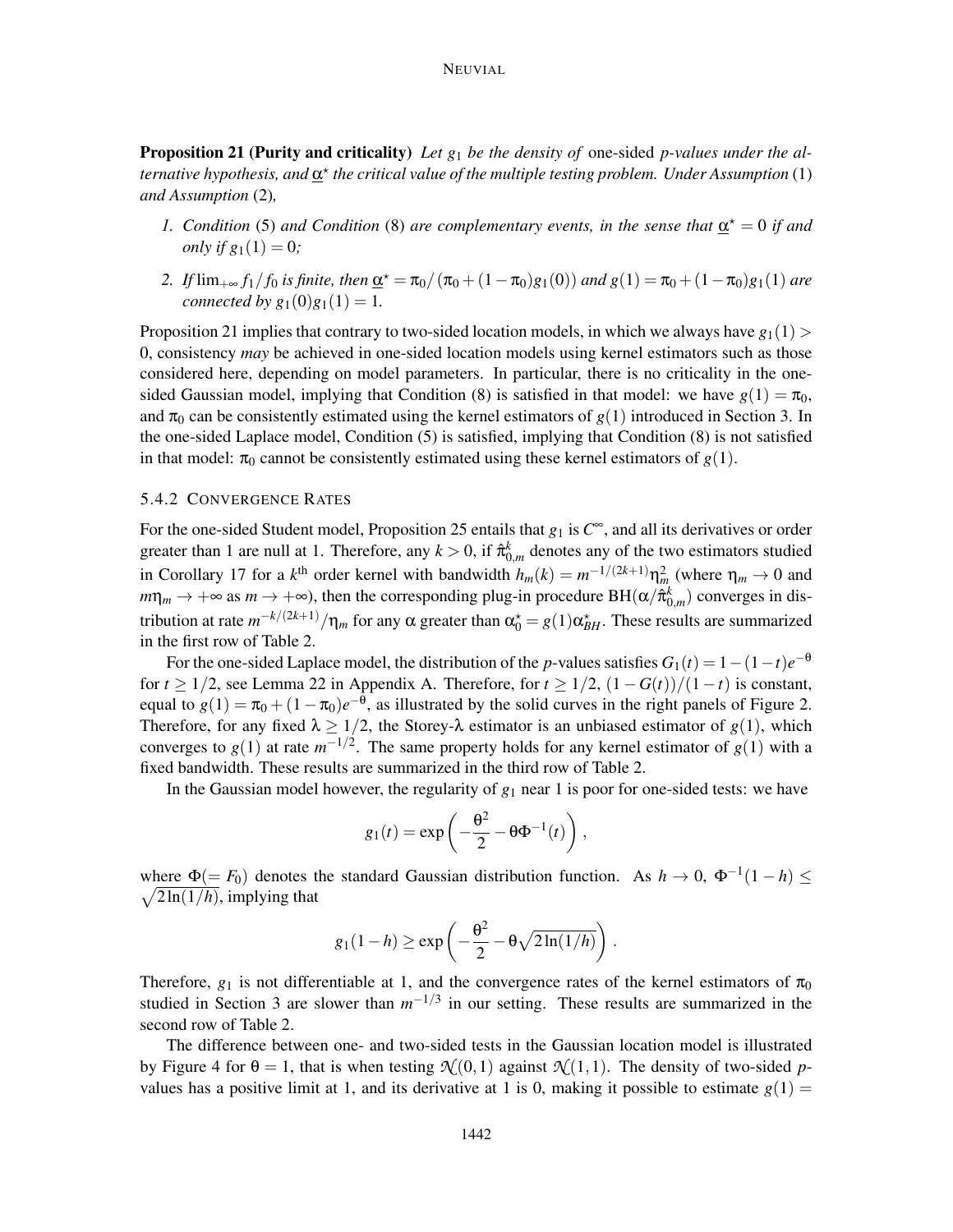Proposition 21 (Purity and criticality) *Let g*<sup>1</sup> *be the density of* one-sided *p-values under the alternative hypothesis, and* <u>α</u><sup>\*</sup> the critical value of the multiple testing problem. Under Assumption (1) *and Assumption* (2)*,*

- *1.* Condition (5) and Condition (8) are complementary events, in the sense that  $\underline{\alpha}^* = 0$  if and *only if*  $g_1(1) = 0$ *;*
- 2. If  $\lim_{+\infty} f_1/f_0$  *is finite, then*  $\underline{\alpha}^* = \pi_0/(\pi_0 + (1 \pi_0)g_1(0))$  *and*  $g(1) = \pi_0 + (1 \pi_0)g_1(1)$  *are connected by*  $g_1(0)g_1(1) = 1$ *.*

Proposition 21 implies that contrary to two-sided location models, in which we always have  $g_1(1)$ 0, consistency *may* be achieved in one-sided location models using kernel estimators such as those considered here, depending on model parameters. In particular, there is no criticality in the onesided Gaussian model, implying that Condition (8) is satisfied in that model: we have  $g(1) = \pi_0$ , and  $\pi_0$  can be consistently estimated using the kernel estimators of  $g(1)$  introduced in Section 3. In the one-sided Laplace model, Condition (5) is satisfied, implying that Condition (8) is not satisfied in that model:  $\pi_0$  cannot be consistently estimated using these kernel estimators of  $g(1)$ .

#### 5.4.2 CONVERGENCE RATES

For the one-sided Student model, Proposition 25 entails that  $g_1$  is  $C^{\infty}$ , and all its derivatives or order greater than 1 are null at 1. Therefore, any  $k > 0$ , if  $\hat{\pi}_{0,m}^k$  denotes any of the two estimators studied in Corollary 17 for a  $k^{\text{th}}$  order kernel with bandwidth  $h_m(k) = m^{-1/(2k+1)} \eta_m^2$  (where  $\eta_m \to 0$  and  $m\eta_m \to +\infty$  as  $m \to +\infty$ ), then the corresponding plug-in procedure BH( $\alpha/\hat{\pi}_{0,m}^k$ ) converges in distribution at rate  $m^{-k/(2k+1)}/\eta_m$  for any  $\alpha$  greater than  $\alpha_0^* = g(1)\alpha_{BH}^*$ . These results are summarized in the first row of Table 2.

For the one-sided Laplace model, the distribution of the *p*-values satisfies  $G_1(t) = 1 - (1 - t)e^{-\theta}$ for *t* ≥ 1/2, see Lemma 22 in Appendix A. Therefore, for  $t \geq 1/2$ ,  $(1 - G(t))/(1 - t)$  is constant, equal to  $g(1) = \pi_0 + (1 - \pi_0)e^{-\theta}$ , as illustrated by the solid curves in the right panels of Figure 2. Therefore, for any fixed  $\lambda \ge 1/2$ , the Storey- $\lambda$  estimator is an unbiased estimator of  $g(1)$ , which converges to  $g(1)$  at rate  $m^{-1/2}$ . The same property holds for any kernel estimator of  $g(1)$  with a fixed bandwidth. These results are summarized in the third row of Table 2.

In the Gaussian model however, the regularity of  $g_1$  near 1 is poor for one-sided tests: we have

$$
g_1(t) = \exp\left(-\frac{\theta^2}{2} - \theta \Phi^{-1}(t)\right),\,
$$

where  $\Phi(= F_0)$  denotes the standard Gaussian distribution function. As  $h \to 0$ ,  $\Phi^{-1}(1-h) \le$  $\sqrt{2\ln(1/h)}$ , implying that

$$
g_1(1-h) \ge \exp\left(-\frac{\theta^2}{2} - \theta\sqrt{2\ln(1/h)}\right).
$$

Therefore,  $g_1$  is not differentiable at 1, and the convergence rates of the kernel estimators of  $\pi_0$ studied in Section 3 are slower than  $m^{-1/3}$  in our setting. These results are summarized in the second row of Table 2.

The difference between one- and two-sided tests in the Gaussian location model is illustrated by Figure 4 for  $\theta = 1$ , that is when testing  $\mathcal{N}(0,1)$  against  $\mathcal{N}(1,1)$ . The density of two-sided *p*values has a positive limit at 1, and its derivative at 1 is 0, making it possible to estimate  $g(1)$  =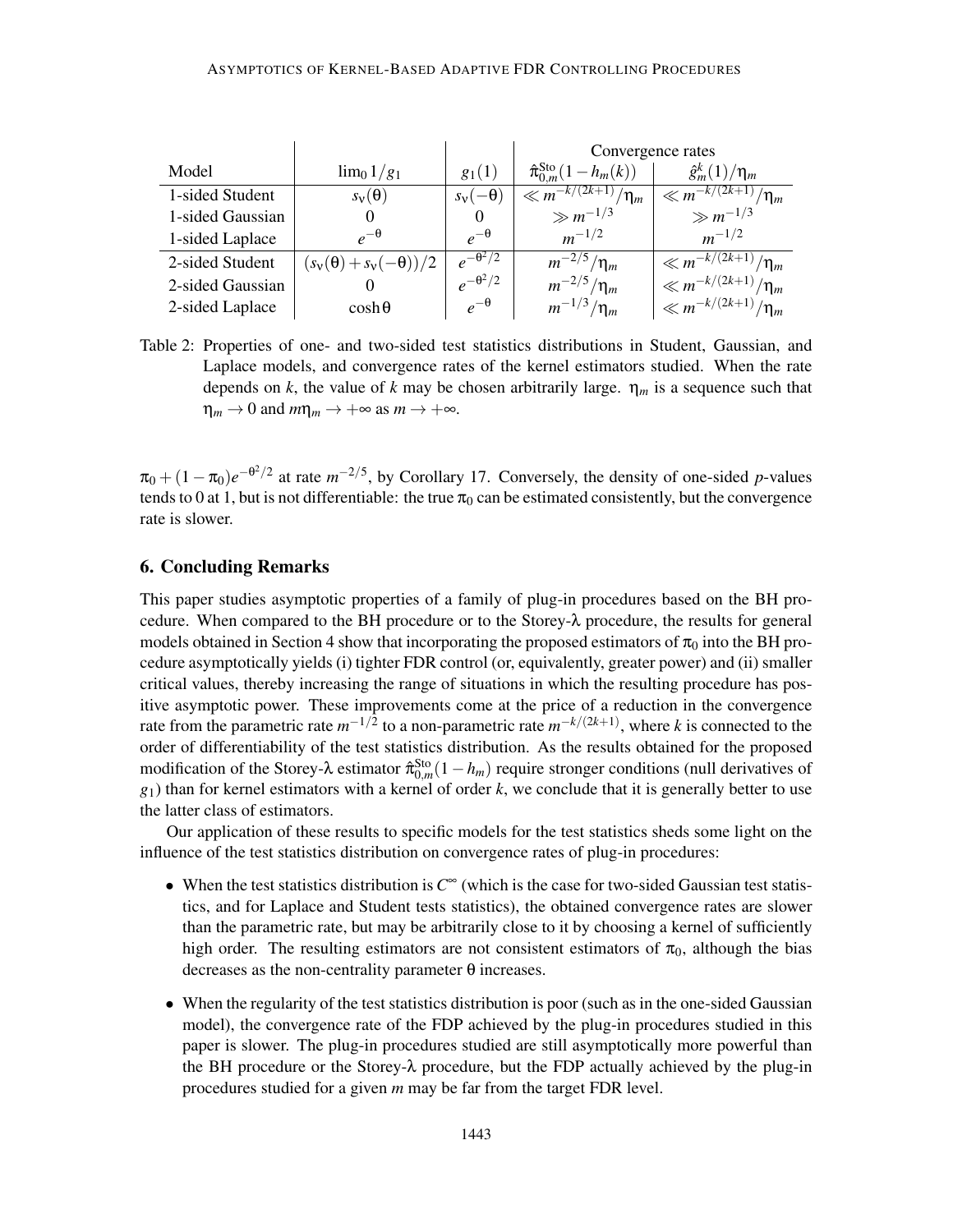|                  |                                |                              | Convergence rates                        |                            |  |
|------------------|--------------------------------|------------------------------|------------------------------------------|----------------------------|--|
| Model            | $\lim_{0} 1/g_1$               | $g_1(1)$                     | $\hat{\pi}_{0,m}^{\text{Sto}}(1-h_m(k))$ | $\hat{g}_m^k(1)/\eta_m$    |  |
| 1-sided Student  | $s_v(\theta)$                  | $s_{\rm v}(-\theta)$         | $\sqrt{\frac{k}{m^{-k/(2k+1)}}}{n_m}$    | $\ll m^{-k/(2k+1)}/\eta_m$ |  |
| 1-sided Gaussian |                                |                              | $\gg m^{-1/3}$                           | $\gg m^{-1/3}$             |  |
| 1-sided Laplace  | $e^{-\theta}$                  | $e^{-\theta}$                | $m^{-1/2}$                               | $m^{-1/2}$                 |  |
| 2-sided Student  | $(s_v(\theta)+s_v(-\theta))/2$ | $e^{-\overline{\theta^2/2}}$ | $m^{-2/5}/\eta_m$                        | $\ll m^{-k/(2k+1)}/\eta_m$ |  |
| 2-sided Gaussian |                                | $e^{-\theta^2/2}$            | $m^{-2/5}/\eta_m$                        | $\ll m^{-k/(2k+1)}/\eta_m$ |  |
| 2-sided Laplace  | $\cosh\theta$                  | $e^{-\theta}$                | $m^{-1/3}/\eta_m$                        | $\ll m^{-k/(2k+1)}/\eta_m$ |  |

Table 2: Properties of one- and two-sided test statistics distributions in Student, Gaussian, and Laplace models, and convergence rates of the kernel estimators studied. When the rate depends on *k*, the value of *k* may be chosen arbitrarily large.  $\eta_m$  is a sequence such that  $\eta_m \to 0$  and  $m\eta_m \to +\infty$  as  $m \to +\infty$ .

 $\pi_0 + (1 - \pi_0)e^{-\theta^2/2}$  at rate  $m^{-2/5}$ , by Corollary 17. Conversely, the density of one-sided *p*-values tends to 0 at 1, but is not differentiable: the true  $\pi_0$  can be estimated consistently, but the convergence rate is slower.

# 6. Concluding Remarks

This paper studies asymptotic properties of a family of plug-in procedures based on the BH procedure. When compared to the BH procedure or to the Storey- $\lambda$  procedure, the results for general models obtained in Section 4 show that incorporating the proposed estimators of  $\pi_0$  into the BH procedure asymptotically yields (i) tighter FDR control (or, equivalently, greater power) and (ii) smaller critical values, thereby increasing the range of situations in which the resulting procedure has positive asymptotic power. These improvements come at the price of a reduction in the convergence rate from the parametric rate  $m^{-1/2}$  to a non-parametric rate  $m^{-k/(2k+1)}$ , where *k* is connected to the order of differentiability of the test statistics distribution. As the results obtained for the proposed modification of the Storey- $\lambda$  estimator  $\hat{\pi}_{0,m}^{Sto}(1-h_m)$  require stronger conditions (null derivatives of  $g_1$ ) than for kernel estimators with a kernel of order  $k$ , we conclude that it is generally better to use the latter class of estimators.

Our application of these results to specific models for the test statistics sheds some light on the influence of the test statistics distribution on convergence rates of plug-in procedures:

- When the test statistics distribution is *C* <sup>∞</sup> (which is the case for two-sided Gaussian test statistics, and for Laplace and Student tests statistics), the obtained convergence rates are slower than the parametric rate, but may be arbitrarily close to it by choosing a kernel of sufficiently high order. The resulting estimators are not consistent estimators of  $\pi_0$ , although the bias decreases as the non-centrality parameter θ increases.
- When the regularity of the test statistics distribution is poor (such as in the one-sided Gaussian model), the convergence rate of the FDP achieved by the plug-in procedures studied in this paper is slower. The plug-in procedures studied are still asymptotically more powerful than the BH procedure or the Storey- $\lambda$  procedure, but the FDP actually achieved by the plug-in procedures studied for a given *m* may be far from the target FDR level.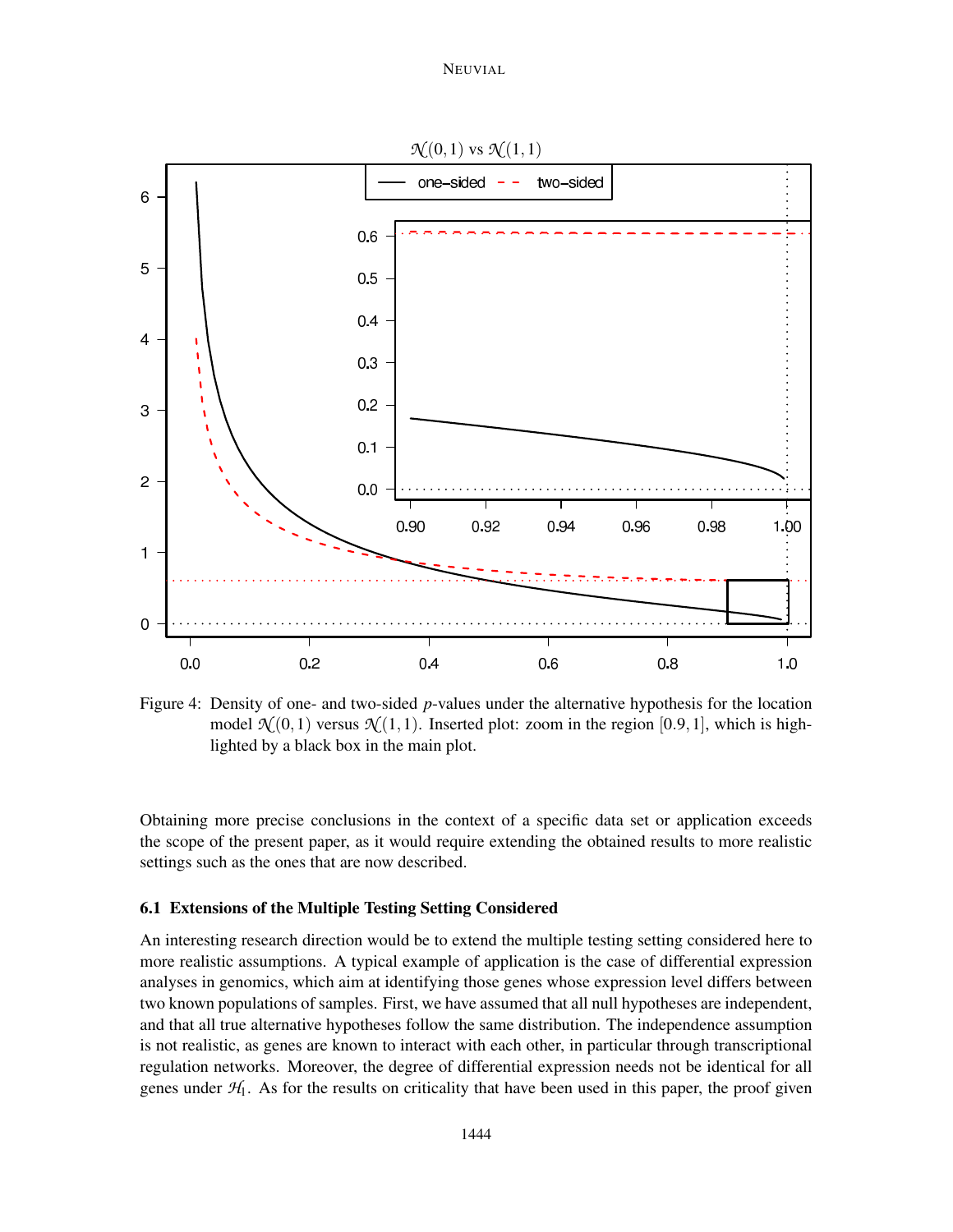

Figure 4: Density of one- and two-sided *p*-values under the alternative hypothesis for the location model  $\mathcal{N}(0,1)$  versus  $\mathcal{N}(1,1)$ . Inserted plot: zoom in the region [0.9, 1], which is highlighted by a black box in the main plot.

Obtaining more precise conclusions in the context of a specific data set or application exceeds the scope of the present paper, as it would require extending the obtained results to more realistic settings such as the ones that are now described.

# 6.1 Extensions of the Multiple Testing Setting Considered

An interesting research direction would be to extend the multiple testing setting considered here to more realistic assumptions. A typical example of application is the case of differential expression analyses in genomics, which aim at identifying those genes whose expression level differs between two known populations of samples. First, we have assumed that all null hypotheses are independent, and that all true alternative hypotheses follow the same distribution. The independence assumption is not realistic, as genes are known to interact with each other, in particular through transcriptional regulation networks. Moreover, the degree of differential expression needs not be identical for all genes under  $H_1$ . As for the results on criticality that have been used in this paper, the proof given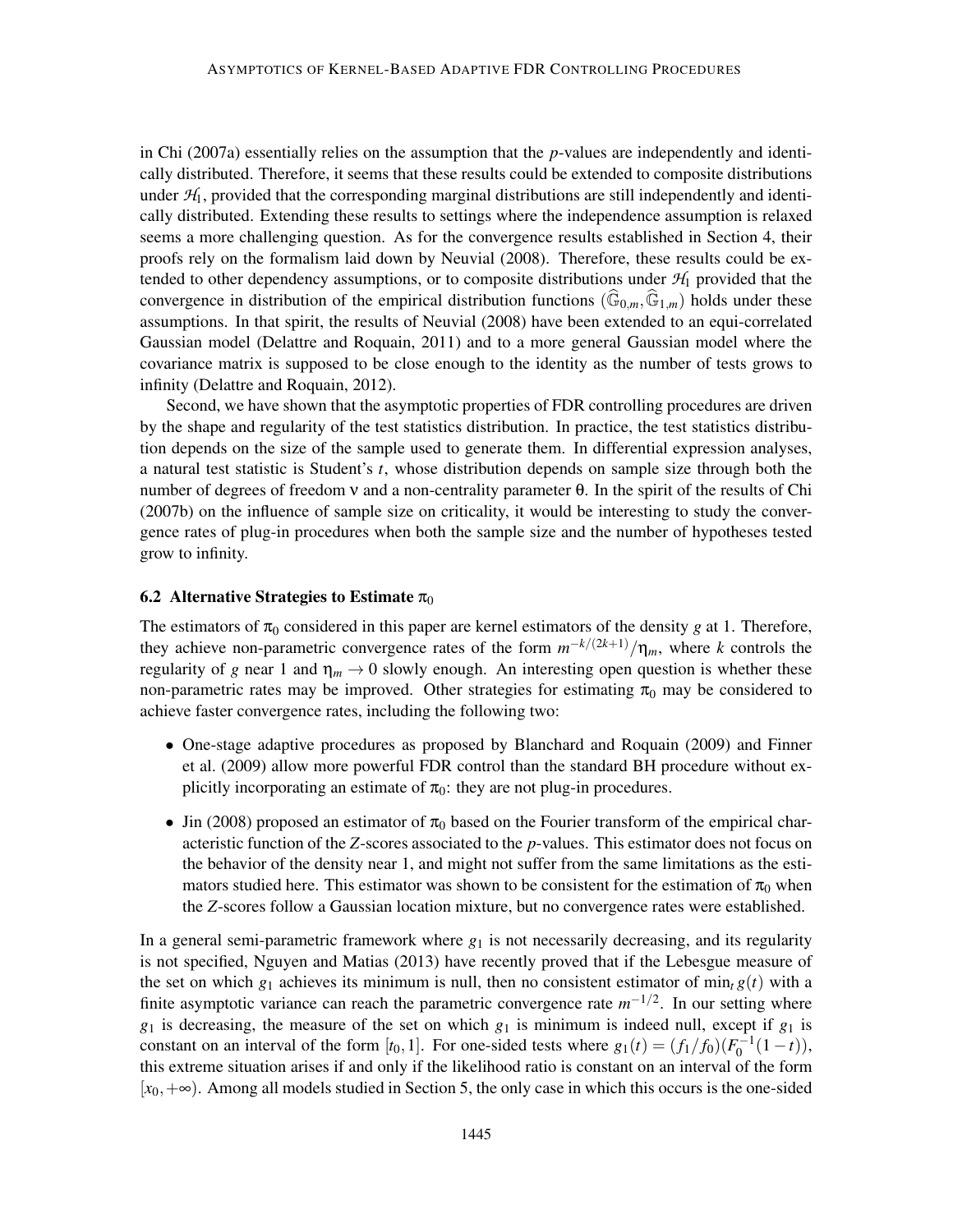in Chi (2007a) essentially relies on the assumption that the *p*-values are independently and identically distributed. Therefore, it seems that these results could be extended to composite distributions under  $H_1$ , provided that the corresponding marginal distributions are still independently and identically distributed. Extending these results to settings where the independence assumption is relaxed seems a more challenging question. As for the convergence results established in Section 4, their proofs rely on the formalism laid down by Neuvial (2008). Therefore, these results could be extended to other dependency assumptions, or to composite distributions under  $\mathcal{H}_1$  provided that the convergence in distribution of the empirical distribution functions  $(\mathbb{G}_{0,m}, \mathbb{G}_{1,m})$  holds under these assumptions. In that spirit, the results of Neuvial (2008) have been extended to an equi-correlated Gaussian model (Delattre and Roquain, 2011) and to a more general Gaussian model where the covariance matrix is supposed to be close enough to the identity as the number of tests grows to infinity (Delattre and Roquain, 2012).

Second, we have shown that the asymptotic properties of FDR controlling procedures are driven by the shape and regularity of the test statistics distribution. In practice, the test statistics distribution depends on the size of the sample used to generate them. In differential expression analyses, a natural test statistic is Student's *t*, whose distribution depends on sample size through both the number of degrees of freedom ν and a non-centrality parameter θ. In the spirit of the results of Chi (2007b) on the influence of sample size on criticality, it would be interesting to study the convergence rates of plug-in procedures when both the sample size and the number of hypotheses tested grow to infinity.

#### 6.2 Alternative Strategies to Estimate  $\pi_0$

The estimators of  $\pi_0$  considered in this paper are kernel estimators of the density *g* at 1. Therefore, they achieve non-parametric convergence rates of the form  $m^{-k/(2k+1)}/\eta_m$ , where *k* controls the regularity of *g* near 1 and  $\eta_m \rightarrow 0$  slowly enough. An interesting open question is whether these non-parametric rates may be improved. Other strategies for estimating  $\pi_0$  may be considered to achieve faster convergence rates, including the following two:

- One-stage adaptive procedures as proposed by Blanchard and Roquain (2009) and Finner et al. (2009) allow more powerful FDR control than the standard BH procedure without explicitly incorporating an estimate of  $\pi_0$ : they are not plug-in procedures.
- Jin (2008) proposed an estimator of  $\pi_0$  based on the Fourier transform of the empirical characteristic function of the *Z*-scores associated to the *p*-values. This estimator does not focus on the behavior of the density near 1, and might not suffer from the same limitations as the estimators studied here. This estimator was shown to be consistent for the estimation of  $\pi_0$  when the *Z*-scores follow a Gaussian location mixture, but no convergence rates were established.

In a general semi-parametric framework where  $g_1$  is not necessarily decreasing, and its regularity is not specified, Nguyen and Matias (2013) have recently proved that if the Lebesgue measure of the set on which  $g_1$  achieves its minimum is null, then no consistent estimator of min<sub>t</sub>  $g(t)$  with a finite asymptotic variance can reach the parametric convergence rate  $m^{-1/2}$ . In our setting where  $g_1$  is decreasing, the measure of the set on which  $g_1$  is minimum is indeed null, except if  $g_1$  is constant on an interval of the form  $[t_0, 1]$ . For one-sided tests where  $g_1(t) = (f_1/f_0)(F_0^{-1}(1-t))$ , this extreme situation arises if and only if the likelihood ratio is constant on an interval of the form [*x*0,+∞). Among all models studied in Section 5, the only case in which this occurs is the one-sided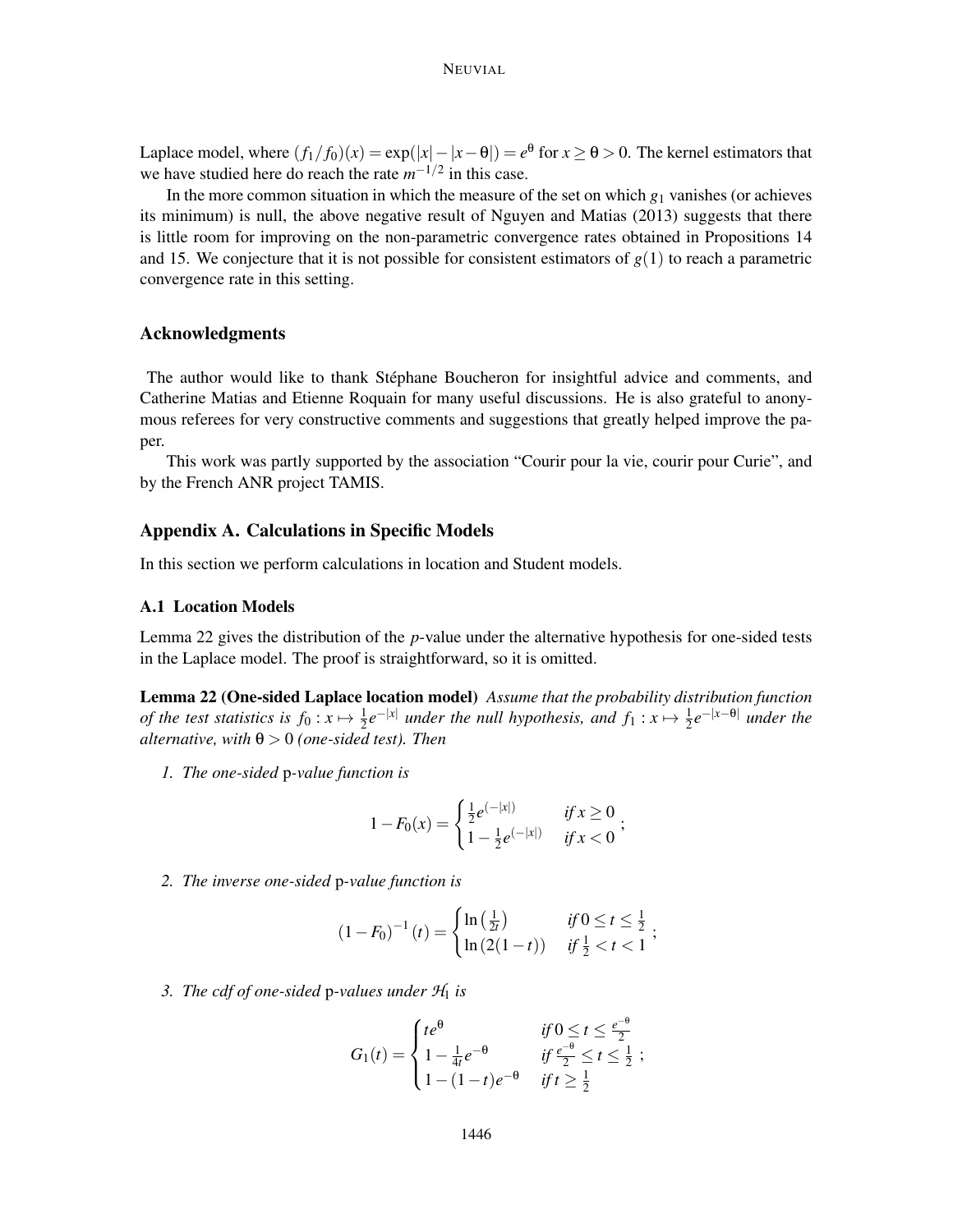## NEUVIAL

Laplace model, where  $(f_1/f_0)(x) = \exp(|x| - |x - \theta|) = e^{\theta}$  for  $x \ge \theta > 0$ . The kernel estimators that we have studied here do reach the rate  $m^{-1/2}$  in this case.

In the more common situation in which the measure of the set on which *g*<sup>1</sup> vanishes (or achieves its minimum) is null, the above negative result of Nguyen and Matias (2013) suggests that there is little room for improving on the non-parametric convergence rates obtained in Propositions 14 and 15. We conjecture that it is not possible for consistent estimators of  $g(1)$  to reach a parametric convergence rate in this setting.

# Acknowledgments

The author would like to thank Stéphane Boucheron for insightful advice and comments, and Catherine Matias and Etienne Roquain for many useful discussions. He is also grateful to anonymous referees for very constructive comments and suggestions that greatly helped improve the paper.

This work was partly supported by the association "Courir pour la vie, courir pour Curie", and by the French ANR project TAMIS.

## Appendix A. Calculations in Specific Models

In this section we perform calculations in location and Student models.

## A.1 Location Models

Lemma 22 gives the distribution of the *p*-value under the alternative hypothesis for one-sided tests in the Laplace model. The proof is straightforward, so it is omitted.

Lemma 22 (One-sided Laplace location model) *Assume that the probability distribution function of the test statistics is*  $f_0: x \mapsto \frac{1}{2}e^{-|x|}$  *under the null hypothesis, and*  $f_1: x \mapsto \frac{1}{2}e^{-|x-\theta|}$  *under the*  $\alpha$ *alternative, with*  $\theta > 0$  *(one-sided test). Then* 

*1. The one-sided* p*-value function is*

$$
1 - F_0(x) = \begin{cases} \frac{1}{2} e^{(-|x|)} & \text{if } x \ge 0 \\ 1 - \frac{1}{2} e^{(-|x|)} & \text{if } x < 0 \end{cases}
$$

*2. The inverse one-sided* p*-value function is*

$$
(1 - F_0)^{-1}(t) = \begin{cases} \ln\left(\frac{1}{2t}\right) & \text{if } 0 \le t \le \frac{1}{2} \\ \ln\left(2(1 - t)\right) & \text{if } \frac{1}{2} < t < 1 \end{cases};
$$

*3. The cdf of one-sided* p-values under  $H_1$  *is* 

$$
G_1(t) = \begin{cases} te^{\theta} & \text{if } 0 \leq t \leq \frac{e^{-\theta}}{2} \\ 1 - \frac{1}{4t}e^{-\theta} & \text{if } \frac{e^{-\theta}}{2} \leq t \leq \frac{1}{2} \\ 1 - (1-t)e^{-\theta} & \text{if } t \geq \frac{1}{2} \end{cases}
$$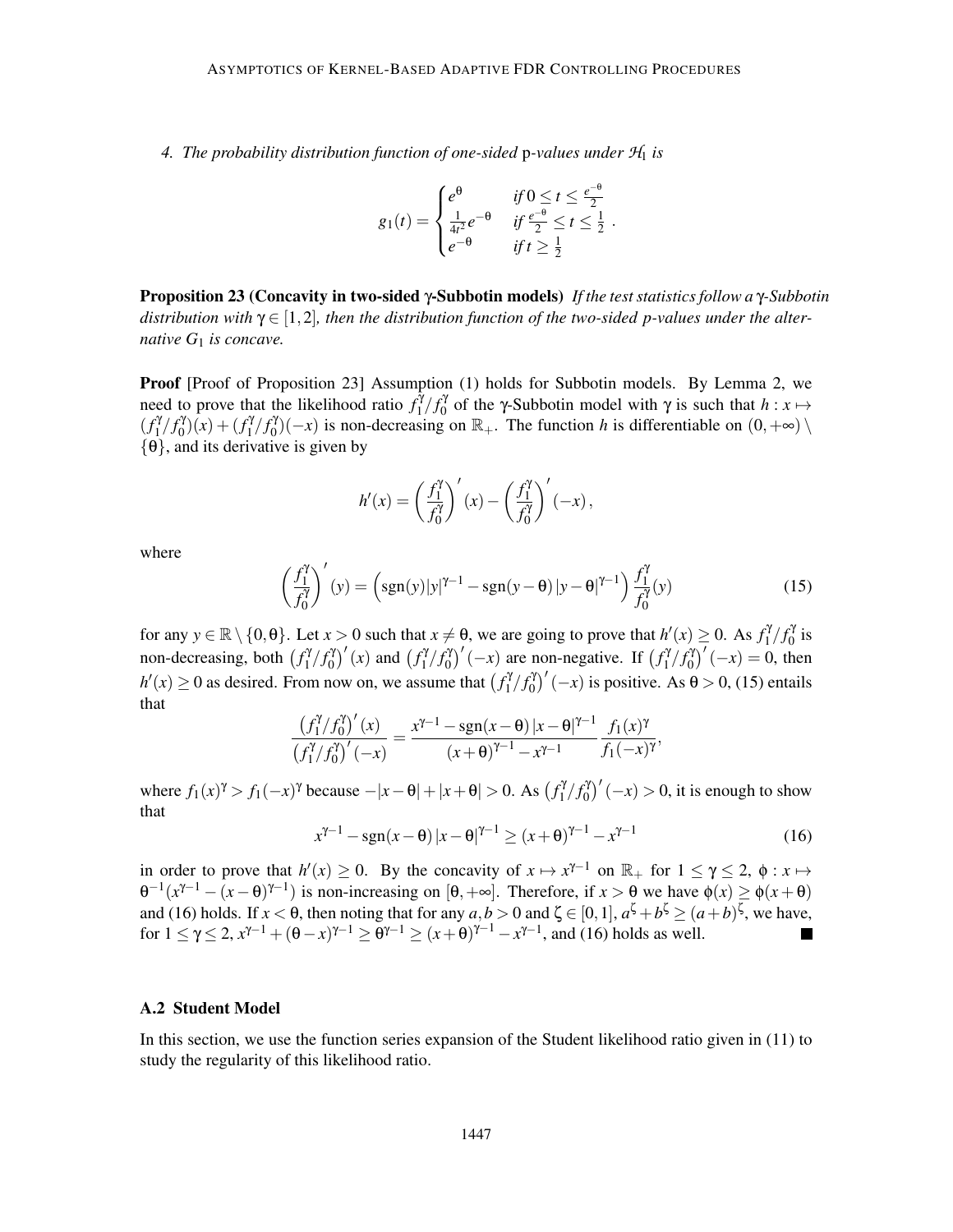*4. The probability distribution function of one-sided* p*-values under H*<sup>1</sup> *is*

$$
g_1(t) = \begin{cases} e^{\theta} & \text{if } 0 \leq t \leq \frac{e^{-\theta}}{2} \\ \frac{1}{4t^2} e^{-\theta} & \text{if } \frac{e^{-\theta}}{2} \leq t \leq \frac{1}{2} \\ e^{-\theta} & \text{if } t \geq \frac{1}{2} \end{cases}.
$$

Proposition 23 (Concavity in two-sided γ-Subbotin models) *If the test statistics follow a* γ*-Subbotin* distribution with  $\gamma \in [1,2]$ , then the distribution function of the two-sided p-values under the alter*native G*<sup>1</sup> *is concave.*

Proof [Proof of Proposition 23] Assumption (1) holds for Subbotin models. By Lemma 2, we need to prove that the likelihood ratio  $f_1^{\hat{\gamma}}$  $\frac{\tilde{\gamma}}{1}/f_0^{\gamma}$  $\gamma_0^{\gamma}$  of the γ-Subbotin model with γ is such that *h* : *x* →  $(f_1^{\gamma})$  $\int_1^{\gamma}/f_0^{\gamma}$  $(g_0^{\gamma})(x) + (f_1^{\gamma})$  $\int_1^{\gamma}/f_0^{\gamma}$  $\binom{10}{0}(-x)$  is non-decreasing on  $\mathbb{R}_+$ . The function *h* is differentiable on  $(0, +\infty)$  $\{\theta\}$ , and its derivative is given by

$$
h'(x) = \left(\frac{f_1^{\gamma}}{f_0^{\gamma}}\right)'(x) - \left(\frac{f_1^{\gamma}}{f_0^{\gamma}}\right)'(-x),
$$

where

$$
\left(\frac{f_1^{\gamma}}{f_0^{\gamma}}\right)'(y) = \left(\text{sgn}(y)|y|^{\gamma-1} - \text{sgn}(y-\theta)|y-\theta|^{\gamma-1}\right)\frac{f_1^{\gamma}}{f_0^{\gamma}}(y) \tag{15}
$$

for any  $y \in \mathbb{R} \setminus \{0, \theta\}$ . Let  $x > 0$  such that  $x \neq \theta$ , we are going to prove that  $h'(x) \geq 0$ . As  $f_1^y$  $\int_1^{\gamma}/f_0^{\gamma}$  $\int_0^{\gamma}$  is non-decreasing, both  $f_1^{\gamma}$  $\int_1^{\gamma}/f_0^{\gamma}$  $\binom{y}{0}'(x)$  and  $\binom{f_1^y}{x_1^y}$  $\int_1^{\gamma}/f_0^{\gamma}$  $\int_0^{\gamma}$  (-*x*) are non-negative. If  $\int_1^{\gamma}$  $\int_1^{\gamma}/f_0^{\gamma}$  $\binom{y}{0}'(-x) = 0$ , then  $h'(x) \ge 0$  as desired. From now on, we assume that  $f_1^{\gamma}$  $\int_1^{\gamma} f_0^{\gamma}$  $\binom{10}{0}'(-x)$  is positive. As  $\theta > 0$ , (15) entails that

$$
\frac{\left(f_1^{\gamma}/f_0^{\gamma}\right)'(x)}{\left(f_1^{\gamma}/f_0^{\gamma}\right)'(-x)} = \frac{x^{\gamma-1} - \operatorname{sgn}(x-\theta) |x-\theta|^{\gamma-1}}{(x+\theta)^{\gamma-1} - x^{\gamma-1}} \frac{f_1(x)^{\gamma}}{f_1(-x)^{\gamma}},
$$

where  $f_1(x)^{\gamma} > f_1(-x)^{\gamma}$  because  $-|x - \theta| + |x + \theta| > 0$ . As  $(f_1^{\gamma})$  $\int_1^{\gamma}/f_0^{\gamma}$  $\int_0^{\gamma}$  $(-x) > 0$ , it is enough to show that

$$
x^{\gamma - 1} - \text{sgn}(x - \theta) |x - \theta|^{\gamma - 1} \ge (x + \theta)^{\gamma - 1} - x^{\gamma - 1}
$$
 (16)

in order to prove that  $h'(x) \ge 0$ . By the concavity of  $x \mapsto x^{\gamma-1}$  on  $\mathbb{R}_+$  for  $1 \le \gamma \le 2$ ,  $\phi : x \mapsto$  $\theta^{-1}(x^{\gamma-1} - (x - \theta)^{\gamma-1})$  is non-increasing on [θ, +∞]. Therefore, if *x* > θ we have  $\phi(x) \geq \phi(x + \theta)$ and (16) holds. If  $x < \theta$ , then noting that for any  $a, b > 0$  and  $\zeta \in [0, 1]$ ,  $a^{\zeta} + b^{\zeta} \ge (a+b)^{\zeta}$ , we have, for  $1 \le \gamma \le 2$ ,  $x^{\gamma-1} + (\theta - x)^{\gamma-1} \ge \theta^{\gamma-1} \ge (x + \theta)^{\gamma-1} - x^{\gamma-1}$ , and (16) holds as well.

#### A.2 Student Model

In this section, we use the function series expansion of the Student likelihood ratio given in (11) to study the regularity of this likelihood ratio.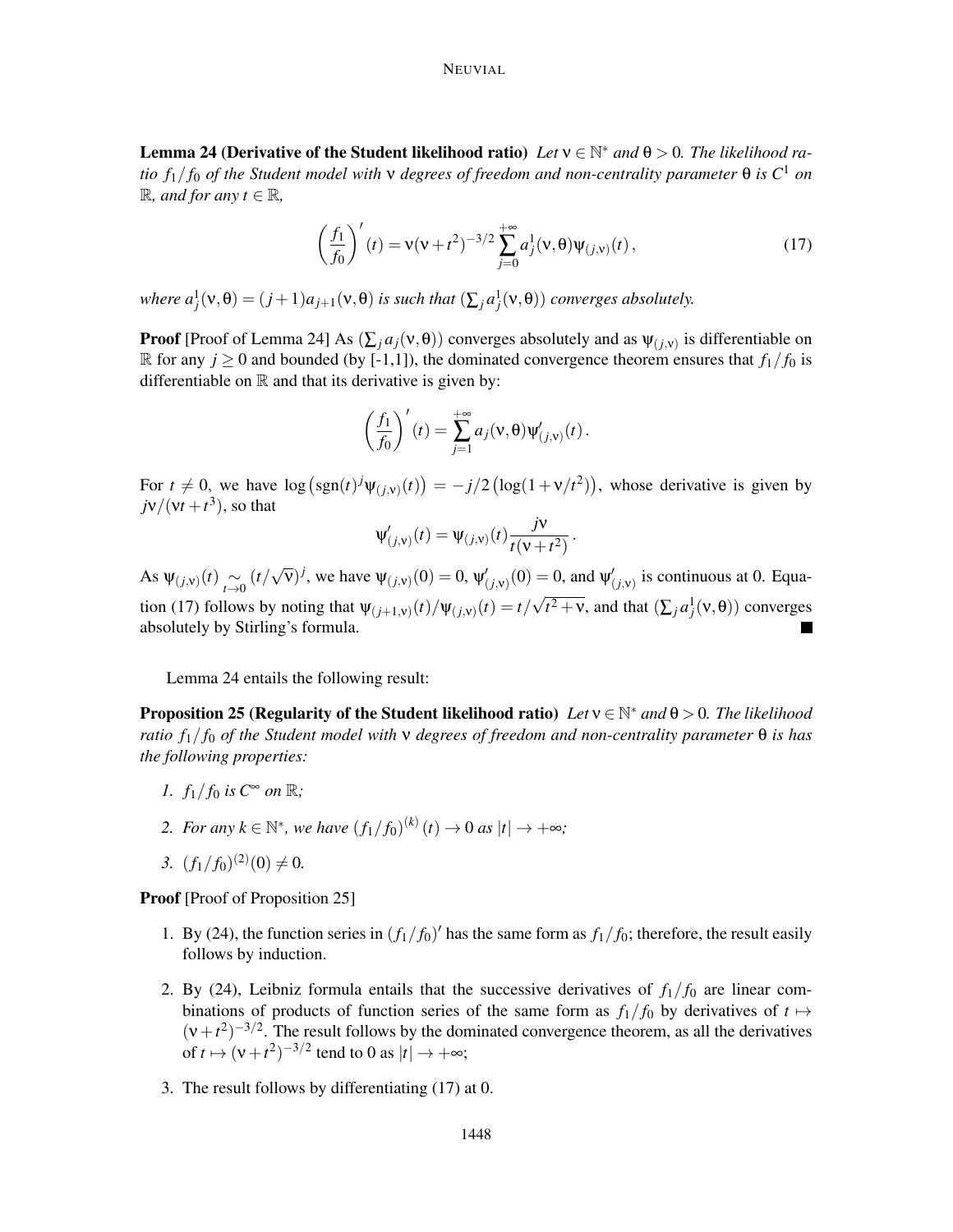Lemma 24 (Derivative of the Student likelihood ratio) *Let*  $v \in \mathbb{N}^*$  and  $\theta > 0$ . The likelihood ra*tio*  $f_1/f_0$  *of the Student model with*  $\nu$  *degrees of freedom and non-centrality parameter*  $\theta$  *is*  $C^1$  *on*  $ℝ$ *, and for any t* ∈ ℝ*,* 

$$
\left(\frac{f_1}{f_0}\right)'(t) = \mathbf{v}(\mathbf{v} + t^2)^{-3/2} \sum_{j=0}^{+\infty} a_j^1(\mathbf{v}, \theta) \Psi_{(j, \mathbf{v})}(t), \tag{17}
$$

.

*where*  $a_j^1(\nu, \theta) = (j+1)a_{j+1}(\nu, \theta)$  *is such that*  $(\sum_j a_j^1(\nu, \theta))$  *converges absolutely.* 

**Proof** [Proof of Lemma 24] As  $(\sum_j a_j(v, \theta))$  converges absolutely and as  $\psi_{(j,v)}$  is differentiable on R for any  $j \ge 0$  and bounded (by [-1,1]), the dominated convergence theorem ensures that  $f_1/f_0$  is differentiable on  $\mathbb R$  and that its derivative is given by:

$$
\left(\frac{f_1}{f_0}\right)'(t) = \sum_{j=1}^{+\infty} a_j(\mathsf{v},\theta)\Psi'_{(j,\mathsf{v})}(t).
$$

For  $t \neq 0$ , we have  $\log \left( \text{sgn}(t) \right)^j \Psi_{(j, v)}(t) \right) = -j/2 \left( \log(1 + v/t^2) \right)$ , whose derivative is given by  $j\nu/(vt+t^3)$ , so that

$$
\Psi'_{(j,v)}(t) = \Psi_{(j,v)}(t) \frac{jv}{t(v+t^2)}
$$

As  $\Psi_{(j,v)}(t) \underset{t \to 0}{\sim}$  $(t/\sqrt{\nu})^j$ , we have  $\Psi_{(j,\nu)}(0) = 0$ ,  $\Psi'_{(j,\nu)}(0) = 0$ , and  $\Psi'_{(j,\nu)}$  is continuous at 0. Equation (17) follows by noting that  $\Psi_{(j+1,v)}(t)/\Psi_{(j,v)}(t) = t/\sqrt{t^2 + v}$ , and that  $(\sum_j a_j^1(v, \theta))$  converges absolutely by Stirling's formula.

Lemma 24 entails the following result:

Proposition 25 (Regularity of the Student likelihood ratio) *Let* <sup>ν</sup> <sup>∈</sup> <sup>N</sup> <sup>∗</sup> *and* θ > 0*. The likelihood ratio f*1/ *f*<sup>0</sup> *of the Student model with* ν *degrees of freedom and non-centrality parameter* θ *is has the following properties:*

- *1.*  $f_1/f_0$  *is*  $C^{\infty}$  *on*  $\mathbb{R}$ *;*
- 2. For any  $k \in \mathbb{N}^*$ , we have  $(f_1/f_0)^{(k)}(t) \to 0$  as  $|t| \to +\infty$ ;
- 3.  $(f_1/f_0)^{(2)}(0) \neq 0.$

Proof [Proof of Proposition 25]

- 1. By (24), the function series in  $(f_1/f_0)'$  has the same form as  $f_1/f_0$ ; therefore, the result easily follows by induction.
- 2. By (24), Leibniz formula entails that the successive derivatives of  $f_1/f_0$  are linear combinations of products of function series of the same form as  $f_1/f_0$  by derivatives of  $t \mapsto$  $(v+t^2)^{-3/2}$ . The result follows by the dominated convergence theorem, as all the derivatives of  $t \mapsto (\nu + t^2)^{-3/2}$  tend to 0 as  $|t| \to +\infty$ ;
- 3. The result follows by differentiating (17) at 0.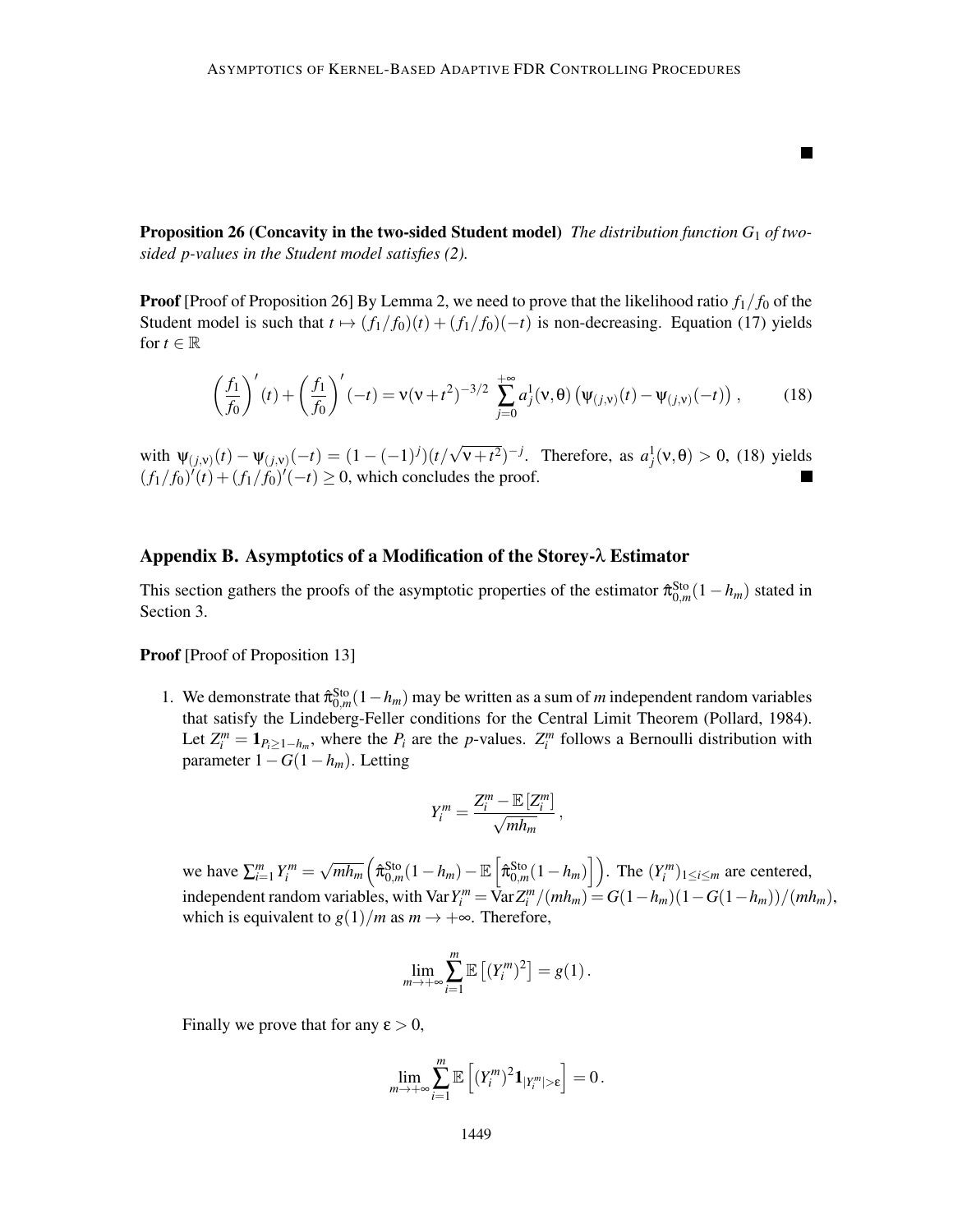Proposition 26 (Concavity in the two-sided Student model) *The distribution function G*<sup>1</sup> *of twosided p-values in the Student model satisfies (2).*

**Proof** [Proof of Proposition 26] By Lemma 2, we need to prove that the likelihood ratio  $f_1/f_0$  of the Student model is such that  $t \mapsto (f_1/f_0)(t) + (f_1/f_0)(-t)$  is non-decreasing. Equation (17) yields for  $t \in \mathbb{R}$ 

$$
\left(\frac{f_1}{f_0}\right)'(t) + \left(\frac{f_1}{f_0}\right)'(-t) = \mathsf{v}(\mathsf{v} + t^2)^{-3/2} \sum_{j=0}^{+\infty} a_j^1(\mathsf{v}, \theta) \left(\psi_{(j, \mathsf{v})}(t) - \psi_{(j, \mathsf{v})}(-t)\right),\tag{18}
$$

ш

with  $\Psi(j, v)(t) - \Psi(j, v)(-t) = (1 - (-1)^j)(t/\sqrt{v + t^2})^{-j}$ . Therefore, as  $a_j^1(v, \theta) > 0$ , (18) yields  $(f_1/f_0)'(t) + (f_1/f_0)'(-t) \ge 0$ , which concludes the proof.

# Appendix B. Asymptotics of a Modification of the Storey-λ Estimator

This section gathers the proofs of the asymptotic properties of the estimator  $\hat{\pi}_{0,m}^{\text{Sto}}(1-h_m)$  stated in Section 3.

**Proof** [Proof of Proposition 13]

1. We demonstrate that  $\hat{\pi}_{0,m}^{\text{Sto}}(1-h_m)$  may be written as a sum of *m* independent random variables that satisfy the Lindeberg-Feller conditions for the Central Limit Theorem (Pollard, 1984). Let  $Z_i^m = \mathbf{1}_{P_i \geq 1-h_m}$ , where the  $P_i$  are the *p*-values.  $Z_i^m$  follows a Bernoulli distribution with parameter 1−*G*(1−*hm*). Letting

$$
Y_i^m = \frac{Z_i^m - \mathbb{E}\left[Z_i^m\right]}{\sqrt{mh_m}},
$$

we have  $\sum_{i=1}^{m} Y_i^m = \sqrt{m h_m} \left( \hat{\pi}_{0,m}^{\text{Sto}} (1 - h_m) - \mathbb{E} \left[ \hat{\pi}_{0,m}^{\text{Sto}} (1 - h_m) \right] \right)$ . The  $(Y_i^m)_{1 \le i \le m}$  are centered, independent random variables, with Var  $Y_i^m = \overline{\text{Var}} Z_i^m / (m h_m) = G(1 - h_m) (1 - G(1 - h_m)) / (m h_m)$ , which is equivalent to  $g(1)/m$  as  $m \to +\infty$ . Therefore,

$$
\lim_{m\to+\infty}\sum_{i=1}^m\mathbb{E}\left[(Y_i^m)^2\right]=g(1).
$$

Finally we prove that for any  $\varepsilon > 0$ ,

$$
\lim_{m\to+\infty}\sum_{i=1}^m\mathbb{E}\left[(Y_i^m)^2\mathbf{1}_{|Y_i^m|>\epsilon}\right]=0.
$$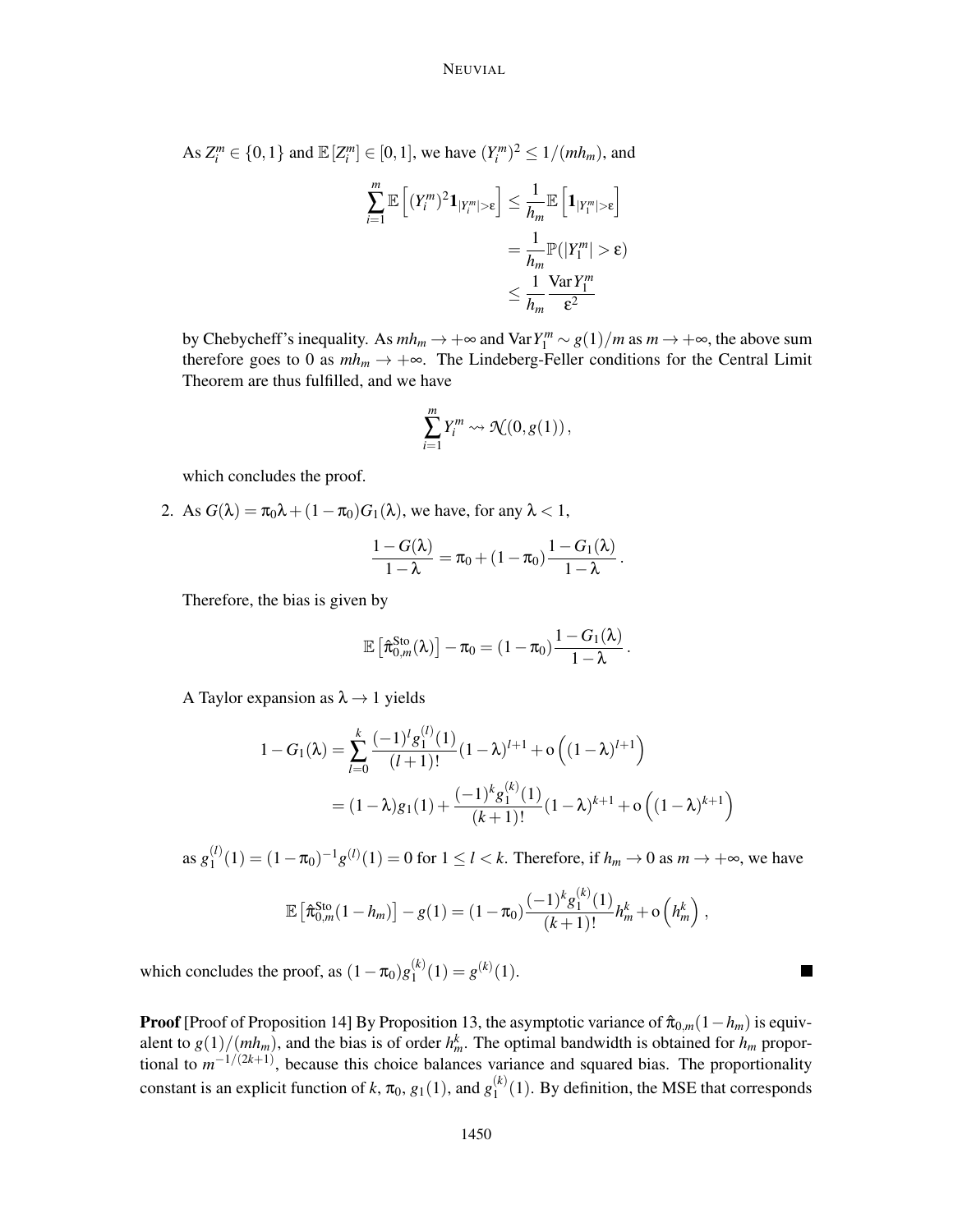As  $Z_i^m \in \{0, 1\}$  and  $\mathbb{E}[Z_i^m] \in [0, 1]$ , we have  $(Y_i^m)^2 \le 1/(mh_m)$ , and

$$
\sum_{i=1}^{m} \mathbb{E}\left[ (Y_i^m)^2 \mathbf{1}_{|Y_i^m| > \varepsilon} \right] \le \frac{1}{h_m} \mathbb{E}\left[ \mathbf{1}_{|Y_1^m| > \varepsilon} \right]
$$

$$
= \frac{1}{h_m} \mathbb{P}(|Y_1^m| > \varepsilon)
$$

$$
\le \frac{1}{h_m} \frac{\text{Var}\, Y_1^m}{\varepsilon^2}
$$

by Chebycheff's inequality. As  $mh_m \to +\infty$  and  $\text{Var} Y_1^m \sim g(1)/m$  as  $m \to +\infty$ , the above sum therefore goes to 0 as  $mh_m \to +\infty$ . The Lindeberg-Feller conditions for the Central Limit Theorem are thus fulfilled, and we have

$$
\sum_{i=1}^m Y_i^m \leadsto \mathcal{N}(0, g(1)),
$$

which concludes the proof.

2. As  $G(\lambda) = \pi_0 \lambda + (1 - \pi_0) G_1(\lambda)$ , we have, for any  $\lambda < 1$ ,

$$
\frac{1-G(\lambda)}{1-\lambda}=\pi_0+(1-\pi_0)\frac{1-G_1(\lambda)}{1-\lambda}.
$$

Therefore, the bias is given by

$$
\mathbb{E}\left[\hat{\pi}_{0,m}^{\mathrm{Sto}}(\lambda)\right]-\pi_0=(1-\pi_0)\frac{1-G_1(\lambda)}{1-\lambda}
$$

.

A Taylor expansion as  $\lambda \rightarrow 1$  yields

$$
1 - G_1(\lambda) = \sum_{l=0}^{k} \frac{(-1)^l g_1^{(l)}(1)}{(l+1)!} (1 - \lambda)^{l+1} + o\left((1 - \lambda)^{l+1}\right)
$$
  
=  $(1 - \lambda)g_1(1) + \frac{(-1)^k g_1^{(k)}(1)}{(k+1)!} (1 - \lambda)^{k+1} + o\left((1 - \lambda)^{k+1}\right)$ 

as  $g_1^{(l)}$  $1^{(l)}_1(1) = (1 - \pi_0)^{-1} g^{(l)}(1) = 0$  for  $1 \le l < k$ . Therefore, if  $h_m \to 0$  as  $m \to +\infty$ , we have

$$
\mathbb{E}\left[\hat{\pi}_{0,m}^{\text{Sto}}(1-h_m)\right]-g(1)=(1-\pi_0)\frac{(-1)^k g_1^{(k)}(1)}{(k+1)!}h_m^k+\mathrm{o}\left(h_m^k\right),
$$

which concludes the proof, as  $(1 - \pi_0)g_1^{(k)}$  $j_1^{(k)}(1) = g^{(k)}(1).$ 

**Proof** [Proof of Proposition 14] By Proposition 13, the asymptotic variance of  $\hat{\pi}_{0,m}(1-h_m)$  is equivalent to  $g(1)/(mh_m)$ , and the bias is of order  $h_m^k$ . The optimal bandwidth is obtained for  $h_m$  proportional to  $m^{-1/(2k+1)}$ , because this choice balances variance and squared bias. The proportionality constant is an explicit function of *k*,  $\pi_0$ ,  $g_1(1)$ , and  $g_1^{(k)}$  $1^{(k)}(1)$ . By definition, the MSE that corresponds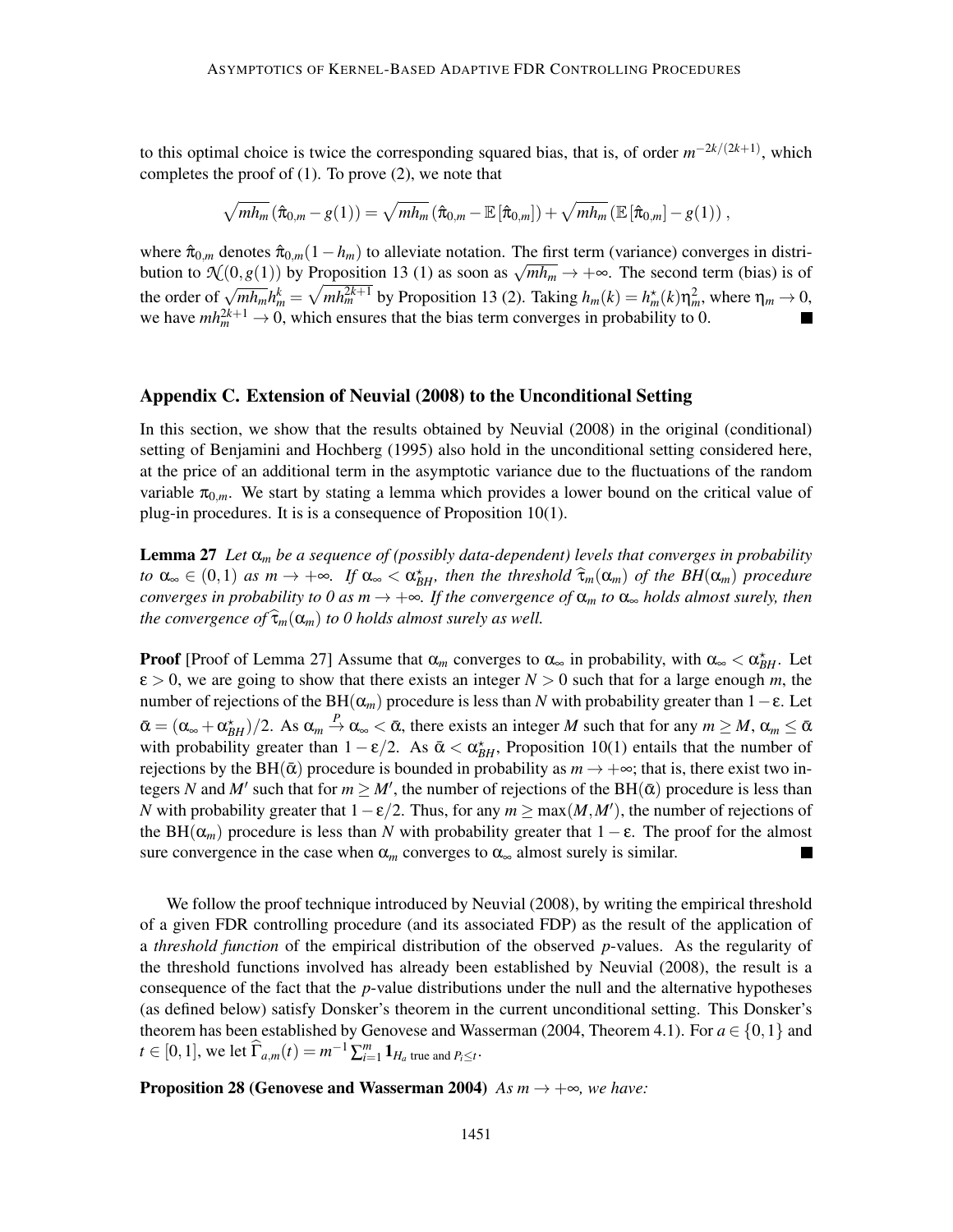to this optimal choice is twice the corresponding squared bias, that is, of order  $m^{-2k/(2k+1)}$ , which completes the proof of (1). To prove (2), we note that

$$
\sqrt{mh_m}\left(\hat{\pi}_{0,m}-g(1)\right)=\sqrt{mh_m}\left(\hat{\pi}_{0,m}-\mathbb{E}\left[\hat{\pi}_{0,m}\right]\right)+\sqrt{mh_m}\left(\mathbb{E}\left[\hat{\pi}_{0,m}\right]-g(1)\right),
$$

where  $\hat{\pi}_{0,m}$  denotes  $\hat{\pi}_{0,m}(1-h_m)$  to alleviate notation. The first term (variance) converges in distribution to  $\mathcal{N}(0, g(1))$  by Proposition 13 (1) as soon as  $\sqrt{mh_m} \to +\infty$ . The second term (bias) is of the order of  $\sqrt{m h_m} h_m^k = \sqrt{m h_m^{2k+1}}$  by Proposition 13 (2). Taking  $h_m(k) = h_m^*(k) \eta_m^2$ , where  $\eta_m \to 0$ , we have  $mh_m^{2k+1} \to 0$ , which ensures that the bias term converges in probability to 0.

## Appendix C. Extension of Neuvial (2008) to the Unconditional Setting

In this section, we show that the results obtained by Neuvial (2008) in the original (conditional) setting of Benjamini and Hochberg (1995) also hold in the unconditional setting considered here, at the price of an additional term in the asymptotic variance due to the fluctuations of the random variable  $\pi_{0,m}$ . We start by stating a lemma which provides a lower bound on the critical value of plug-in procedures. It is is a consequence of Proposition 10(1).

Lemma 27 *Let* α*<sup>m</sup> be a sequence of (possibly data-dependent) levels that converges in probability*  $\alpha \in (0,1)$  *as*  $m \to +\infty$ *. If*  $\alpha_{\infty} < \alpha_{BH}^*$ , then the threshold  $\widehat{\tau}_m(\alpha_m)$  of the BH( $\alpha_m$ ) procedure *converges in probability to 0 as*  $m \to +\infty$ *. If the convergence of*  $\alpha_m$  *to*  $\alpha_\infty$  *holds almost surely, then the convergence of*  $\hat{\tau}_m(\alpha_m)$  *to 0 holds almost surely as well.* 

**Proof** [Proof of Lemma 27] Assume that  $\alpha_m$  converges to  $\alpha_\infty$  in probability, with  $\alpha_\infty < \alpha_{BH}^*$ . Let  $\varepsilon > 0$ , we are going to show that there exists an integer  $N > 0$  such that for a large enough m, the number of rejections of the BH( $\alpha_m$ ) procedure is less than *N* with probability greater than 1–ε. Let  $\bar{\alpha} = (\alpha_{\infty} + \alpha_{BH}^{*})/2$ . As  $\alpha_{m} \stackrel{P}{\rightarrow} \alpha_{\infty} < \bar{\alpha}$ , there exists an integer *M* such that for any  $m \geq M$ ,  $\alpha_{m} \leq \bar{\alpha}$ with probability greater than  $1 - \varepsilon/2$ . As  $\bar{\alpha} < \alpha_{BH}^*$ , Proposition 10(1) entails that the number of rejections by the BH( $\bar{\alpha}$ ) procedure is bounded in probability as  $m \to +\infty$ ; that is, there exist two integers *N* and *M'* such that for  $m \ge M'$ , the number of rejections of the BH( $\bar{\alpha}$ ) procedure is less than *N* with probability greater that  $1 - \varepsilon/2$ . Thus, for any  $m \ge \max(M, M')$ , the number of rejections of the BH( $\alpha_m$ ) procedure is less than *N* with probability greater that  $1 - \varepsilon$ . The proof for the almost sure convergence in the case when  $\alpha_m$  converges to  $\alpha_m$  almost surely is similar. sure convergence in the case when  $\alpha_m$  converges to  $\alpha_\infty$  almost surely is similar.

We follow the proof technique introduced by Neuvial (2008), by writing the empirical threshold of a given FDR controlling procedure (and its associated FDP) as the result of the application of a *threshold function* of the empirical distribution of the observed *p*-values. As the regularity of the threshold functions involved has already been established by Neuvial (2008), the result is a consequence of the fact that the *p*-value distributions under the null and the alternative hypotheses (as defined below) satisfy Donsker's theorem in the current unconditional setting. This Donsker's theorem has been established by Genovese and Wasserman (2004, Theorem 4.1). For  $a \in \{0,1\}$  and  $t \in [0,1]$ , we let  $\widehat{\Gamma}_{a,m}(t) = m^{-1} \sum_{i=1}^{m} \mathbf{1}_{H_a}$  true and  $P_i \leq t$ .

**Proposition 28 (Genovese and Wasserman 2004)** *As m*  $\rightarrow +\infty$ *, we have:*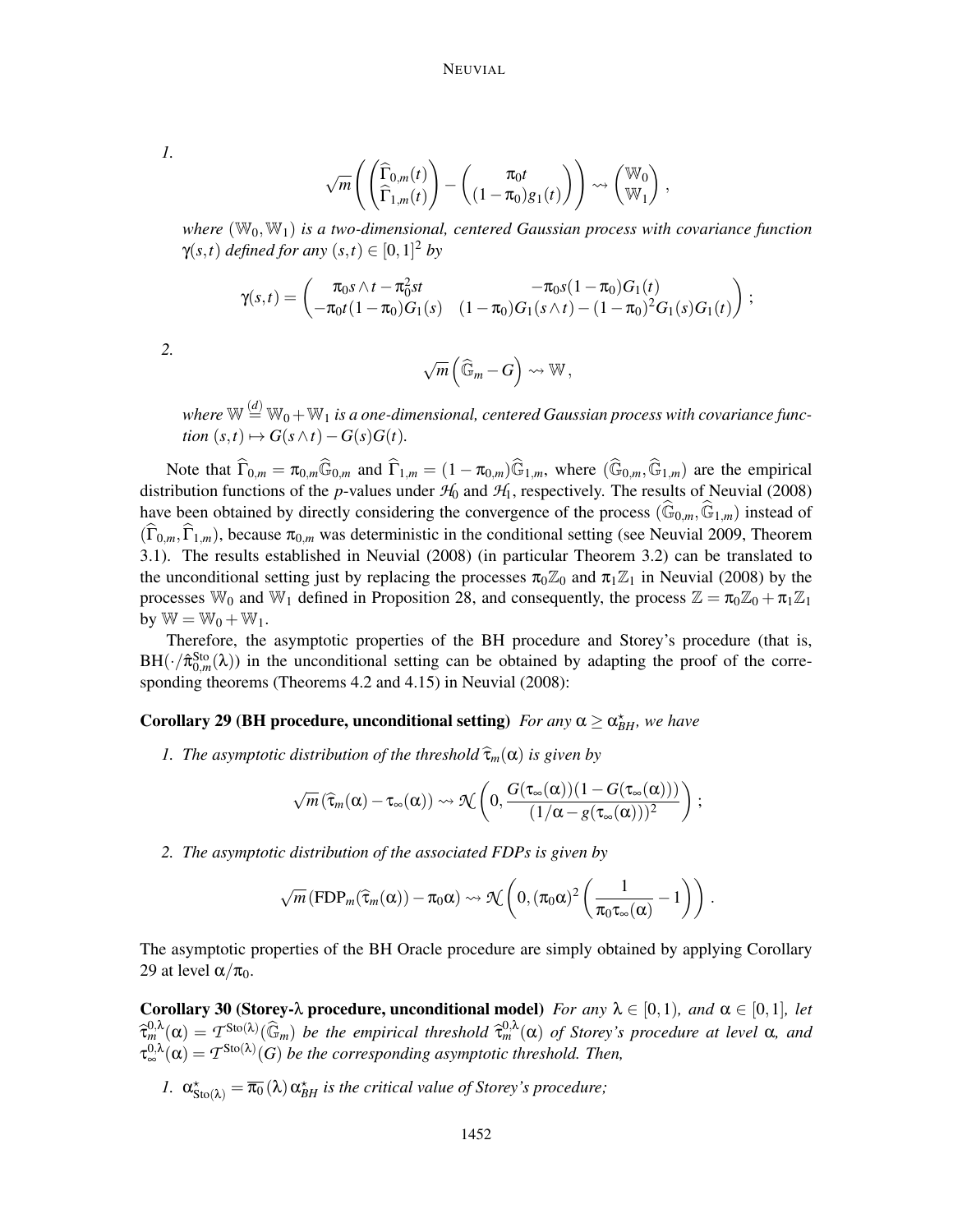*1.*

$$
\sqrt{m}\left(\begin{pmatrix} \widehat\Gamma_{0,m}(t) \\ \widehat\Gamma_{1,m}(t) \end{pmatrix} - \begin{pmatrix} \pi_0 t \\ (1-\pi_0)g_1(t) \end{pmatrix} \right) \rightsquigarrow \begin{pmatrix} \mathbb{W}_0 \\ \mathbb{W}_1 \end{pmatrix},
$$

*where*  $(\mathbb{W}_0, \mathbb{W}_1)$  *is a two-dimensional, centered Gaussian process with covariance function*  $\gamma(s,t)$  *defined for any*  $(s,t) \in [0,1]^2$  *by* 

$$
\gamma(s,t) = \begin{pmatrix} \pi_0 s \wedge t - \pi_0^2 st & -\pi_0 s (1 - \pi_0) G_1(t) \\ -\pi_0 t (1 - \pi_0) G_1(s) & (1 - \pi_0) G_1(s \wedge t) - (1 - \pi_0)^2 G_1(s) G_1(t) \end{pmatrix};
$$

$$
2. \hspace{2pt}
$$

$$
\sqrt{m}\left(\widehat{\mathbb{G}}_m - G\right) \rightsquigarrow \mathbb{W},
$$

where  $\mathbb{W} \stackrel{(d)}{=} \mathbb{W}_0 + \mathbb{W}_1$  is a one-dimensional, centered Gaussian process with covariance func- $\phi$ *tion*  $(s,t) \mapsto G(s \wedge t) - G(s)G(t)$ .

Note that  $\widehat{\Gamma}_{0,m} = \pi_{0,m} \widehat{\mathbb{G}}_{0,m}$  and  $\widehat{\Gamma}_{1,m} = (1 - \pi_{0,m}) \widehat{\mathbb{G}}_{1,m}$ , where  $(\widehat{\mathbb{G}}_{0,m}, \widehat{\mathbb{G}}_{1,m})$  are the empirical distribution functions of the *p*-values under  $H_0$  and  $H_1$ , respectively. The results of Neuvial (2008) have been obtained by directly considering the convergence of the process  $(\mathbb{G}_{0,m},\mathbb{G}_{1,m})$  instead of  $(\widehat{\Gamma}_{0,m},\widehat{\Gamma}_{1,m})$ , because  $\pi_{0,m}$  was deterministic in the conditional setting (see Neuvial 2009, Theorem 3.1). The results established in Neuvial (2008) (in particular Theorem 3.2) can be translated to the unconditional setting just by replacing the processes  $\pi_0 \mathbb{Z}_0$  and  $\pi_1 \mathbb{Z}_1$  in Neuvial (2008) by the processes W<sub>0</sub> and W<sub>1</sub> defined in Proposition 28, and consequently, the process  $\mathbb{Z} = \pi_0 \mathbb{Z}_0 + \pi_1 \mathbb{Z}_1$ by  $\mathbb{W} = \mathbb{W}_0 + \mathbb{W}_1$ .

Therefore, the asymptotic properties of the BH procedure and Storey's procedure (that is,  $BH(\cdot/\hat{\pi}_{0,m}^{Sto}(\lambda))$  in the unconditional setting can be obtained by adapting the proof of the corresponding theorems (Theorems 4.2 and 4.15) in Neuvial (2008):

# **Corollary 29 (BH procedure, unconditional setting)** *For any*  $\alpha \geq \alpha_{BH}^*$ , we have

*1. The asymptotic distribution of the threshold*  $\widehat{\tau}_m(\alpha)$  *is given by* 

$$
\sqrt{m}\left(\widehat{\tau}_m(\alpha)-\tau_\infty(\alpha)\right)\rightsquigarrow\mathfrak{N}\left(0,\frac{G(\tau_\infty(\alpha))(1-G(\tau_\infty(\alpha)))}{(1/\alpha-g(\tau_\infty(\alpha)))^2}\right);
$$

*2. The asymptotic distribution of the associated FDPs is given by*

$$
\sqrt{m}\left(\text{FDP}_m(\widehat{\tau}_m(\alpha))-\pi_0\alpha\right)\rightsquigarrow \mathfrak{N}\left(0,(\pi_0\alpha)^2\left(\frac{1}{\pi_0\tau_\infty(\alpha)}-1\right)\right).
$$

The asymptotic properties of the BH Oracle procedure are simply obtained by applying Corollary 29 at level  $\alpha/\pi_0$ .

Corollary 30 (Storey- $\lambda$  procedure, unconditional model) *For any*  $\lambda \in [0,1)$ *, and*  $\alpha \in [0,1]$ *, let*  $\hat{\tau}_{m}^{0,\lambda}(\alpha) = T^{\text{Sto}(\lambda)}(\widehat{\mathbb{G}}_{m})$  *be the empirical threshold*  $\widehat{\tau}_{m}^{0,\lambda}(\alpha)$  *of Storey's procedure at level*  $\alpha$ *, and*  $\widehat{\tau}_{m}^{0,\lambda}(\alpha) = T^{\text{Sto}(\lambda)}(\widehat{\mathbb{G}}_{m})$  *of*  $\widehat{\tau}_{m}^{0,\lambda}(\alpha)$  *are*  $T^{\text{Sto}(\lambda)}$  $\tau_{\infty}^{0,\lambda}(\alpha) = T^{\text{Sto}(\lambda)}(G)$  *be the corresponding asymptotic threshold. Then,* 

*I.*  $\alpha_{\text{Sto}(\lambda)}^* = \overline{\pi_0}(\lambda) \alpha_{BH}^*$  *is the critical value of Storey's procedure;*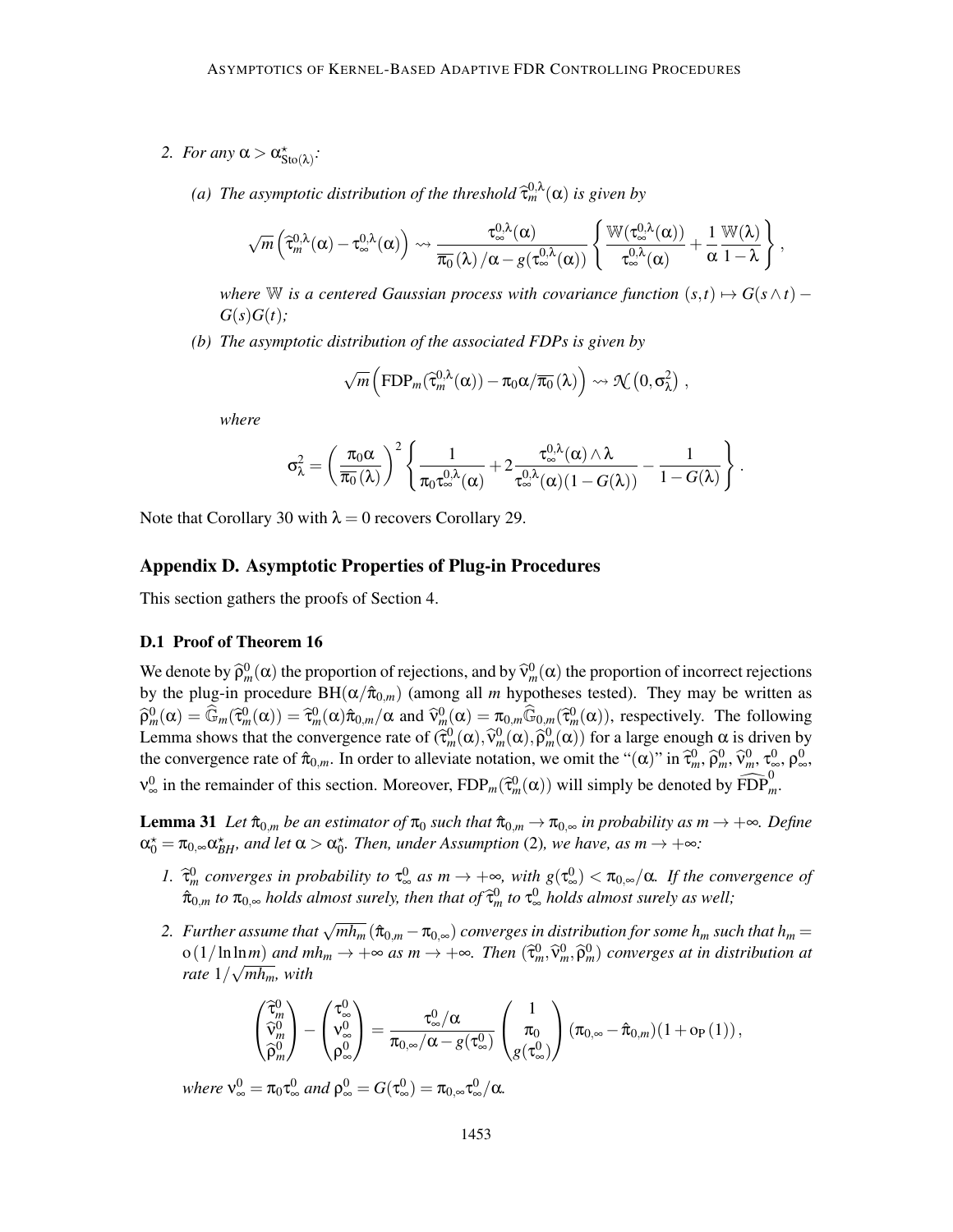- 2. *For any*  $\alpha > \alpha^*_{\text{Sto}(\lambda)}$ :
	- (a) The asymptotic distribution of the threshold  $\widehat{\tau}_m^{0,\lambda}(\alpha)$  is given by

$$
\sqrt{m}\left(\widehat{\tau}^{0,\lambda}_m(\alpha)-\tau^{0,\lambda}_{\infty}(\alpha)\right)\rightsquigarrow\frac{\tau^{0,\lambda}_{\infty}(\alpha)}{\overline{\pi_0}\left(\lambda\right)/\alpha-g(\tau^{0,\lambda}_{\infty}(\alpha))}\left\{\frac{\mathbb{W}(\tau^{0,\lambda}_{\infty}(\alpha))}{\tau^{0,\lambda}_{\infty}(\alpha)}+\frac{1}{\alpha}\frac{\mathbb{W}(\lambda)}{1-\lambda}\right\}\,,
$$

*where* W *is a centered Gaussian process with covariance function*  $(s,t) \mapsto G(s \wedge t)$  –  $G(s)G(t)$ ;

*(b) The asymptotic distribution of the associated FDPs is given by*

$$
\sqrt{m}\left(\mathrm{FDP}_m(\widehat{\tau}_m^{0,\lambda}(\alpha)) - \pi_0 \alpha / \overline{\pi_0}(\lambda)\right) \rightsquigarrow \mathcal{N}\left(0, \sigma_{\lambda}^2\right),
$$

*where*

$$
\sigma_\lambda^2 = \left(\frac{\pi_0\alpha}{\overline{\pi_0}(\lambda)}\right)^2\left\{\frac{1}{\pi_0\tau_\infty^{0,\lambda}(\alpha)} + 2\frac{\tau_\infty^{0,\lambda}(\alpha)\wedge \lambda}{\tau_\infty^{0,\lambda}(\alpha)(1-G(\lambda))} - \frac{1}{1-G(\lambda)}\right\}\,.
$$

Note that Corollary 30 with  $\lambda = 0$  recovers Corollary 29.

# Appendix D. Asymptotic Properties of Plug-in Procedures

This section gathers the proofs of Section 4.

## D.1 Proof of Theorem 16

We denote by  $\hat{\rho}_m^0(\alpha)$  the proportion of rejections, and by  $\hat{v}_m^0(\alpha)$  the proportion of incorrect rejections by the plug-in procedure  $BH(\alpha/\hat{\pi}_{0,m})$  (among all *m* hypotheses tested). They may be written as  $\widehat{\rho}_{m}^{0}(\alpha) = \widehat{\mathbb{G}}_{m}(\widehat{\tau}_{m}^{0}(\alpha)) = \widehat{\tau}_{m}^{0}(\alpha)\widehat{\pi}_{0,m}/\alpha$  and  $\widehat{\mathbb{V}}_{m}^{0}(\alpha) = \pi_{0,m}(\widehat{\mathbb{G}}_{0,m}(\widehat{\tau}_{m}^{0}(\alpha)),$  respectively. The following Lemma shows that the convergence rate of  $(\hat{\tau}_m^0(\alpha), \hat{\nu}_m^0(\alpha), \hat{\rho}_m^0(\alpha))$  for a large enough  $\alpha$  is driven by the convergence rate of  $\hat{\pi}_{0,m}$ . In order to alleviate notation, we omit the " $(\alpha)$ " in  $\hat{\tau}_m^0$ ,  $\hat{\rho}_m^0$ ,  $\hat{\nu}_m^0$ ,  $\tau_\infty^0$ ,  $\rho_\infty^0$ ,  $\rho_\infty^0$  $v_{\infty}^0$  in the remainder of this section. Moreover,  $FDP_m(\hat{\tau}_m^0(\alpha))$  will simply be denoted by  $\widehat{FDP}_m^0$ .

**Lemma 31** *Let*  $\hat{\pi}_{0,m}$  *be an estimator of*  $\pi_0$  *such that*  $\hat{\pi}_{0,m} \to \pi_{0,\infty}$  *in probability as*  $m \to +\infty$ *. Define*  $\alpha_0^* = \pi_{0,\infty} \alpha_{BH}^*$ , and let  $\alpha > \alpha_0^*$ . Then, under Assumption (2), we have, as  $m \to +\infty$ :

- *1.*  $\hat{\tau}_m^0$  converges in probability to  $\tau_\infty^0$  as  $m \to +\infty$ , with  $g(\tau_\infty^0) < \pi_{0,\infty}/\alpha$ . If the convergence of  $\hat{\pi}_{0,m}$  *to*  $\pi_{0,\infty}$  *holds almost surely, then that of*  $\widehat{\tau}_{m}^{0}$  *to*  $\tau_{\infty}^{0}$  *holds almost surely as well;*
- 2. Further assume that  $\sqrt{mh_m}$  ( $\hat{\pi}_{0,m} \pi_{0,\infty}$ ) converges in distribution for some  $h_m$  such that  $h_m =$  $o(1/\ln \ln m)$  *and*  $mh_m \to +\infty$  *as*  $m \to +\infty$ *. Then*  $(\hat{\tau}_m^0, \hat{\nu}_m^0, \hat{\rho}_m^0)$  *converges at in distribution at*  $\int$ *rate*  $1/\sqrt{mh_m}$ *, with*

$$
\begin{pmatrix} \widehat{\tau}^0_m\\ \widehat{\nu}^0_m\\ \widehat{\rho}^0_m \end{pmatrix} - \begin{pmatrix} \tau^0_\infty\\ \nu^0_\infty\\ \rho^0_\infty \end{pmatrix} = \frac{\tau^0_\infty/\alpha}{\pi_{0,\infty}/\alpha - g(\tau^0_\infty)} \begin{pmatrix} 1\\ \pi_0\\ g(\tau^0_\infty) \end{pmatrix} (\pi_{0,\infty} - \widehat{\pi}_{0,m}) (1 + o_P(1)),
$$

*where*  $v_{\infty}^0 = \pi_0 \tau_{\infty}^0$  and  $\rho_{\infty}^0 = G(\tau_{\infty}^0) = \pi_{0,\infty} \tau_{\infty}^0 / \alpha$ .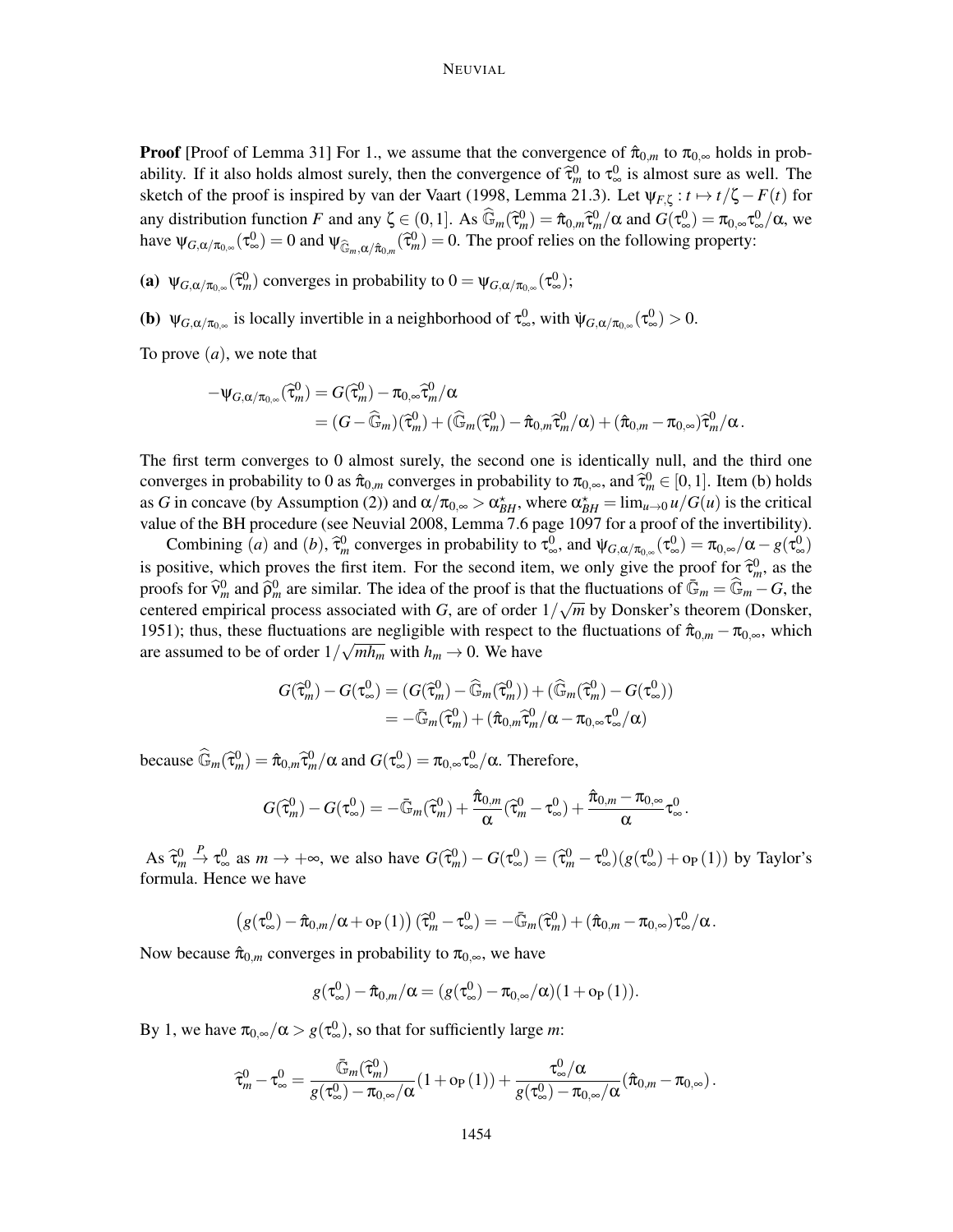## NEUVIAL

**Proof** [Proof of Lemma 31] For 1., we assume that the convergence of  $\hat{\pi}_{0,m}$  to  $\pi_{0,\infty}$  holds in probability. If it also holds almost surely, then the convergence of  $\hat{\tau}_{m}^{0}$  to  $\tau_{\infty}^{0}$  is almost sure as well. The sketch of the proof is inspired by van der Vaart (1998, Lemma 21.3). Let  $\psi_{F,\zeta}: t \mapsto t/\zeta - F(t)$  for any distribution function *F* and any  $\zeta \in (0, 1]$ . As  $\widehat{\mathbb{G}}_m(\widehat{\tau}_m^0) = \widehat{\pi}_{0,m}\widehat{\tau}_m^0/\alpha$  and  $G(\tau_\infty^0) = \pi_{0,\infty}\tau_\infty^0/\alpha$ , we have  $\psi_{G,\alpha/\pi_{0,\infty}}(\tau_{\infty}^0) = 0$  and  $\psi_{\widehat{\mathbb{G}}_m,\alpha/\hat{\pi}_{0,m}}(\widehat{\tau}_m^0) = 0$ . The proof relies on the following property:

(a)  $\psi_{G,\alpha/\pi_{0,\infty}}(\hat{\tau}_m^0)$  converges in probability to  $0 = \psi_{G,\alpha/\pi_{0,\infty}}(\tau_\infty^0);$ 

(b)  $\Psi_{G,\alpha/\pi_{0,\infty}}$  is locally invertible in a neighborhood of  $\tau_{\infty}^{0}$ , with  $\Psi_{G,\alpha/\pi_{0,\infty}}(\tau_{\infty}^{0}) > 0$ .

To prove (*a*), we note that

$$
\begin{aligned} -\psi_{G,\alpha/\pi_{0,\infty}}(\widehat{\tau}^0_m) &= G(\widehat{\tau}^0_m) - \pi_{0,\infty}\widehat{\tau}^0_m/\alpha \\ &= (G - \widehat{\mathbb{G}}_m)(\widehat{\tau}^0_m) + (\widehat{\mathbb{G}}_m(\widehat{\tau}^0_m) - \widehat{\pi}_{0,m}\widehat{\tau}^0_m/\alpha) + (\widehat{\pi}_{0,m} - \pi_{0,\infty})\widehat{\tau}^0_m/\alpha. \end{aligned}
$$

The first term converges to 0 almost surely, the second one is identically null, and the third one converges in probability to 0 as  $\hat{\pi}_{0,m}$  converges in probability to  $\pi_{0,\infty}$ , and  $\hat{\tau}_m^0 \in [0,1]$ . Item (b) holds as *G* in concave (by Assumption (2)) and  $\alpha/\pi_{0,\infty} > \alpha_{BH}^*$ , where  $\alpha_{BH}^* = \lim_{u \to 0} u/G(u)$  is the critical value of the BH procedure (see Neuvial 2008, Lemma 7.6 page 1097 for a proof of the invertibility).

Combining (*a*) and (*b*),  $\hat{\tau}_m^0$  converges in probability to  $\tau_\infty^0$ , and  $\Psi_{G,\alpha/\pi_{0,\infty}}(\tau_\infty^0) = \pi_{0,\infty}/\alpha - g(\tau_\infty^0)$ is positive, which proves the first item. For the second item, we only give the proof for  $\hat{\tau}_m^0$ , as the proofs for  $\widehat{v}_m^0$  and  $\widehat{\rho}_m^0$  are similar. The idea of the proof is that the fluctuations of  $\overline{\mathbb{G}}_m = \widehat{\mathbb{G}}_m - G$ , the centered empirical process associated with *G*, are of order  $1/\sqrt{m}$  by Donsker's theorem (Donsker, 1951); thus, these fluctuations are negligible with respect to the fluctuations of  $\hat{\pi}_{0,m} - \pi_{0,\infty}$ , which are assumed to be of order  $1/\sqrt{mh_m}$  with  $h_m \to 0$ . We have

$$
G(\widehat{\tau}_{m}^{0}) - G(\tau_{\infty}^{0}) = (G(\widehat{\tau}_{m}^{0}) - \widehat{\mathbb{G}}_{m}(\widehat{\tau}_{m}^{0})) + (\widehat{\mathbb{G}}_{m}(\widehat{\tau}_{m}^{0}) - G(\tau_{\infty}^{0}))
$$
  
=  $-\overline{\mathbb{G}}_{m}(\widehat{\tau}_{m}^{0}) + (\widehat{\pi}_{0,m}\widehat{\tau}_{m}^{0}/\alpha - \pi_{0,\infty}\tau_{\infty}^{0}/\alpha)$ 

because  $\widehat{\mathbb{G}}_m(\widehat{\tau}_m^0) = \widehat{\pi}_{0,m}\widehat{\tau}_m^0/\alpha$  and  $G(\tau_\infty^0) = \pi_{0,\infty}\tau_\infty^0/\alpha$ . Therefore,

$$
G(\widehat{\tau}^0_m) - G(\tau^0_\infty) = -\bar{\mathbb{G}}_m(\widehat{\tau}^0_m) + \frac{\hat{\pi}_{0,m}}{\alpha}(\widehat{\tau}^0_m - \tau^0_\infty) + \frac{\hat{\pi}_{0,m} - \pi_{0,\infty}}{\alpha}\tau^0_\infty\,.
$$

As  $\widehat{\tau}^0_m$  $\frac{P}{\rightarrow} \tau_{\infty}^0$  as  $m \rightarrow +\infty$ , we also have  $G(\hat{\tau}_m^0) - G(\tau_{\infty}^0) = (\hat{\tau}_m^0 - \tau_{\infty}^0)(g(\tau_{\infty}^0) + \text{op}(1))$  by Taylor's formula. Hence we have

$$
\left(g(\tau_{\infty}^0)-\hat{\pi}_{0,m}/\alpha+o_P(1)\right)(\widehat{\tau}_m^0-\tau_{\infty}^0)=-\bar{\mathbb{G}}_m(\widehat{\tau}_m^0)+(\hat{\pi}_{0,m}-\pi_{0,\infty})\tau_{\infty}^0/\alpha.
$$

Now because  $\hat{\pi}_{0,m}$  converges in probability to  $\pi_{0,\infty}$ , we have

$$
g(\tau_{\infty}^0) - \hat{\pi}_{0,m}/\alpha = (g(\tau_{\infty}^0) - \pi_{0,\infty}/\alpha)(1 + o_P(1)).
$$

By 1, we have  $\pi_{0,\infty}/\alpha > g(\tau_\infty^0)$ , so that for sufficiently large *m*:

$$
\widehat{\tau}^0_m - \tau^0_{\infty} = \frac{\bar{\mathbb{G}}_m(\widehat{\tau}^0_m)}{g(\tau^0_{\infty}) - \pi_{0,\infty}/\alpha} (1 + \mathrm{op}(1)) + \frac{\tau^0_{\infty}/\alpha}{g(\tau^0_{\infty}) - \pi_{0,\infty}/\alpha} (\widehat{\pi}_{0,m} - \pi_{0,\infty}).
$$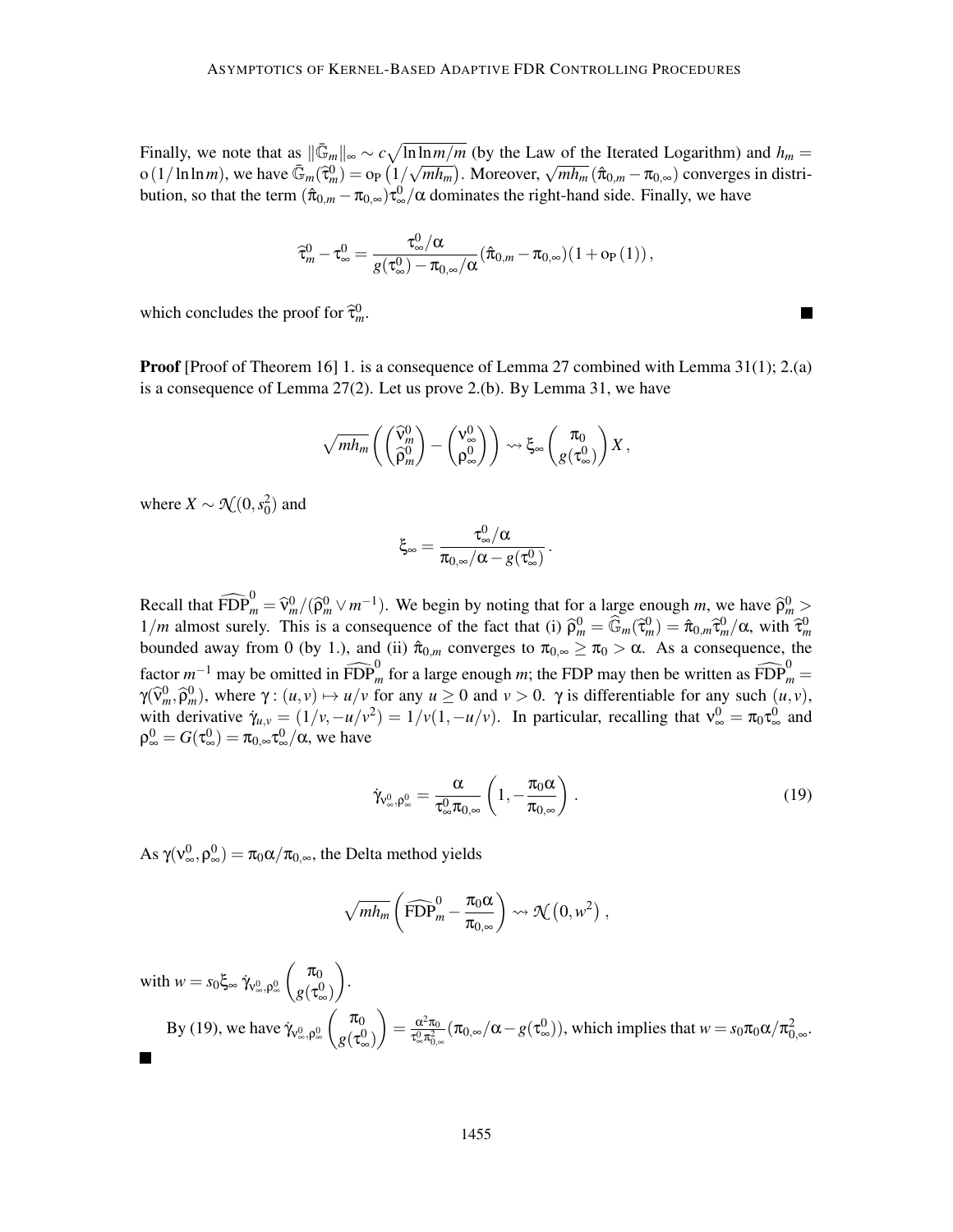Finally, we note that as  $\|\bar{\mathbb{G}}_m\|_{\infty} \sim c \sqrt{\ln \ln m/m}$  (by the Law of the Iterated Logarithm) and  $h_m =$  $\sigma(1/\ln \ln m)$ , we have  $\overline{\mathbb{G}}_m(\overline{\mathfrak{r}}_m^0) = \sigma_P(1/\sqrt{mh_m})$ . Moreover,  $\sqrt{mh_m}(\hat{\pi}_{0,m} - \pi_{0,\infty})$  converges in distribution, so that the term  $(â_{0,m} - π_{0,\infty})τ_{\infty}^{0}/α$  dominates the right-hand side. Finally, we have

$$
\widehat{\tau}^0_m - \tau^0_{\infty} = \frac{\tau^0_{\infty}/\alpha}{g(\tau^0_{\infty}) - \pi_{0,\infty}/\alpha} (\widehat{\pi}_{0,m} - \pi_{0,\infty}) (1 + o_P(1)),
$$

which concludes the proof for  $\hat{\tau}_m^0$ .

Proof [Proof of Theorem 16] 1. is a consequence of Lemma 27 combined with Lemma 31(1); 2.(a) is a consequence of Lemma 27(2). Let us prove 2.(b). By Lemma 31, we have

$$
\sqrt{mh_m}\left(\begin{pmatrix} \widehat{\mathsf{V}}_m^0 \\ \widehat{\rho}_m^0 \end{pmatrix} - \begin{pmatrix} \mathsf{V}_{\infty}^0 \\ \rho_{\infty}^0 \end{pmatrix} \right) \rightsquigarrow \xi_{\infty} \begin{pmatrix} \pi_0 \\ g(\tau_{\infty}^0) \end{pmatrix} X,
$$

where  $X \sim \mathcal{N}(0, s_0^2)$  and

$$
\xi_{\infty}=\frac{\tau_{\infty}^0/\alpha}{\pi_{0,\infty}/\alpha-g(\tau_{\infty}^0)}.
$$

Recall that  $\widehat{FDP}_m^0 = \widehat{v}_m^0/(\widehat{\rho}_m^0 \vee m^{-1})$ . We begin by noting that for a large enough *m*, we have  $\widehat{\rho}_m^0 >$  $1/m$  almost surely. This is a consequence of the fact that (i)  $\hat{\rho}_m^0 = \hat{\mathbb{G}}_m(\hat{\tau}_m^0) = \hat{\pi}_{0,m}\hat{\tau}_m^0/\alpha$ , with  $\hat{\tau}_m^0$ bounded away from 0 (by 1.), and (ii)  $\hat{\pi}_{0,m}$  converges to  $\pi_{0,\infty} \ge \pi_0 > \alpha$ . As a consequence, the factor  $m^{-1}$  may be omitted in  $\widehat{FDP}_m^0$  for a large enough *m*; the FDP may then be written as  $\widehat{FDP}_m^0$  =  $\gamma(\widehat{v}_m^0, \widehat{p}_m^0)$ , where  $\gamma : (u, v) \mapsto u/v$  for any  $u \ge 0$  and  $v > 0$ .  $\gamma$  is differentiable for any such  $(u, v)$ , with derivative  $\gamma_{u,v} = (1/v, -u/v^2) = 1/v(1, -u/v)$ . In particular, recalling that  $v_{\infty}^0 = \pi_0 \tau_{\infty}^0$  and  $ρ^0_\infty = G(τ^0_\infty) = π_{0,∞}τ^0_\infty/α$ , we have

$$
\dot{\gamma}_{\nu_{\infty},\rho_{\infty}^{0}} = \frac{\alpha}{\tau_{\infty}^{0}\pi_{0,\infty}} \left(1, -\frac{\pi_{0}\alpha}{\pi_{0,\infty}}\right).
$$
\n(19)

As γ( $v_{\infty}^0, \rho_{\infty}^0) = \pi_0 \alpha / \pi_{0,\infty}$ , the Delta method yields

$$
\sqrt{mh_m}\left(\widehat{\text{FDP}}_m^0 - \frac{\pi_0\alpha}{\pi_{0,\infty}}\right) \rightsquigarrow \mathcal{N}\left(0, w^2\right),\,
$$

 $\text{with } w = s_0 \xi_{\infty} \dot{\gamma}_{v_{\infty}^0, \rho_{\infty}^0}$  $\int \pi_0$  $g(\tau^0_\infty)$  $\overline{ }$ . By (19), we have  $\dot{\gamma}_{v_\infty^0, \rho_\infty^0}$  $\int \pi_0$  $g(\tau^0_\infty)$  $\overline{ }$  $=\frac{\alpha^2\pi_0}{\pi^0\pi^2}$  $\frac{\alpha^2 \pi_0}{\tau_{\infty}^0 \pi_{0,\infty}^2} (\pi_{0,\infty}/\alpha - g(\tau_{\infty}^0))$ , which implies that  $w = s_0 \pi_0 \alpha / \pi_{0,\infty}^2$ .

 $\blacksquare$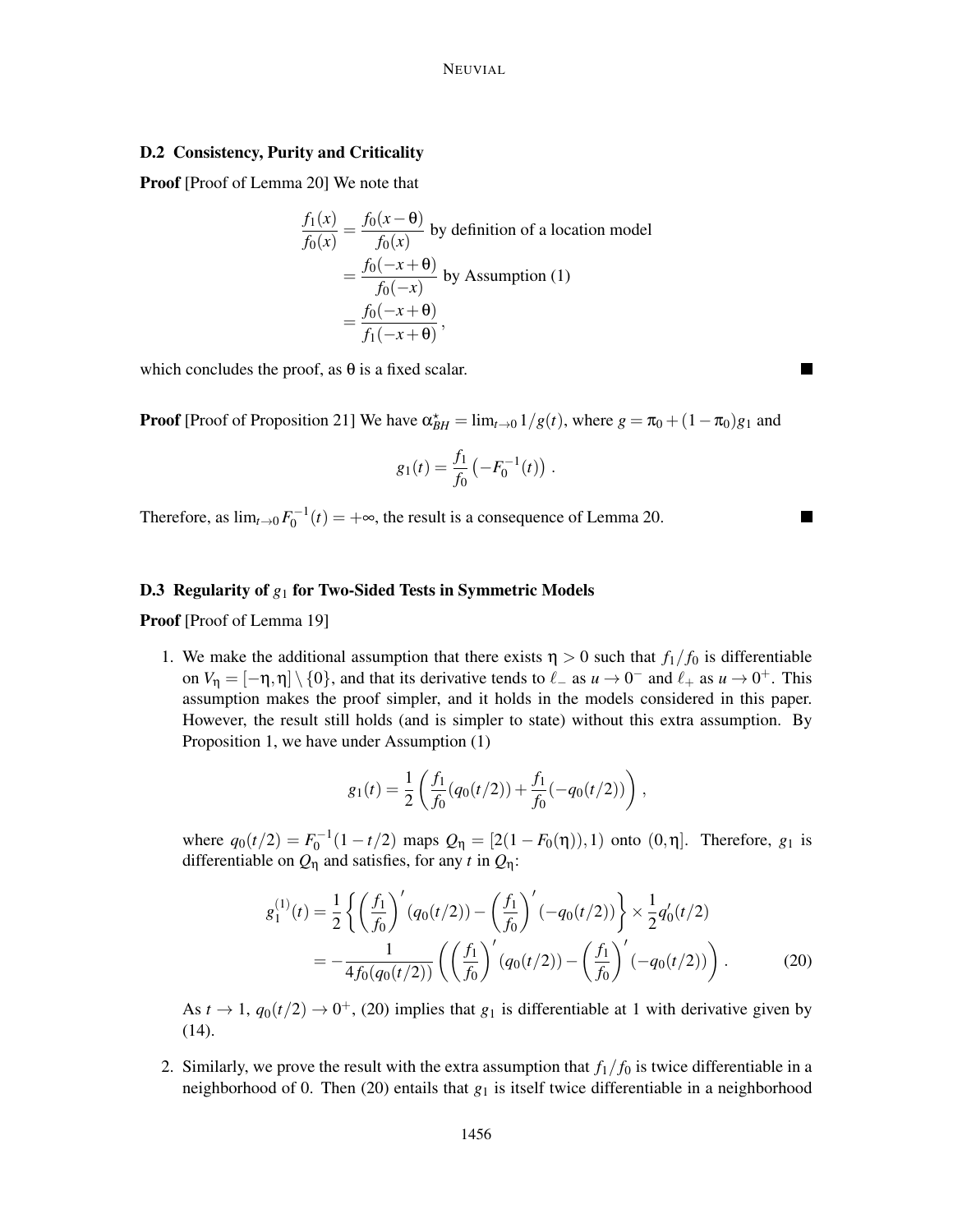## D.2 Consistency, Purity and Criticality

Proof [Proof of Lemma 20] We note that

$$
\frac{f_1(x)}{f_0(x)} = \frac{f_0(x - \theta)}{f_0(x)}
$$
 by definition of a location model  
\n
$$
= \frac{f_0(-x + \theta)}{f_0(-x)}
$$
 by Assumption (1)  
\n
$$
= \frac{f_0(-x + \theta)}{f_1(-x + \theta)},
$$

which concludes the proof, as  $\theta$  is a fixed scalar.

**Proof** [Proof of Proposition 21] We have  $\alpha_{BH}^* = \lim_{t \to 0} \frac{1}{g(t)}$ , where  $g = \pi_0 + (1 - \pi_0)g_1$  and

$$
g_1(t) = \frac{f_1}{f_0} \left( -F_0^{-1}(t) \right).
$$

Therefore, as  $\lim_{t\to 0} F_0^{-1}(t) = +\infty$ , the result is a consequence of Lemma 20.

#### D.3 Regularity of *g*<sup>1</sup> for Two-Sided Tests in Symmetric Models

Proof [Proof of Lemma 19]

1. We make the additional assumption that there exists  $\eta > 0$  such that  $f_1/f_0$  is differentiable on  $V_{\eta} = [-\eta, \eta] \setminus \{0\}$ , and that its derivative tends to  $\ell_{-}$  as  $u \to 0^{-}$  and  $\ell_{+}$  as  $u \to 0^{+}$ . This assumption makes the proof simpler, and it holds in the models considered in this paper. However, the result still holds (and is simpler to state) without this extra assumption. By Proposition 1, we have under Assumption (1)

$$
g_1(t) = \frac{1}{2} \left( \frac{f_1}{f_0} (q_0(t/2)) + \frac{f_1}{f_0} (-q_0(t/2)) \right),
$$

where  $q_0(t/2) = F_0^{-1}(1 - t/2)$  maps  $Q_{\eta} = [2(1 - F_0(\eta)), 1)$  onto  $(0, \eta]$ . Therefore,  $g_1$  is differentiable on  $Q_{\eta}$  and satisfies, for any *t* in  $Q_{\eta}$ :

$$
g_1^{(1)}(t) = \frac{1}{2} \left\{ \left( \frac{f_1}{f_0} \right)' (q_0(t/2)) - \left( \frac{f_1}{f_0} \right)' (-q_0(t/2)) \right\} \times \frac{1}{2} q_0'(t/2)
$$
  
= 
$$
-\frac{1}{4f_0(q_0(t/2))} \left( \left( \frac{f_1}{f_0} \right)' (q_0(t/2)) - \left( \frac{f_1}{f_0} \right)' (-q_0(t/2)) \right).
$$
 (20)

As  $t \to 1$ ,  $q_0(t/2) \to 0^+$ , (20) implies that  $g_1$  is differentiable at 1 with derivative given by (14).

2. Similarly, we prove the result with the extra assumption that  $f_1/f_0$  is twice differentiable in a neighborhood of 0. Then (20) entails that  $g_1$  is itself twice differentiable in a neighborhood

۰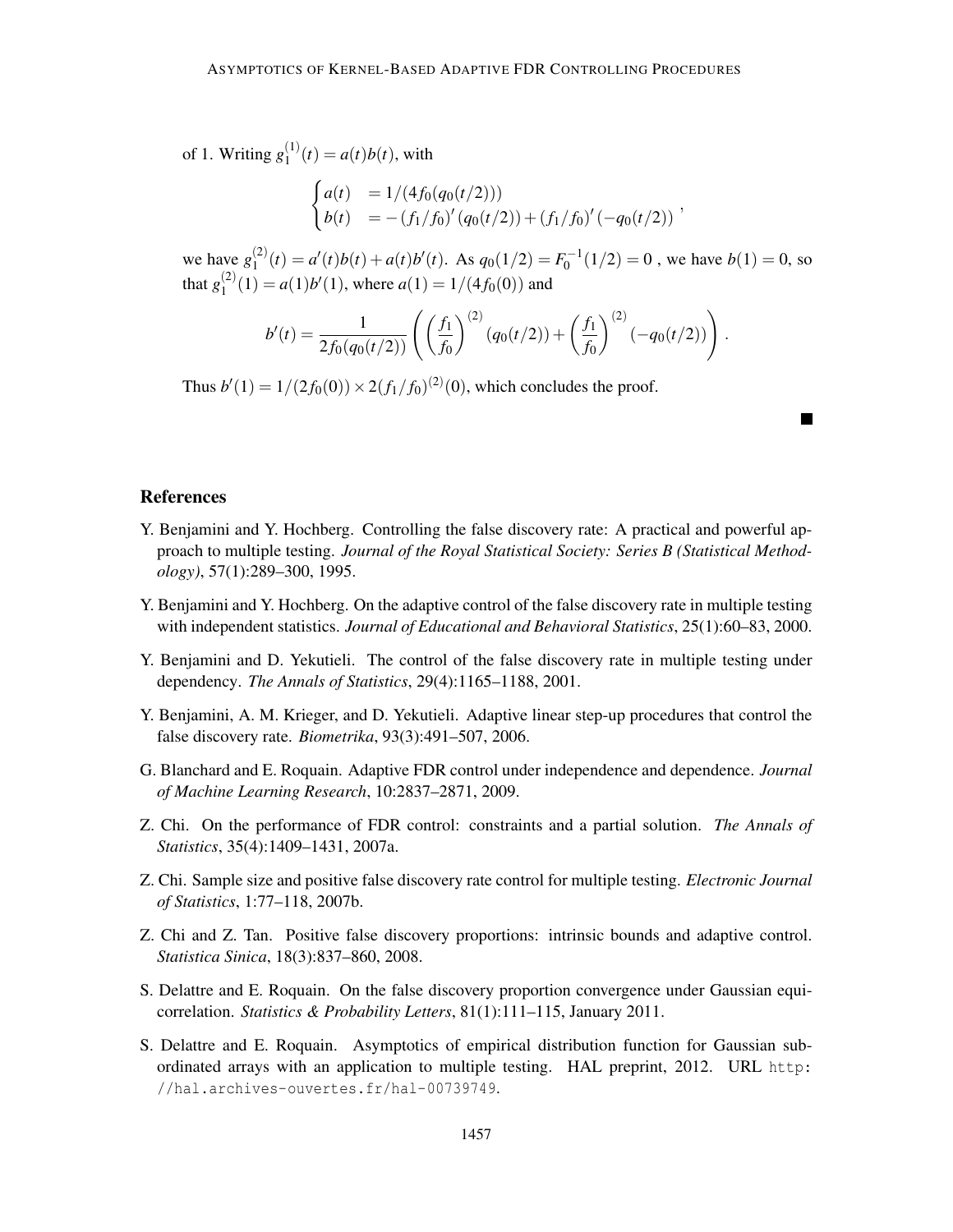of 1. Writing  $g_1^{(1)}$  $a_1^{(1)}(t) = a(t)b(t)$ , with

$$
\begin{cases}\na(t) &= 1/(4f_0(q_0(t/2))) \\
b(t) &= -(f_1/f_0)'(q_0(t/2)) + (f_1/f_0)'(-q_0(t/2))\n\end{cases}
$$

we have  $g_1^{(2)}$  $I_1^{(2)}(t) = a'(t)b(t) + a(t)b'(t)$ . As  $q_0(1/2) = F_0^{-1}(1/2) = 0$ , we have  $b(1) = 0$ , so that  $g_1^{(2)}$  $\binom{1}{1} = a(1)b'(1)$ , where  $a(1) = 1/(4f_0(0))$  and

$$
b'(t) = \frac{1}{2f_0(q_0(t/2))} \left( \left( \frac{f_1}{f_0} \right)^{(2)} (q_0(t/2)) + \left( \frac{f_1}{f_0} \right)^{(2)} (-q_0(t/2)) \right).
$$

Thus  $b'(1) = 1/(2f_0(0)) \times 2(f_1/f_0)^{(2)}(0)$ , which concludes the proof.

# References

- Y. Benjamini and Y. Hochberg. Controlling the false discovery rate: A practical and powerful approach to multiple testing. *Journal of the Royal Statistical Society: Series B (Statistical Methodology)*, 57(1):289–300, 1995.
- Y. Benjamini and Y. Hochberg. On the adaptive control of the false discovery rate in multiple testing with independent statistics. *Journal of Educational and Behavioral Statistics*, 25(1):60–83, 2000.
- Y. Benjamini and D. Yekutieli. The control of the false discovery rate in multiple testing under dependency. *The Annals of Statistics*, 29(4):1165–1188, 2001.
- Y. Benjamini, A. M. Krieger, and D. Yekutieli. Adaptive linear step-up procedures that control the false discovery rate. *Biometrika*, 93(3):491–507, 2006.
- G. Blanchard and E. Roquain. Adaptive FDR control under independence and dependence. *Journal of Machine Learning Research*, 10:2837–2871, 2009.
- Z. Chi. On the performance of FDR control: constraints and a partial solution. *The Annals of Statistics*, 35(4):1409–1431, 2007a.
- Z. Chi. Sample size and positive false discovery rate control for multiple testing. *Electronic Journal of Statistics*, 1:77–118, 2007b.
- Z. Chi and Z. Tan. Positive false discovery proportions: intrinsic bounds and adaptive control. *Statistica Sinica*, 18(3):837–860, 2008.
- S. Delattre and E. Roquain. On the false discovery proportion convergence under Gaussian equicorrelation. *Statistics & Probability Letters*, 81(1):111–115, January 2011.
- S. Delattre and E. Roquain. Asymptotics of empirical distribution function for Gaussian subordinated arrays with an application to multiple testing. HAL preprint, 2012. URL http: //hal.archives-ouvertes.fr/hal-00739749.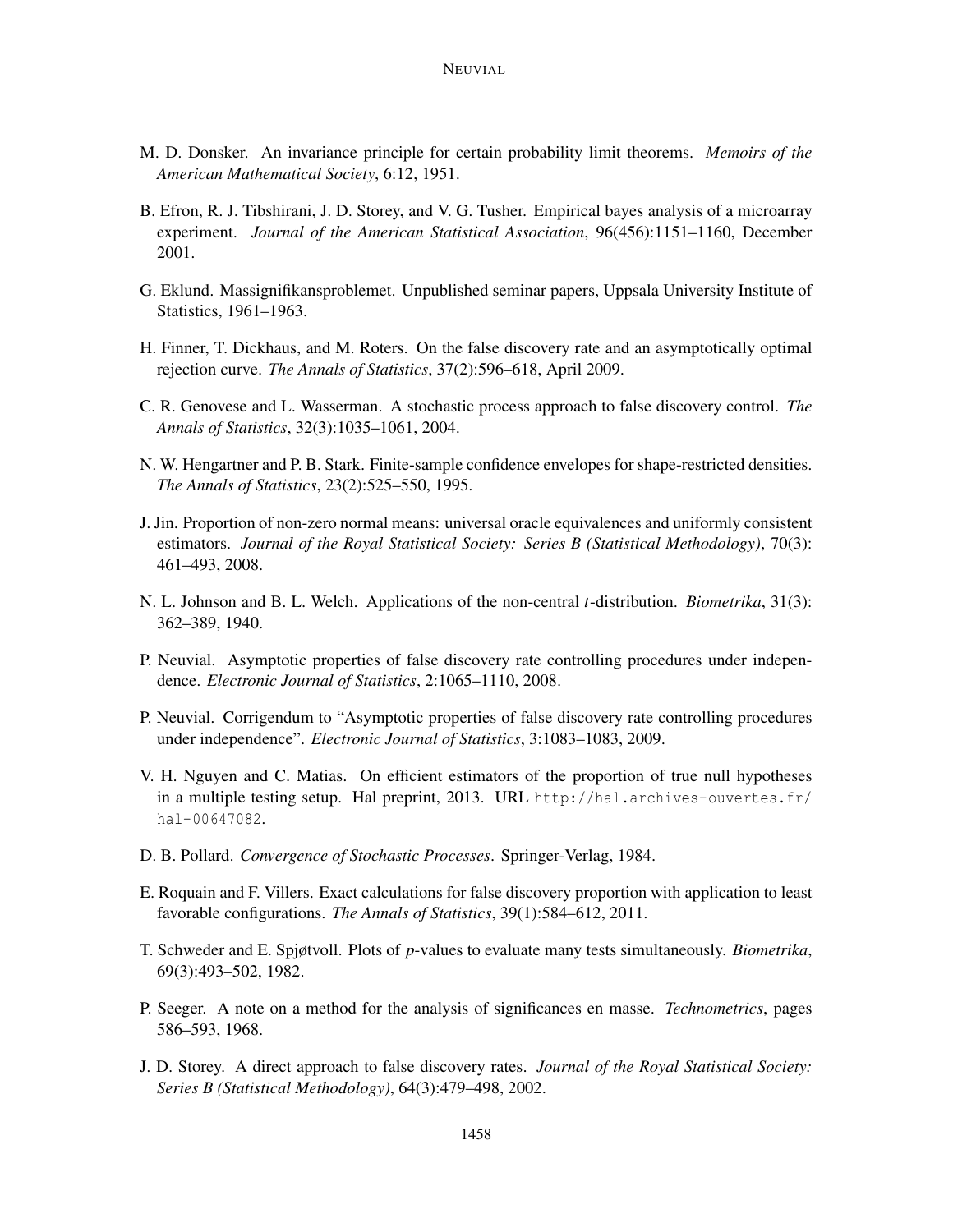- M. D. Donsker. An invariance principle for certain probability limit theorems. *Memoirs of the American Mathematical Society*, 6:12, 1951.
- B. Efron, R. J. Tibshirani, J. D. Storey, and V. G. Tusher. Empirical bayes analysis of a microarray experiment. *Journal of the American Statistical Association*, 96(456):1151–1160, December 2001.
- G. Eklund. Massignifikansproblemet. Unpublished seminar papers, Uppsala University Institute of Statistics, 1961–1963.
- H. Finner, T. Dickhaus, and M. Roters. On the false discovery rate and an asymptotically optimal rejection curve. *The Annals of Statistics*, 37(2):596–618, April 2009.
- C. R. Genovese and L. Wasserman. A stochastic process approach to false discovery control. *The Annals of Statistics*, 32(3):1035–1061, 2004.
- N. W. Hengartner and P. B. Stark. Finite-sample confidence envelopes for shape-restricted densities. *The Annals of Statistics*, 23(2):525–550, 1995.
- J. Jin. Proportion of non-zero normal means: universal oracle equivalences and uniformly consistent estimators. *Journal of the Royal Statistical Society: Series B (Statistical Methodology)*, 70(3): 461–493, 2008.
- N. L. Johnson and B. L. Welch. Applications of the non-central *t*-distribution. *Biometrika*, 31(3): 362–389, 1940.
- P. Neuvial. Asymptotic properties of false discovery rate controlling procedures under independence. *Electronic Journal of Statistics*, 2:1065–1110, 2008.
- P. Neuvial. Corrigendum to "Asymptotic properties of false discovery rate controlling procedures under independence". *Electronic Journal of Statistics*, 3:1083–1083, 2009.
- V. H. Nguyen and C. Matias. On efficient estimators of the proportion of true null hypotheses in a multiple testing setup. Hal preprint, 2013. URL http://hal.archives-ouvertes.fr/ hal-00647082.
- D. B. Pollard. *Convergence of Stochastic Processes*. Springer-Verlag, 1984.
- E. Roquain and F. Villers. Exact calculations for false discovery proportion with application to least favorable configurations. *The Annals of Statistics*, 39(1):584–612, 2011.
- T. Schweder and E. Spjøtvoll. Plots of *p*-values to evaluate many tests simultaneously. *Biometrika*, 69(3):493–502, 1982.
- P. Seeger. A note on a method for the analysis of significances en masse. *Technometrics*, pages 586–593, 1968.
- J. D. Storey. A direct approach to false discovery rates. *Journal of the Royal Statistical Society: Series B (Statistical Methodology)*, 64(3):479–498, 2002.